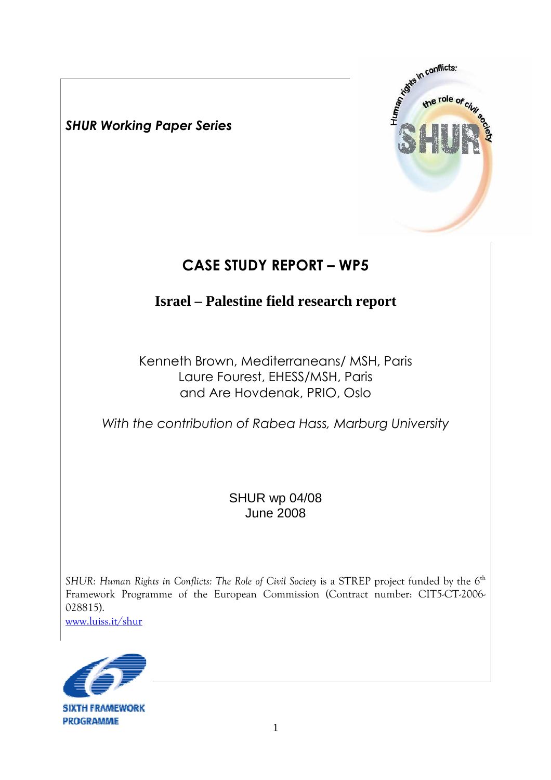SHUR Working Paper Series



# CASE STUDY REPORT – WP5

# **Israel – Palestine field research report**

Kenneth Brown, Mediterraneans/ MSH, Paris Laure Fourest, EHESS/MSH, Paris and Are Hovdenak, PRIO, Oslo

With the contribution of Rabea Hass, Marburg University

# SHUR wp 04/08 June 2008

SHUR: Human Rights in Conflicts: The Role of Civil Society is a STREP project funded by the  $6<sup>th</sup>$ Framework Programme of the European Commission (Contract number: CIT5-CT-2006- 028815).

www.luiss.it/shur

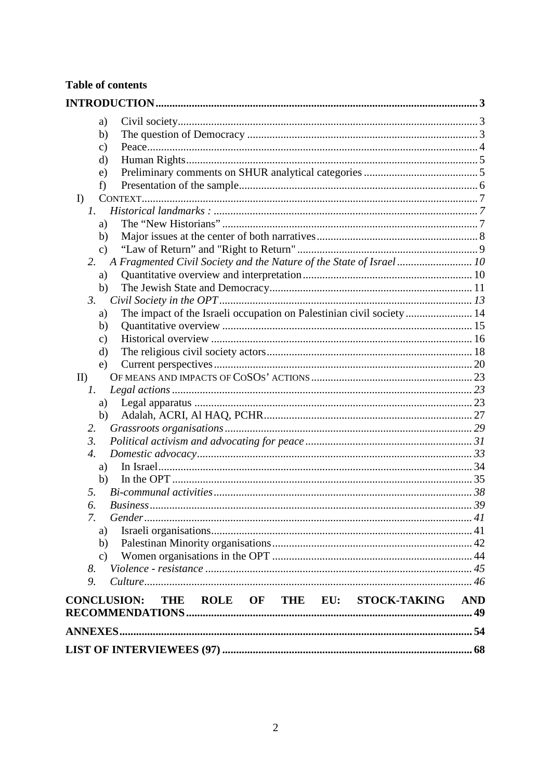# **Table of contents**

| a)                                                                         |  |
|----------------------------------------------------------------------------|--|
| b)                                                                         |  |
| $\mathbf{c})$                                                              |  |
| d)                                                                         |  |
| e)                                                                         |  |
| f)                                                                         |  |
| I)                                                                         |  |
| 1.                                                                         |  |
| a)                                                                         |  |
| b)                                                                         |  |
| $\mathbf{c})$                                                              |  |
| A Fragmented Civil Society and the Nature of the State of Israel 10<br>2.  |  |
| a)                                                                         |  |
| b)                                                                         |  |
| $\mathfrak{Z}$ .                                                           |  |
| The impact of the Israeli occupation on Palestinian civil society 14<br>a) |  |
| b)                                                                         |  |
| $\mathbf{c})$                                                              |  |
| $\mathbf{d}$                                                               |  |
| e)                                                                         |  |
| II                                                                         |  |
| 1.                                                                         |  |
| a)                                                                         |  |
| b)                                                                         |  |
| 2.                                                                         |  |
| $\mathfrak{Z}$ .                                                           |  |
| $\overline{4}$ .                                                           |  |
| a)                                                                         |  |
| b)                                                                         |  |
| 5.                                                                         |  |
| 6.                                                                         |  |
| 7.                                                                         |  |
| a)                                                                         |  |
| b)                                                                         |  |
| $\mathbf{c})$                                                              |  |
| 8.                                                                         |  |
| 9.                                                                         |  |
| THE ROLE OF THE EU: STOCK-TAKING AND<br><b>CONCLUSION:</b>                 |  |
|                                                                            |  |
|                                                                            |  |
|                                                                            |  |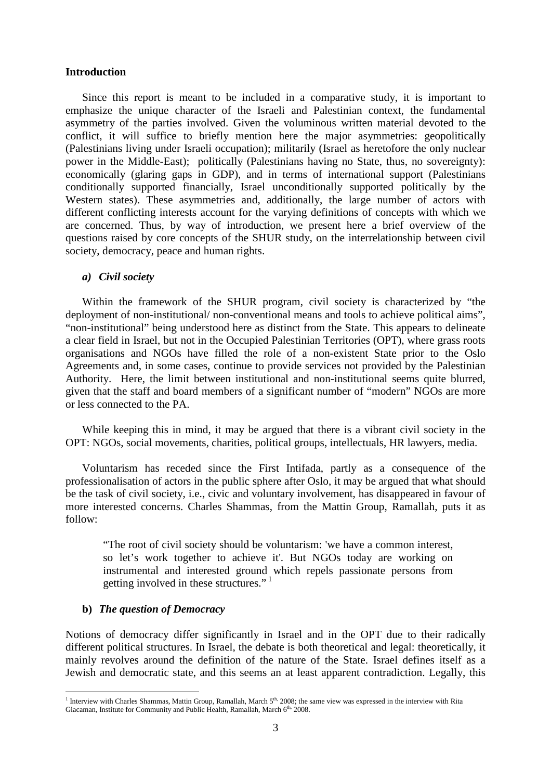### **Introduction**

Since this report is meant to be included in a comparative study, it is important to emphasize the unique character of the Israeli and Palestinian context, the fundamental asymmetry of the parties involved. Given the voluminous written material devoted to the conflict, it will suffice to briefly mention here the major asymmetries: geopolitically (Palestinians living under Israeli occupation); militarily (Israel as heretofore the only nuclear power in the Middle-East); politically (Palestinians having no State, thus, no sovereignty): economically (glaring gaps in GDP), and in terms of international support (Palestinians conditionally supported financially, Israel unconditionally supported politically by the Western states). These asymmetries and, additionally, the large number of actors with different conflicting interests account for the varying definitions of concepts with which we are concerned. Thus, by way of introduction, we present here a brief overview of the questions raised by core concepts of the SHUR study, on the interrelationship between civil society, democracy, peace and human rights.

#### *a) Civil society*

Within the framework of the SHUR program, civil society is characterized by "the deployment of non-institutional/ non-conventional means and tools to achieve political aims", "non-institutional" being understood here as distinct from the State. This appears to delineate a clear field in Israel, but not in the Occupied Palestinian Territories (OPT), where grass roots organisations and NGOs have filled the role of a non-existent State prior to the Oslo Agreements and, in some cases, continue to provide services not provided by the Palestinian Authority. Here, the limit between institutional and non-institutional seems quite blurred, given that the staff and board members of a significant number of "modern" NGOs are more or less connected to the PA.

While keeping this in mind, it may be argued that there is a vibrant civil society in the OPT: NGOs, social movements, charities, political groups, intellectuals, HR lawyers, media.

Voluntarism has receded since the First Intifada, partly as a consequence of the professionalisation of actors in the public sphere after Oslo, it may be argued that what should be the task of civil society, i.e., civic and voluntary involvement, has disappeared in favour of more interested concerns. Charles Shammas, from the Mattin Group, Ramallah, puts it as follow:

"The root of civil society should be voluntarism: 'we have a common interest, so let's work together to achieve it'. But NGOs today are working on instrumental and interested ground which repels passionate persons from getting involved in these structures."<sup>1</sup>

### **b)** *The question of Democracy*

 $\overline{a}$ 

Notions of democracy differ significantly in Israel and in the OPT due to their radically different political structures. In Israel, the debate is both theoretical and legal: theoretically, it mainly revolves around the definition of the nature of the State. Israel defines itself as a Jewish and democratic state, and this seems an at least apparent contradiction. Legally, this

<sup>&</sup>lt;sup>1</sup> Interview with Charles Shammas, Mattin Group, Ramallah, March 5<sup>th,</sup> 2008; the same view was expressed in the interview with Rita Giacaman, Institute for Community and Public Health, Ramallah, March 6<sup>th,</sup> 2008.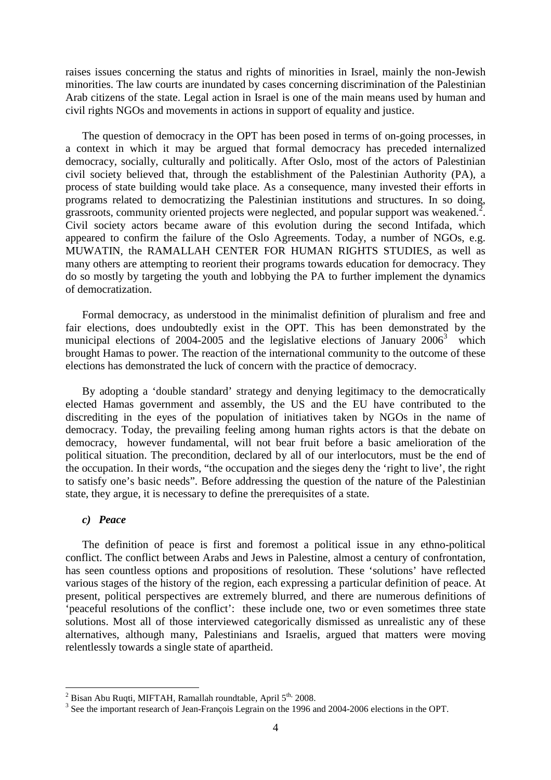raises issues concerning the status and rights of minorities in Israel, mainly the non-Jewish minorities. The law courts are inundated by cases concerning discrimination of the Palestinian Arab citizens of the state. Legal action in Israel is one of the main means used by human and civil rights NGOs and movements in actions in support of equality and justice.

The question of democracy in the OPT has been posed in terms of on-going processes, in a context in which it may be argued that formal democracy has preceded internalized democracy, socially, culturally and politically. After Oslo, most of the actors of Palestinian civil society believed that, through the establishment of the Palestinian Authority (PA), a process of state building would take place. As a consequence, many invested their efforts in programs related to democratizing the Palestinian institutions and structures. In so doing, grassroots, community oriented projects were neglected, and popular support was weakened. $2$ . Civil society actors became aware of this evolution during the second Intifada, which appeared to confirm the failure of the Oslo Agreements. Today, a number of NGOs, e.g. MUWATIN, the RAMALLAH CENTER FOR HUMAN RIGHTS STUDIES, as well as many others are attempting to reorient their programs towards education for democracy. They do so mostly by targeting the youth and lobbying the PA to further implement the dynamics of democratization.

Formal democracy, as understood in the minimalist definition of pluralism and free and fair elections, does undoubtedly exist in the OPT. This has been demonstrated by the municipal elections of 2004-2005 and the legislative elections of January  $2006<sup>3</sup>$  which brought Hamas to power. The reaction of the international community to the outcome of these elections has demonstrated the luck of concern with the practice of democracy.

By adopting a 'double standard' strategy and denying legitimacy to the democratically elected Hamas government and assembly, the US and the EU have contributed to the discrediting in the eyes of the population of initiatives taken by NGOs in the name of democracy. Today, the prevailing feeling among human rights actors is that the debate on democracy, however fundamental, will not bear fruit before a basic amelioration of the political situation. The precondition, declared by all of our interlocutors, must be the end of the occupation. In their words, "the occupation and the sieges deny the 'right to live', the right to satisfy one's basic needs". Before addressing the question of the nature of the Palestinian state, they argue, it is necessary to define the prerequisites of a state.

### *c) Peace*

The definition of peace is first and foremost a political issue in any ethno-political conflict. The conflict between Arabs and Jews in Palestine, almost a century of confrontation, has seen countless options and propositions of resolution. These 'solutions' have reflected various stages of the history of the region, each expressing a particular definition of peace. At present, political perspectives are extremely blurred, and there are numerous definitions of 'peaceful resolutions of the conflict': these include one, two or even sometimes three state solutions. Most all of those interviewed categorically dismissed as unrealistic any of these alternatives, although many, Palestinians and Israelis, argued that matters were moving relentlessly towards a single state of apartheid.

<sup>&</sup>lt;sup>2</sup> Bisan Abu Ruqti, MIFTAH, Ramallah roundtable, April 5<sup>th,</sup> 2008.

<sup>&</sup>lt;sup>3</sup> See the important research of Jean-François Legrain on the 1996 and 2004-2006 elections in the OPT.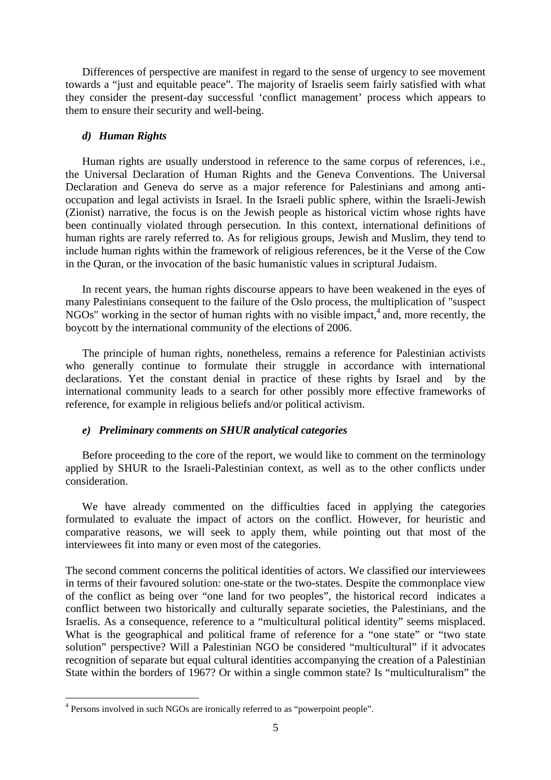Differences of perspective are manifest in regard to the sense of urgency to see movement towards a "just and equitable peace". The majority of Israelis seem fairly satisfied with what they consider the present-day successful 'conflict management' process which appears to them to ensure their security and well-being.

### *d) Human Rights*

Human rights are usually understood in reference to the same corpus of references, i.e., the Universal Declaration of Human Rights and the Geneva Conventions. The Universal Declaration and Geneva do serve as a major reference for Palestinians and among antioccupation and legal activists in Israel. In the Israeli public sphere, within the Israeli-Jewish (Zionist) narrative, the focus is on the Jewish people as historical victim whose rights have been continually violated through persecution. In this context, international definitions of human rights are rarely referred to. As for religious groups, Jewish and Muslim, they tend to include human rights within the framework of religious references, be it the Verse of the Cow in the Quran, or the invocation of the basic humanistic values in scriptural Judaism.

In recent years, the human rights discourse appears to have been weakened in the eyes of many Palestinians consequent to the failure of the Oslo process, the multiplication of "suspect NGOs" working in the sector of human rights with no visible impact, and, more recently, the boycott by the international community of the elections of 2006.

The principle of human rights, nonetheless, remains a reference for Palestinian activists who generally continue to formulate their struggle in accordance with international declarations. Yet the constant denial in practice of these rights by Israel and by the international community leads to a search for other possibly more effective frameworks of reference, for example in religious beliefs and/or political activism.

### *e) Preliminary comments on SHUR analytical categories*

Before proceeding to the core of the report, we would like to comment on the terminology applied by SHUR to the Israeli-Palestinian context, as well as to the other conflicts under consideration.

We have already commented on the difficulties faced in applying the categories formulated to evaluate the impact of actors on the conflict. However, for heuristic and comparative reasons, we will seek to apply them, while pointing out that most of the interviewees fit into many or even most of the categories.

The second comment concerns the political identities of actors. We classified our interviewees in terms of their favoured solution: one-state or the two-states. Despite the commonplace view of the conflict as being over "one land for two peoples", the historical record indicates a conflict between two historically and culturally separate societies, the Palestinians, and the Israelis. As a consequence, reference to a "multicultural political identity" seems misplaced. What is the geographical and political frame of reference for a "one state" or "two state solution" perspective? Will a Palestinian NGO be considered "multicultural" if it advocates recognition of separate but equal cultural identities accompanying the creation of a Palestinian State within the borders of 1967? Or within a single common state? Is "multiculturalism" the

<sup>&</sup>lt;sup>4</sup> Persons involved in such NGOs are ironically referred to as "powerpoint people".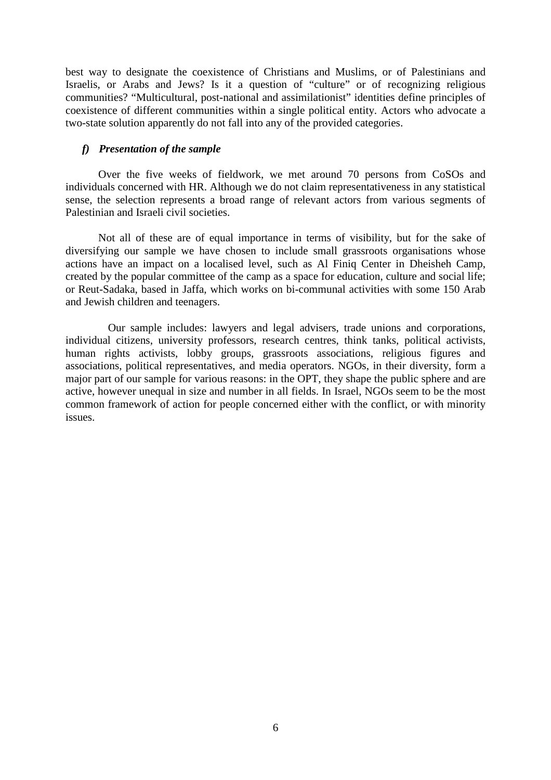best way to designate the coexistence of Christians and Muslims, or of Palestinians and Israelis, or Arabs and Jews? Is it a question of "culture" or of recognizing religious communities? "Multicultural, post-national and assimilationist" identities define principles of coexistence of different communities within a single political entity. Actors who advocate a two-state solution apparently do not fall into any of the provided categories.

# *f) Presentation of the sample*

Over the five weeks of fieldwork, we met around 70 persons from CoSOs and individuals concerned with HR. Although we do not claim representativeness in any statistical sense, the selection represents a broad range of relevant actors from various segments of Palestinian and Israeli civil societies.

Not all of these are of equal importance in terms of visibility, but for the sake of diversifying our sample we have chosen to include small grassroots organisations whose actions have an impact on a localised level, such as Al Finiq Center in Dheisheh Camp, created by the popular committee of the camp as a space for education, culture and social life; or Reut-Sadaka, based in Jaffa, which works on bi-communal activities with some 150 Arab and Jewish children and teenagers.

 Our sample includes: lawyers and legal advisers, trade unions and corporations, individual citizens, university professors, research centres, think tanks, political activists, human rights activists, lobby groups, grassroots associations, religious figures and associations, political representatives, and media operators. NGOs, in their diversity, form a major part of our sample for various reasons: in the OPT, they shape the public sphere and are active, however unequal in size and number in all fields. In Israel, NGOs seem to be the most common framework of action for people concerned either with the conflict, or with minority issues.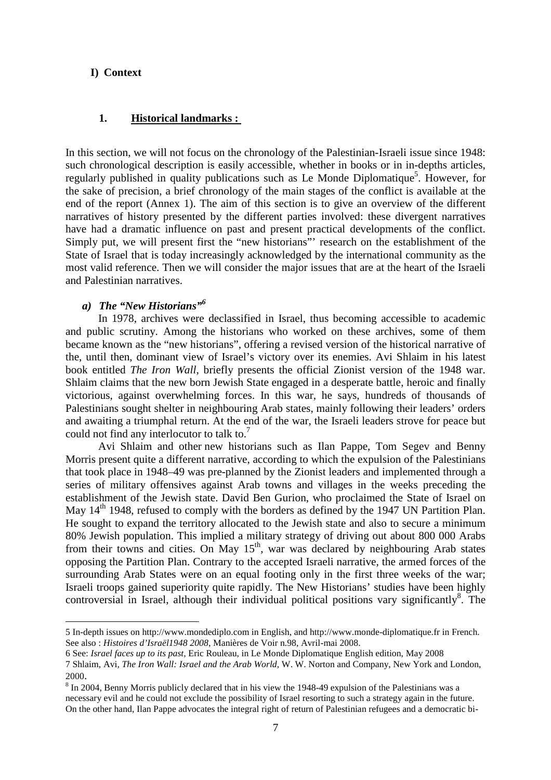### **I) Context**

### **1. Historical landmarks :**

In this section, we will not focus on the chronology of the Palestinian-Israeli issue since 1948: such chronological description is easily accessible, whether in books or in in-depths articles, regularly published in quality publications such as Le Monde Diplomatique<sup>5</sup>. However, for the sake of precision, a brief chronology of the main stages of the conflict is available at the end of the report (Annex 1). The aim of this section is to give an overview of the different narratives of history presented by the different parties involved: these divergent narratives have had a dramatic influence on past and present practical developments of the conflict. Simply put, we will present first the "new historians"' research on the establishment of the State of Israel that is today increasingly acknowledged by the international community as the most valid reference. Then we will consider the major issues that are at the heart of the Israeli and Palestinian narratives.

### *a) The "New Historians"<sup>6</sup>*

 $\overline{a}$ 

In 1978, archives were declassified in Israel, thus becoming accessible to academic and public scrutiny. Among the historians who worked on these archives, some of them became known as the "new historians", offering a revised version of the historical narrative of the, until then, dominant view of Israel's victory over its enemies. Avi Shlaim in his latest book entitled *The Iron Wall*, briefly presents the official Zionist version of the 1948 war. Shlaim claims that the new born Jewish State engaged in a desperate battle, heroic and finally victorious, against overwhelming forces. In this war, he says, hundreds of thousands of Palestinians sought shelter in neighbouring Arab states, mainly following their leaders' orders and awaiting a triumphal return. At the end of the war, the Israeli leaders strove for peace but could not find any interlocutor to talk to. $<sup>7</sup>$ </sup>

Avi Shlaim and other new historians such as Ilan Pappe, Tom Segev and Benny Morris present quite a different narrative, according to which the expulsion of the Palestinians that took place in 1948–49 was pre-planned by the Zionist leaders and implemented through a series of military offensives against Arab towns and villages in the weeks preceding the establishment of the Jewish state. David Ben Gurion, who proclaimed the State of Israel on May 14<sup>th</sup> 1948, refused to comply with the borders as defined by the 1947 UN Partition Plan. He sought to expand the territory allocated to the Jewish state and also to secure a minimum 80% Jewish population. This implied a military strategy of driving out about 800 000 Arabs from their towns and cities. On May  $15<sup>th</sup>$ , war was declared by neighbouring Arab states opposing the Partition Plan. Contrary to the accepted Israeli narrative, the armed forces of the surrounding Arab States were on an equal footing only in the first three weeks of the war; Israeli troops gained superiority quite rapidly. The New Historians' studies have been highly controversial in Israel, although their individual political positions vary significantly<sup>8</sup>. The

<sup>5</sup> In-depth issues on http://www.mondediplo.com in English, and http://www.monde-diplomatique.fr in French. See also : *Histoires d'Israël1948 2008*, Manières de Voir n.98, Avril-mai 2008.

<sup>6</sup> See: *Israel faces up to its past*, Eric Rouleau, in Le Monde Diplomatique English edition, May 2008

<sup>7</sup> Shlaim, Avi*, The Iron Wall: Israel and the Arab World*, W. W. Norton and Company, New York and London, 2000.

 $8 \text{ In } 2004$ , Benny Morris publicly declared that in his view the 1948-49 expulsion of the Palestinians was a necessary evil and he could not exclude the possibility of Israel resorting to such a strategy again in the future. On the other hand, Ilan Pappe advocates the integral right of return of Palestinian refugees and a democratic bi-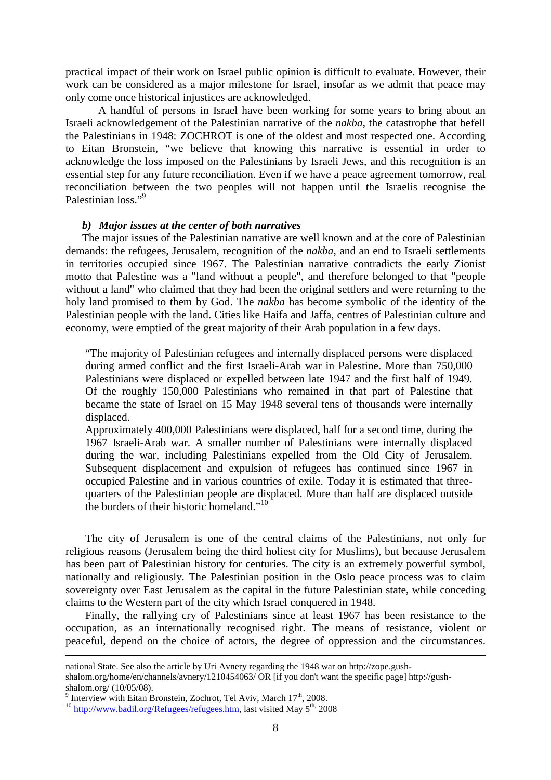practical impact of their work on Israel public opinion is difficult to evaluate. However, their work can be considered as a major milestone for Israel, insofar as we admit that peace may only come once historical injustices are acknowledged.

A handful of persons in Israel have been working for some years to bring about an Israeli acknowledgement of the Palestinian narrative of the *nakba*, the catastrophe that befell the Palestinians in 1948: ZOCHROT is one of the oldest and most respected one. According to Eitan Bronstein, "we believe that knowing this narrative is essential in order to acknowledge the loss imposed on the Palestinians by Israeli Jews, and this recognition is an essential step for any future reconciliation. Even if we have a peace agreement tomorrow, real reconciliation between the two peoples will not happen until the Israelis recognise the Palestinian loss."<sup>9</sup>

#### *b) Major issues at the center of both narratives*

The major issues of the Palestinian narrative are well known and at the core of Palestinian demands: the refugees, Jerusalem, recognition of the *nakba*, and an end to Israeli settlements in territories occupied since 1967. The Palestinian narrative contradicts the early Zionist motto that Palestine was a "land without a people", and therefore belonged to that "people without a land" who claimed that they had been the original settlers and were returning to the holy land promised to them by God. The *nakba* has become symbolic of the identity of the Palestinian people with the land. Cities like Haifa and Jaffa, centres of Palestinian culture and economy, were emptied of the great majority of their Arab population in a few days.

"The majority of Palestinian refugees and internally displaced persons were displaced during armed conflict and the first Israeli-Arab war in Palestine. More than 750,000 Palestinians were displaced or expelled between late 1947 and the first half of 1949. Of the roughly 150,000 Palestinians who remained in that part of Palestine that became the state of Israel on 15 May 1948 several tens of thousands were internally displaced.

Approximately 400,000 Palestinians were displaced, half for a second time, during the 1967 Israeli-Arab war. A smaller number of Palestinians were internally displaced during the war, including Palestinians expelled from the Old City of Jerusalem. Subsequent displacement and expulsion of refugees has continued since 1967 in occupied Palestine and in various countries of exile. Today it is estimated that threequarters of the Palestinian people are displaced. More than half are displaced outside the borders of their historic homeland."<sup>10</sup>

The city of Jerusalem is one of the central claims of the Palestinians, not only for religious reasons (Jerusalem being the third holiest city for Muslims), but because Jerusalem has been part of Palestinian history for centuries. The city is an extremely powerful symbol, nationally and religiously. The Palestinian position in the Oslo peace process was to claim sovereignty over East Jerusalem as the capital in the future Palestinian state, while conceding claims to the Western part of the city which Israel conquered in 1948.

Finally, the rallying cry of Palestinians since at least 1967 has been resistance to the occupation, as an internationally recognised right. The means of resistance, violent or peaceful, depend on the choice of actors, the degree of oppression and the circumstances.

<u>.</u>

national State. See also the article by Uri Avnery regarding the 1948 war on http://zope.gush-

shalom.org/home/en/channels/avnery/1210454063/ OR [if you don't want the specific page] http://gushshalom.org/ (10/05/08).

<sup>&</sup>lt;sup>9</sup> Interview with Eitan Bronstein, Zochrot, Tel Aviv, March  $17<sup>th</sup>$ , 2008.

 $10$  http://www.badil.org/Refugees/refugees.htm, last visited May  $5<sup>th</sup>$ , 2008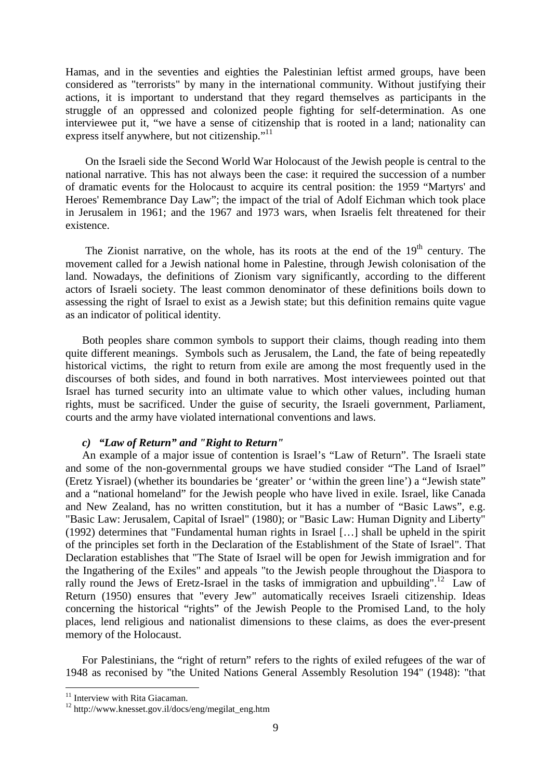Hamas, and in the seventies and eighties the Palestinian leftist armed groups, have been considered as "terrorists" by many in the international community. Without justifying their actions, it is important to understand that they regard themselves as participants in the struggle of an oppressed and colonized people fighting for self-determination. As one interviewee put it, "we have a sense of citizenship that is rooted in a land; nationality can express itself anywhere, but not citizenship."<sup>11</sup>

On the Israeli side the Second World War Holocaust of the Jewish people is central to the national narrative. This has not always been the case: it required the succession of a number of dramatic events for the Holocaust to acquire its central position: the 1959 "Martyrs' and Heroes' Remembrance Day Law"; the impact of the trial of Adolf Eichman which took place in Jerusalem in 1961; and the 1967 and 1973 wars, when Israelis felt threatened for their existence.

The Zionist narrative, on the whole, has its roots at the end of the  $19<sup>th</sup>$  century. The movement called for a Jewish national home in Palestine, through Jewish colonisation of the land. Nowadays, the definitions of Zionism vary significantly, according to the different actors of Israeli society. The least common denominator of these definitions boils down to assessing the right of Israel to exist as a Jewish state; but this definition remains quite vague as an indicator of political identity.

Both peoples share common symbols to support their claims, though reading into them quite different meanings. Symbols such as Jerusalem, the Land, the fate of being repeatedly historical victims, the right to return from exile are among the most frequently used in the discourses of both sides, and found in both narratives. Most interviewees pointed out that Israel has turned security into an ultimate value to which other values, including human rights, must be sacrificed. Under the guise of security, the Israeli government, Parliament, courts and the army have violated international conventions and laws.

### *c) "Law of Return" and "Right to Return"*

An example of a major issue of contention is Israel's "Law of Return". The Israeli state and some of the non-governmental groups we have studied consider "The Land of Israel" (Eretz Yisrael) (whether its boundaries be 'greater' or 'within the green line') a "Jewish state" and a "national homeland" for the Jewish people who have lived in exile. Israel, like Canada and New Zealand, has no written constitution, but it has a number of "Basic Laws", e.g. "Basic Law: Jerusalem, Capital of Israel" (1980); or "Basic Law: Human Dignity and Liberty" (1992) determines that "Fundamental human rights in Israel […] shall be upheld in the spirit of the principles set forth in the Declaration of the Establishment of the State of Israel". That Declaration establishes that "The State of Israel will be open for Jewish immigration and for the Ingathering of the Exiles" and appeals "to the Jewish people throughout the Diaspora to rally round the Jews of Eretz-Israel in the tasks of immigration and upbuilding".<sup>12</sup> Law of Return (1950) ensures that "every Jew" automatically receives Israeli citizenship. Ideas concerning the historical "rights" of the Jewish People to the Promised Land, to the holy places, lend religious and nationalist dimensions to these claims, as does the ever-present memory of the Holocaust.

For Palestinians, the "right of return" refers to the rights of exiled refugees of the war of 1948 as reconised by "the United Nations General Assembly Resolution 194" (1948): "that

<sup>&</sup>lt;sup>11</sup> Interview with Rita Giacaman.

 $12 \text{ http://www.knesset.gov.i/docs/eng/megilat-eng.htm}$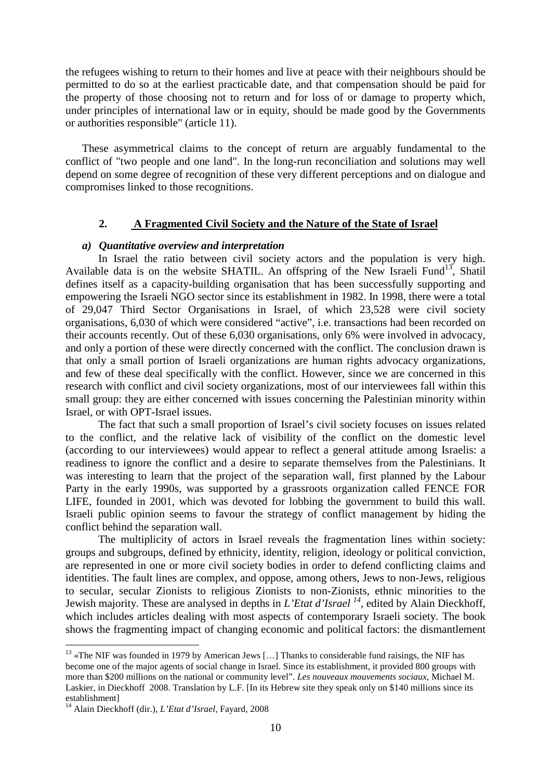the refugees wishing to return to their homes and live at peace with their neighbours should be permitted to do so at the earliest practicable date, and that compensation should be paid for the property of those choosing not to return and for loss of or damage to property which, under principles of international law or in equity, should be made good by the Governments or authorities responsible" (article 11).

These asymmetrical claims to the concept of return are arguably fundamental to the conflict of "two people and one land". In the long-run reconciliation and solutions may well depend on some degree of recognition of these very different perceptions and on dialogue and compromises linked to those recognitions.

### **2. A Fragmented Civil Society and the Nature of the State of Israel**

#### *a) Quantitative overview and interpretation*

 In Israel the ratio between civil society actors and the population is very high. Available data is on the website SHATIL. An offspring of the New Israeli Fund<sup>13</sup>, Shatil defines itself as a capacity-building organisation that has been successfully supporting and empowering the Israeli NGO sector since its establishment in 1982. In 1998, there were a total of 29,047 Third Sector Organisations in Israel, of which 23,528 were civil society organisations, 6,030 of which were considered "active", i.e. transactions had been recorded on their accounts recently. Out of these 6,030 organisations, only 6% were involved in advocacy, and only a portion of these were directly concerned with the conflict. The conclusion drawn is that only a small portion of Israeli organizations are human rights advocacy organizations, and few of these deal specifically with the conflict. However, since we are concerned in this research with conflict and civil society organizations, most of our interviewees fall within this small group: they are either concerned with issues concerning the Palestinian minority within Israel, or with OPT-Israel issues.

The fact that such a small proportion of Israel's civil society focuses on issues related to the conflict, and the relative lack of visibility of the conflict on the domestic level (according to our interviewees) would appear to reflect a general attitude among Israelis: a readiness to ignore the conflict and a desire to separate themselves from the Palestinians. It was interesting to learn that the project of the separation wall, first planned by the Labour Party in the early 1990s, was supported by a grassroots organization called FENCE FOR LIFE, founded in 2001, which was devoted for lobbing the government to build this wall. Israeli public opinion seems to favour the strategy of conflict management by hiding the conflict behind the separation wall.

The multiplicity of actors in Israel reveals the fragmentation lines within society: groups and subgroups, defined by ethnicity, identity, religion, ideology or political conviction, are represented in one or more civil society bodies in order to defend conflicting claims and identities. The fault lines are complex, and oppose, among others, Jews to non-Jews, religious to secular, secular Zionists to religious Zionists to non-Zionists, ethnic minorities to the Jewish majority. These are analysed in depths in *L'Etat d'Israel*<sup>14</sup>, edited by Alain Dieckhoff, which includes articles dealing with most aspects of contemporary Israeli society. The book shows the fragmenting impact of changing economic and political factors: the dismantlement

 $13$  «The NIF was founded in 1979 by American Jews [...] Thanks to considerable fund raisings, the NIF has become one of the major agents of social change in Israel. Since its establishment, it provided 800 groups with more than \$200 millions on the national or community level". *Les nouveaux mouvements sociaux*, Michael M. Laskier, in Dieckhoff 2008. Translation by L.F. [In its Hebrew site they speak only on \$140 millions since its establishment]

<sup>14</sup> Alain Dieckhoff (dir.), *L'Etat d'Israel,* Fayard, 2008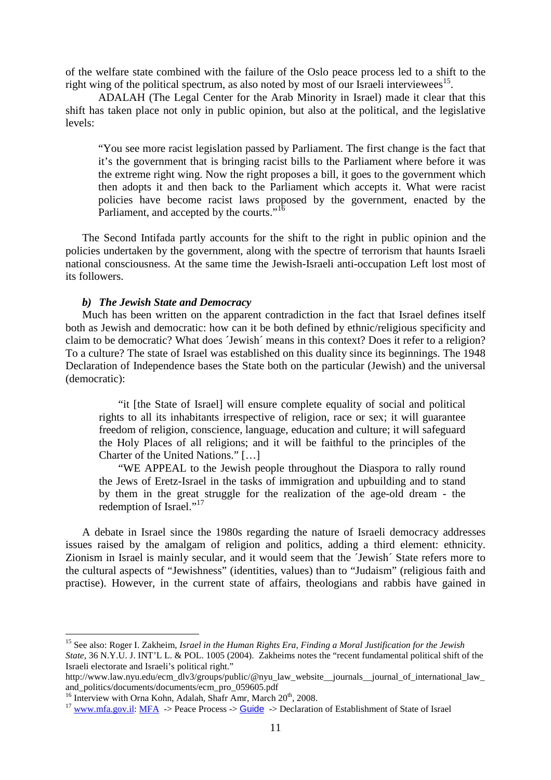of the welfare state combined with the failure of the Oslo peace process led to a shift to the right wing of the political spectrum, as also noted by most of our Israeli interviewees<sup>15</sup>.

ADALAH (The Legal Center for the Arab Minority in Israel) made it clear that this shift has taken place not only in public opinion, but also at the political, and the legislative levels:

"You see more racist legislation passed by Parliament. The first change is the fact that it's the government that is bringing racist bills to the Parliament where before it was the extreme right wing. Now the right proposes a bill, it goes to the government which then adopts it and then back to the Parliament which accepts it. What were racist policies have become racist laws proposed by the government, enacted by the Parliament, and accepted by the courts."<sup>16</sup>

The Second Intifada partly accounts for the shift to the right in public opinion and the policies undertaken by the government, along with the spectre of terrorism that haunts Israeli national consciousness. At the same time the Jewish-Israeli anti-occupation Left lost most of its followers.

### *b) The Jewish State and Democracy*

Much has been written on the apparent contradiction in the fact that Israel defines itself both as Jewish and democratic: how can it be both defined by ethnic/religious specificity and claim to be democratic? What does ´Jewish´ means in this context? Does it refer to a religion? To a culture? The state of Israel was established on this duality since its beginnings. The 1948 Declaration of Independence bases the State both on the particular (Jewish) and the universal (democratic):

 "it [the State of Israel] will ensure complete equality of social and political rights to all its inhabitants irrespective of religion, race or sex; it will guarantee freedom of religion, conscience, language, education and culture; it will safeguard the Holy Places of all religions; and it will be faithful to the principles of the Charter of the United Nations." […]

 "WE APPEAL to the Jewish people throughout the Diaspora to rally round the Jews of Eretz-Israel in the tasks of immigration and upbuilding and to stand by them in the great struggle for the realization of the age-old dream - the redemption of Israel."<sup>17</sup>

A debate in Israel since the 1980s regarding the nature of Israeli democracy addresses issues raised by the amalgam of religion and politics, adding a third element: ethnicity. Zionism in Israel is mainly secular, and it would seem that the ´Jewish´ State refers more to the cultural aspects of "Jewishness" (identities, values) than to "Judaism" (religious faith and practise). However, in the current state of affairs, theologians and rabbis have gained in

<sup>15</sup> See also: Roger I. Zakheim, *Israel in the Human Rights Era, Finding a Moral Justification for the Jewish* 

*State*, 36 N.Y.U. J. INT'L L. & POL. 1005 (2004). Zakheims notes the "recent fundamental political shift of the Israeli electorate and Israeli's political right."

http://www.law.nyu.edu/ecm\_dlv3/groups/public/@nyu\_law\_website\_\_journals\_\_journal\_of\_international\_law\_ and\_politics/documents/documents/ecm\_pro\_059605.pdf

<sup>&</sup>lt;sup>16</sup> Interview with Orna Kohn, Adalah, Shafr Amr, March  $20^{th}$ ,  $2008$ .

<sup>&</sup>lt;sup>17</sup> www.mfa.gov.il: MFA  $\rightarrow$  Peace Process  $\rightarrow$  Guide  $\rightarrow$  Declaration of Establishment of State of Israel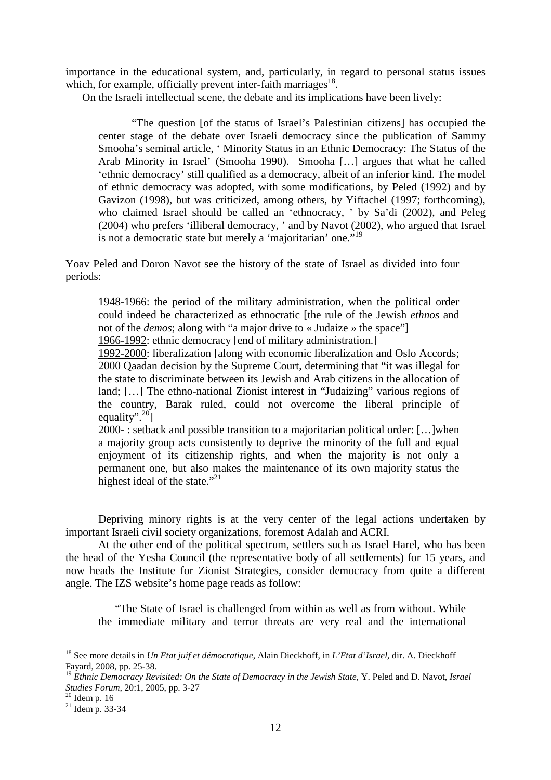importance in the educational system, and, particularly, in regard to personal status issues which, for example, officially prevent inter-faith marriages<sup>18</sup>.

On the Israeli intellectual scene, the debate and its implications have been lively:

"The question [of the status of Israel's Palestinian citizens] has occupied the center stage of the debate over Israeli democracy since the publication of Sammy Smooha's seminal article, ' Minority Status in an Ethnic Democracy: The Status of the Arab Minority in Israel' (Smooha 1990). Smooha […] argues that what he called 'ethnic democracy' still qualified as a democracy, albeit of an inferior kind. The model of ethnic democracy was adopted, with some modifications, by Peled (1992) and by Gavizon (1998), but was criticized, among others, by Yiftachel (1997; forthcoming), who claimed Israel should be called an 'ethnocracy, ' by Sa'di (2002), and Peleg (2004) who prefers 'illiberal democracy, ' and by Navot (2002), who argued that Israel is not a democratic state but merely a 'majoritarian' one."<sup>19</sup>

Yoav Peled and Doron Navot see the history of the state of Israel as divided into four periods:

1948-1966: the period of the military administration, when the political order could indeed be characterized as ethnocratic [the rule of the Jewish *ethnos* and not of the *demos*; along with "a major drive to « Judaize » the space"]

1966-1992: ethnic democracy [end of military administration.]

1992-2000: liberalization [along with economic liberalization and Oslo Accords; 2000 Qaadan decision by the Supreme Court, determining that "it was illegal for the state to discriminate between its Jewish and Arab citizens in the allocation of land; […] The ethno-national Zionist interest in "Judaizing" various regions of the country, Barak ruled, could not overcome the liberal principle of equality".<sup>20</sup>]

2000- : setback and possible transition to a majoritarian political order: […]when a majority group acts consistently to deprive the minority of the full and equal enjoyment of its citizenship rights, and when the majority is not only a permanent one, but also makes the maintenance of its own majority status the highest ideal of the state." $^{21}$ 

Depriving minory rights is at the very center of the legal actions undertaken by important Israeli civil society organizations, foremost Adalah and ACRI.

At the other end of the political spectrum, settlers such as Israel Harel, who has been the head of the Yesha Council (the representative body of all settlements) for 15 years, and now heads the Institute for Zionist Strategies, consider democracy from quite a different angle. The IZS website's home page reads as follow:

"The State of Israel is challenged from within as well as from without. While the immediate military and terror threats are very real and the international

<sup>18</sup> See more details in *Un Etat juif et démocratique*, Alain Dieckhoff, in *L'Etat d'Israel,* dir. A. Dieckhoff Fayard, 2008, pp. 25-38.

<sup>19</sup> *Ethnic Democracy Revisited: On the State of Democracy in the Jewish State*, Y. Peled and D. Navot, *Israel Studies Forum,* 20:1, 2005, pp. 3-27

 $20$  Idem p. 16

 $^{21}$  Idem p. 33-34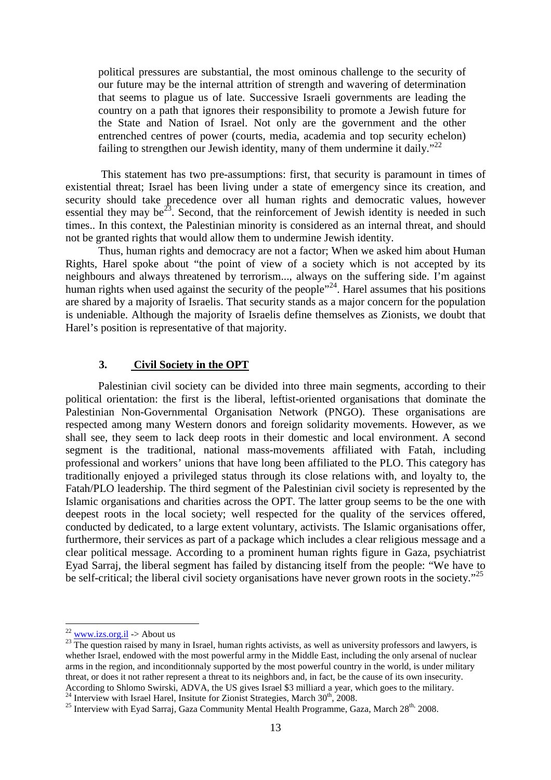political pressures are substantial, the most ominous challenge to the security of our future may be the internal attrition of strength and wavering of determination that seems to plague us of late. Successive Israeli governments are leading the country on a path that ignores their responsibility to promote a Jewish future for the State and Nation of Israel. Not only are the government and the other entrenched centres of power (courts, media, academia and top security echelon) failing to strengthen our Jewish identity, many of them undermine it daily.<sup> $22$ </sup>

 This statement has two pre-assumptions: first, that security is paramount in times of existential threat; Israel has been living under a state of emergency since its creation, and security should take precedence over all human rights and democratic values, however essential they may be<sup>23</sup>. Second, that the reinforcement of Jewish identity is needed in such times.. In this context, the Palestinian minority is considered as an internal threat, and should not be granted rights that would allow them to undermine Jewish identity.

Thus, human rights and democracy are not a factor; When we asked him about Human Rights, Harel spoke about "the point of view of a society which is not accepted by its neighbours and always threatened by terrorism..., always on the suffering side. I'm against human rights when used against the security of the people<sup>"24</sup>. Harel assumes that his positions are shared by a majority of Israelis. That security stands as a major concern for the population is undeniable. Although the majority of Israelis define themselves as Zionists, we doubt that Harel's position is representative of that majority.

# **3. Civil Society in the OPT**

 Palestinian civil society can be divided into three main segments, according to their political orientation: the first is the liberal, leftist-oriented organisations that dominate the Palestinian Non-Governmental Organisation Network (PNGO). These organisations are respected among many Western donors and foreign solidarity movements. However, as we shall see, they seem to lack deep roots in their domestic and local environment. A second segment is the traditional, national mass-movements affiliated with Fatah, including professional and workers' unions that have long been affiliated to the PLO. This category has traditionally enjoyed a privileged status through its close relations with, and loyalty to, the Fatah/PLO leadership. The third segment of the Palestinian civil society is represented by the Islamic organisations and charities across the OPT. The latter group seems to be the one with deepest roots in the local society; well respected for the quality of the services offered, conducted by dedicated, to a large extent voluntary, activists. The Islamic organisations offer, furthermore, their services as part of a package which includes a clear religious message and a clear political message. According to a prominent human rights figure in Gaza, psychiatrist Eyad Sarraj, the liberal segment has failed by distancing itself from the people: "We have to be self-critical; the liberal civil society organisations have never grown roots in the society."<sup>25</sup>

 $^{22}$  www.izs.org.il -> About us

<sup>&</sup>lt;sup>23</sup> The question raised by many in Israel, human rights activists, as well as university professors and lawyers, is whether Israel, endowed with the most powerful army in the Middle East, including the only arsenal of nuclear arms in the region, and inconditionnaly supported by the most powerful country in the world, is under military threat, or does it not rather represent a threat to its neighbors and, in fact, be the cause of its own insecurity. According to Shlomo Swirski, ADVA, the US gives Israel \$3 milliard a year, which goes to the military.

<sup>24</sup> Interview with Israel Harel, Insitute for Zionist Strategies, March 30<sup>th</sup>, 2008.

<sup>&</sup>lt;sup>25</sup> Interview with Eyad Sarraj, Gaza Community Mental Health Programme, Gaza, March 28<sup>th,</sup> 2008.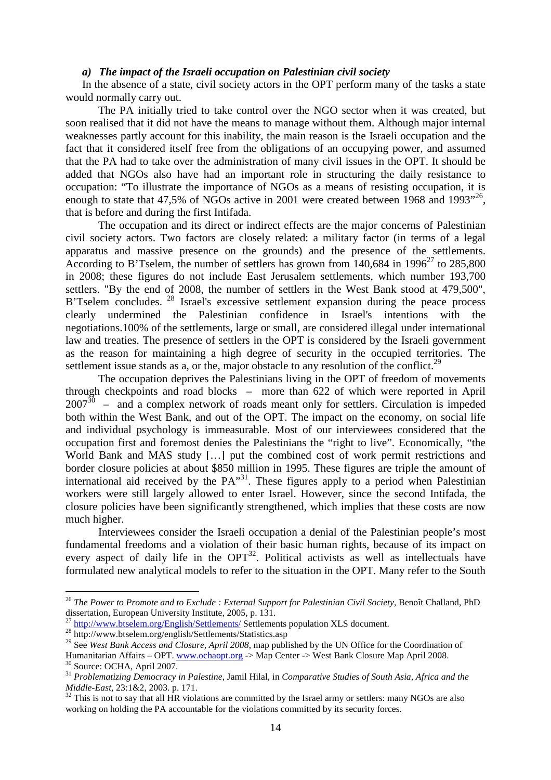#### *a) The impact of the Israeli occupation on Palestinian civil society*

In the absence of a state, civil society actors in the OPT perform many of the tasks a state would normally carry out.

 The PA initially tried to take control over the NGO sector when it was created, but soon realised that it did not have the means to manage without them. Although major internal weaknesses partly account for this inability, the main reason is the Israeli occupation and the fact that it considered itself free from the obligations of an occupying power, and assumed that the PA had to take over the administration of many civil issues in the OPT. It should be added that NGOs also have had an important role in structuring the daily resistance to occupation: "To illustrate the importance of NGOs as a means of resisting occupation, it is enough to state that 47,5% of NGOs active in 2001 were created between 1968 and 1993 $^{326}$ , that is before and during the first Intifada.

 The occupation and its direct or indirect effects are the major concerns of Palestinian civil society actors. Two factors are closely related: a military factor (in terms of a legal apparatus and massive presence on the grounds) and the presence of the settlements. According to B'Tselem, the number of settlers has grown from  $140,684$  in  $1996^{27}$  to  $285,800$ in 2008; these figures do not include East Jerusalem settlements, which number 193,700 settlers. "By the end of 2008, the number of settlers in the West Bank stood at 479,500", B'Tselem concludes.<sup>28</sup> Israel's excessive settlement expansion during the peace process clearly undermined the Palestinian confidence in Israel's intentions with the negotiations.100% of the settlements, large or small, are considered illegal under international law and treaties. The presence of settlers in the OPT is considered by the Israeli government as the reason for maintaining a high degree of security in the occupied territories. The settlement issue stands as a, or the, major obstacle to any resolution of the conflict.<sup>29</sup>

 The occupation deprives the Palestinians living in the OPT of freedom of movements through checkpoints and road blocks – more than 622 of which were reported in April  $2007^{30}$  – and a complex network of roads meant only for settlers. Circulation is impeded both within the West Bank, and out of the OPT. The impact on the economy, on social life and individual psychology is immeasurable. Most of our interviewees considered that the occupation first and foremost denies the Palestinians the "right to live". Economically, "the World Bank and MAS study […] put the combined cost of work permit restrictions and border closure policies at about \$850 million in 1995. These figures are triple the amount of international aid received by the PA<sup>"31</sup>. These figures apply to a period when Palestinian workers were still largely allowed to enter Israel. However, since the second Intifada, the closure policies have been significantly strengthened, which implies that these costs are now much higher.

Interviewees consider the Israeli occupation a denial of the Palestinian people's most fundamental freedoms and a violation of their basic human rights, because of its impact on every aspect of daily life in the OPT<sup>32</sup>. Political activists as well as intellectuals have formulated new analytical models to refer to the situation in the OPT. Many refer to the South

<sup>&</sup>lt;sup>26</sup> The Power to Promote and to Exclude : External Support for Palestinian Civil Society, Benoît Challand, PhD dissertation, European University Institute, 2005, p. 131.

<sup>&</sup>lt;sup>27</sup> http://www.btselem.org/English/Settlements/ Settlements population XLS document.

<sup>&</sup>lt;sup>28</sup> http://www.btselem.org/english/Settlements/Statistics.asp

<sup>&</sup>lt;sup>29</sup> See *West Bank Access and Closure, April 2008*, map published by the UN Office for the Coordination of

Humanitarian Affairs – OPT. www.ochaopt.org -> Map Center -> West Bank Closure Map April 2008. <sup>30</sup> Source: OCHA, April 2007.

<sup>31</sup> *Problematizing Democracy in Palestine*, Jamil Hilal, in *Comparative Studies of South Asia, Africa and the Middle-East*, 23:1&2, 2003. p. 171.

 $32$  This is not to say that all HR violations are committed by the Israel army or settlers: many NGOs are also working on holding the PA accountable for the violations committed by its security forces.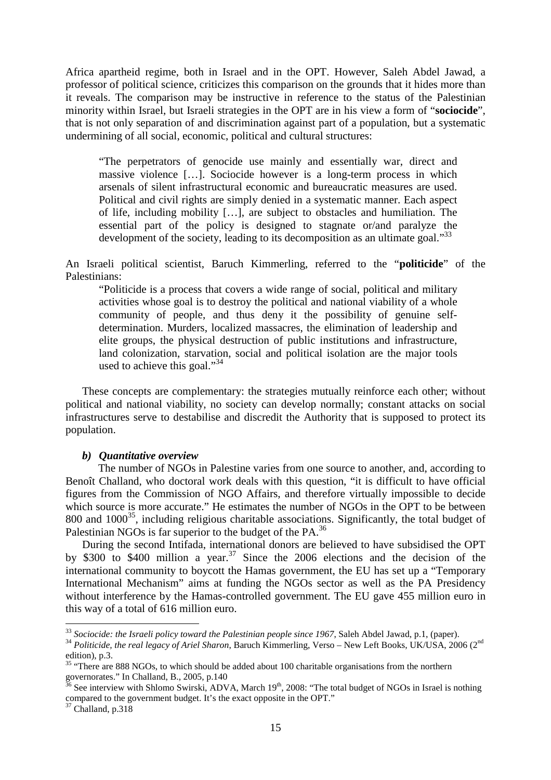Africa apartheid regime, both in Israel and in the OPT. However, Saleh Abdel Jawad, a professor of political science, criticizes this comparison on the grounds that it hides more than it reveals. The comparison may be instructive in reference to the status of the Palestinian minority within Israel, but Israeli strategies in the OPT are in his view a form of "**sociocide**", that is not only separation of and discrimination against part of a population, but a systematic undermining of all social, economic, political and cultural structures:

"The perpetrators of genocide use mainly and essentially war, direct and massive violence […]. Sociocide however is a long-term process in which arsenals of silent infrastructural economic and bureaucratic measures are used. Political and civil rights are simply denied in a systematic manner. Each aspect of life, including mobility […], are subject to obstacles and humiliation. The essential part of the policy is designed to stagnate or/and paralyze the development of the society, leading to its decomposition as an ultimate goal."<sup>33</sup>

An Israeli political scientist, Baruch Kimmerling, referred to the "**politicide**" of the Palestinians:

"Politicide is a process that covers a wide range of social, political and military activities whose goal is to destroy the political and national viability of a whole community of people, and thus deny it the possibility of genuine selfdetermination. Murders, localized massacres, the elimination of leadership and elite groups, the physical destruction of public institutions and infrastructure, land colonization, starvation, social and political isolation are the major tools used to achieve this goal."<sup>34</sup>

These concepts are complementary: the strategies mutually reinforce each other; without political and national viability, no society can develop normally; constant attacks on social infrastructures serve to destabilise and discredit the Authority that is supposed to protect its population.

### *b) Quantitative overview*

 The number of NGOs in Palestine varies from one source to another, and, according to Benoît Challand, who doctoral work deals with this question, "it is difficult to have official figures from the Commission of NGO Affairs, and therefore virtually impossible to decide which source is more accurate." He estimates the number of NGOs in the OPT to be between 800 and  $1000^{35}$ , including religious charitable associations. Significantly, the total budget of Palestinian NGOs is far superior to the budget of the PA.<sup>36</sup>

During the second Intifada, international donors are believed to have subsidised the OPT by \$300 to \$400 million a year.<sup>37</sup> Since the 2006 elections and the decision of the international community to boycott the Hamas government, the EU has set up a "Temporary International Mechanism" aims at funding the NGOs sector as well as the PA Presidency without interference by the Hamas-controlled government. The EU gave 455 million euro in this way of a total of 616 million euro.

<sup>&</sup>lt;sup>33</sup> Sociocide: the Israeli policy toward the Palestinian people since 1967, Saleh Abdel Jawad, p.1, (paper).

<sup>&</sup>lt;sup>34</sup> Politicide, the real legacy of Ariel Sharon, Baruch Kimmerling, Verso – New Left Books, UK/USA, 2006 (2<sup>nd</sup>) edition), p.3.

<sup>&</sup>lt;sup>35</sup> "There are 888 NGOs, to which should be added about 100 charitable organisations from the northern governorates." In Challand, B., 2005, p.140 $\frac{36}{36}$  S.

<sup>&</sup>lt;sup>6</sup> See interview with Shlomo Swirski, ADVA, March 19<sup>th</sup>, 2008: "The total budget of NGOs in Israel is nothing compared to the government budget. It's the exact opposite in the OPT."

 $37$  Challand, p.318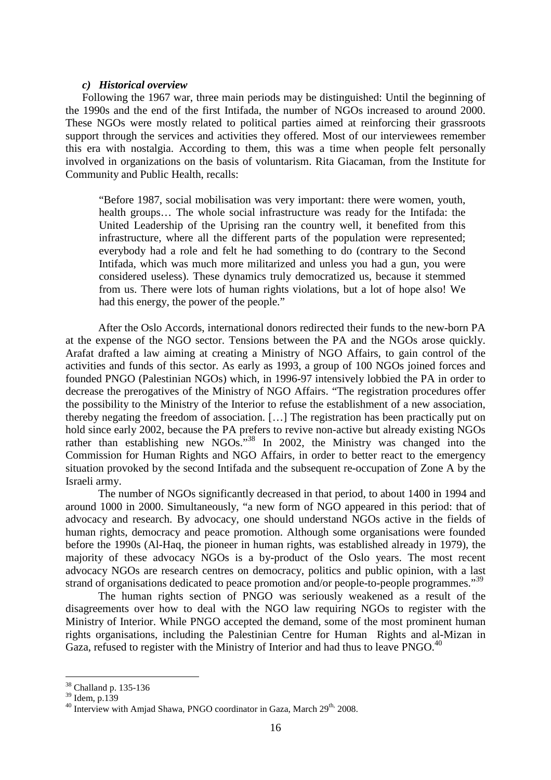#### *c) Historical overview*

Following the 1967 war, three main periods may be distinguished: Until the beginning of the 1990s and the end of the first Intifada, the number of NGOs increased to around 2000. These NGOs were mostly related to political parties aimed at reinforcing their grassroots support through the services and activities they offered. Most of our interviewees remember this era with nostalgia. According to them, this was a time when people felt personally involved in organizations on the basis of voluntarism. Rita Giacaman, from the Institute for Community and Public Health, recalls:

"Before 1987, social mobilisation was very important: there were women, youth, health groups… The whole social infrastructure was ready for the Intifada: the United Leadership of the Uprising ran the country well, it benefited from this infrastructure, where all the different parts of the population were represented; everybody had a role and felt he had something to do (contrary to the Second Intifada, which was much more militarized and unless you had a gun, you were considered useless). These dynamics truly democratized us, because it stemmed from us. There were lots of human rights violations, but a lot of hope also! We had this energy, the power of the people."

After the Oslo Accords, international donors redirected their funds to the new-born PA at the expense of the NGO sector. Tensions between the PA and the NGOs arose quickly. Arafat drafted a law aiming at creating a Ministry of NGO Affairs, to gain control of the activities and funds of this sector. As early as 1993, a group of 100 NGOs joined forces and founded PNGO (Palestinian NGOs) which, in 1996-97 intensively lobbied the PA in order to decrease the prerogatives of the Ministry of NGO Affairs. "The registration procedures offer the possibility to the Ministry of the Interior to refuse the establishment of a new association, thereby negating the freedom of association. […] The registration has been practically put on hold since early 2002, because the PA prefers to revive non-active but already existing NGOs rather than establishing new NGOs."<sup>38</sup> In 2002, the Ministry was changed into the Commission for Human Rights and NGO Affairs, in order to better react to the emergency situation provoked by the second Intifada and the subsequent re-occupation of Zone A by the Israeli army.

The number of NGOs significantly decreased in that period, to about 1400 in 1994 and around 1000 in 2000. Simultaneously, "a new form of NGO appeared in this period: that of advocacy and research. By advocacy, one should understand NGOs active in the fields of human rights, democracy and peace promotion. Although some organisations were founded before the 1990s (Al-Haq, the pioneer in human rights, was established already in 1979), the majority of these advocacy NGOs is a by-product of the Oslo years. The most recent advocacy NGOs are research centres on democracy, politics and public opinion, with a last strand of organisations dedicated to peace promotion and/or people-to-people programmes."<sup>39</sup>

 The human rights section of PNGO was seriously weakened as a result of the disagreements over how to deal with the NGO law requiring NGOs to register with the Ministry of Interior. While PNGO accepted the demand, some of the most prominent human rights organisations, including the Palestinian Centre for Human Rights and al-Mizan in Gaza, refused to register with the Ministry of Interior and had thus to leave PNGO.<sup>40</sup>

<sup>38</sup> Challand p. 135-136

 $39$  Idem, p.139

 $40$  Interview with Amjad Shawa, PNGO coordinator in Gaza, March  $29<sup>th</sup>$ , 2008.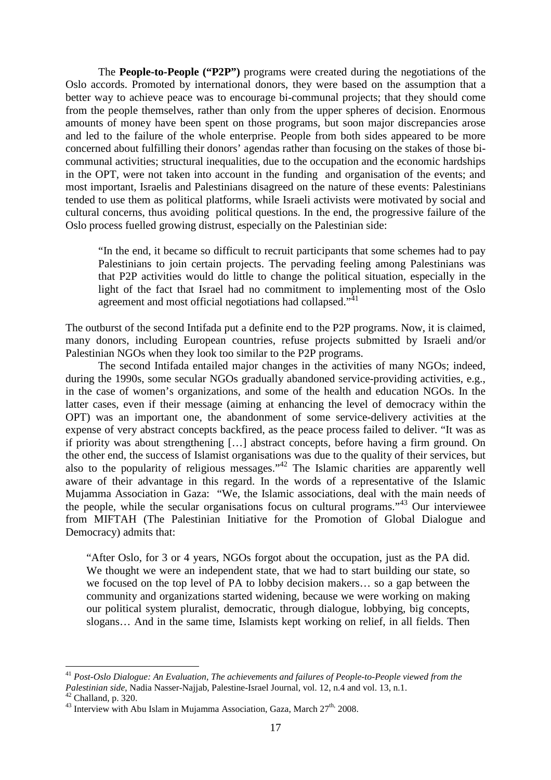The **People-to-People ("P2P")** programs were created during the negotiations of the Oslo accords. Promoted by international donors, they were based on the assumption that a better way to achieve peace was to encourage bi-communal projects; that they should come from the people themselves, rather than only from the upper spheres of decision. Enormous amounts of money have been spent on those programs, but soon major discrepancies arose and led to the failure of the whole enterprise. People from both sides appeared to be more concerned about fulfilling their donors' agendas rather than focusing on the stakes of those bicommunal activities; structural inequalities, due to the occupation and the economic hardships in the OPT, were not taken into account in the funding and organisation of the events; and most important, Israelis and Palestinians disagreed on the nature of these events: Palestinians tended to use them as political platforms, while Israeli activists were motivated by social and cultural concerns, thus avoiding political questions. In the end, the progressive failure of the Oslo process fuelled growing distrust, especially on the Palestinian side:

"In the end, it became so difficult to recruit participants that some schemes had to pay Palestinians to join certain projects. The pervading feeling among Palestinians was that P2P activities would do little to change the political situation, especially in the light of the fact that Israel had no commitment to implementing most of the Oslo agreement and most official negotiations had collapsed." $\frac{1}{4}$ 

The outburst of the second Intifada put a definite end to the P2P programs. Now, it is claimed, many donors, including European countries, refuse projects submitted by Israeli and/or Palestinian NGOs when they look too similar to the P2P programs.

 The second Intifada entailed major changes in the activities of many NGOs; indeed, during the 1990s, some secular NGOs gradually abandoned service-providing activities, e.g., in the case of women's organizations, and some of the health and education NGOs. In the latter cases, even if their message (aiming at enhancing the level of democracy within the OPT) was an important one, the abandonment of some service-delivery activities at the expense of very abstract concepts backfired, as the peace process failed to deliver. "It was as if priority was about strengthening […] abstract concepts, before having a firm ground. On the other end, the success of Islamist organisations was due to the quality of their services, but also to the popularity of religious messages."<sup>42</sup> The Islamic charities are apparently well aware of their advantage in this regard. In the words of a representative of the Islamic Mujamma Association in Gaza: "We, the Islamic associations, deal with the main needs of the people, while the secular organisations focus on cultural programs."<sup>43</sup> Our interviewee from MIFTAH (The Palestinian Initiative for the Promotion of Global Dialogue and Democracy) admits that:

"After Oslo, for 3 or 4 years, NGOs forgot about the occupation, just as the PA did. We thought we were an independent state, that we had to start building our state, so we focused on the top level of PA to lobby decision makers… so a gap between the community and organizations started widening, because we were working on making our political system pluralist, democratic, through dialogue, lobbying, big concepts, slogans… And in the same time, Islamists kept working on relief, in all fields. Then

<sup>41</sup> *Post-Oslo Dialogue: An Evaluation, The achievements and failures of People-to-People viewed from the Palestinian side*, Nadia Nasser-Najjab, Palestine-Israel Journal, vol. 12, n.4 and vol. 13, n.1.  $42$  Challand, p. 320.

 $^{43}$  Interview with Abu Islam in Mujamma Association, Gaza, March  $27<sup>th</sup>$ , 2008.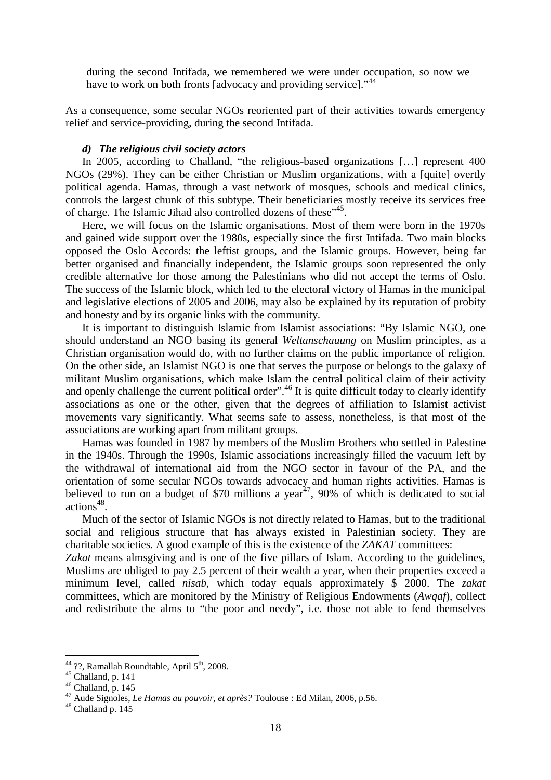during the second Intifada, we remembered we were under occupation, so now we have to work on both fronts [advocacy and providing service]."<sup>44</sup>

As a consequence, some secular NGOs reoriented part of their activities towards emergency relief and service-providing, during the second Intifada.

### *d) The religious civil society actors*

In 2005, according to Challand, "the religious-based organizations […] represent 400 NGOs (29%). They can be either Christian or Muslim organizations, with a [quite] overtly political agenda. Hamas, through a vast network of mosques, schools and medical clinics, controls the largest chunk of this subtype. Their beneficiaries mostly receive its services free of charge. The Islamic Jihad also controlled dozens of these"<sup>45</sup>.

Here, we will focus on the Islamic organisations. Most of them were born in the 1970s and gained wide support over the 1980s, especially since the first Intifada. Two main blocks opposed the Oslo Accords: the leftist groups, and the Islamic groups. However, being far better organised and financially independent, the Islamic groups soon represented the only credible alternative for those among the Palestinians who did not accept the terms of Oslo. The success of the Islamic block, which led to the electoral victory of Hamas in the municipal and legislative elections of 2005 and 2006, may also be explained by its reputation of probity and honesty and by its organic links with the community.

It is important to distinguish Islamic from Islamist associations: "By Islamic NGO, one should understand an NGO basing its general *Weltanschauung* on Muslim principles, as a Christian organisation would do, with no further claims on the public importance of religion. On the other side, an Islamist NGO is one that serves the purpose or belongs to the galaxy of militant Muslim organisations, which make Islam the central political claim of their activity and openly challenge the current political order".<sup>46</sup> It is quite difficult today to clearly identify associations as one or the other, given that the degrees of affiliation to Islamist activist movements vary significantly. What seems safe to assess, nonetheless, is that most of the associations are working apart from militant groups.

Hamas was founded in 1987 by members of the Muslim Brothers who settled in Palestine in the 1940s. Through the 1990s, Islamic associations increasingly filled the vacuum left by the withdrawal of international aid from the NGO sector in favour of the PA, and the orientation of some secular NGOs towards advocacy and human rights activities. Hamas is believed to run on a budget of \$70 millions a year<sup> $47$ </sup>, 90% of which is dedicated to social actions<sup>48</sup>.

Much of the sector of Islamic NGOs is not directly related to Hamas, but to the traditional social and religious structure that has always existed in Palestinian society. They are charitable societies. A good example of this is the existence of the *ZAKAT* committees:

Zakat means almsgiving and is one of the five pillars of Islam. According to the guidelines, Muslims are obliged to pay 2.5 percent of their wealth a year, when their properties exceed a minimum level, called *nisab,* which today equals approximately \$ 2000. The *zakat*  committees, which are monitored by the Ministry of Religious Endowments (*Awqaf*), collect and redistribute the alms to "the poor and needy", i.e. those not able to fend themselves

 $44$  ??, Ramallah Roundtable, April  $5<sup>th</sup>$ , 2008.

 $45$  Challand, p. 141

 $46$  Challand, p. 145

<sup>47</sup> Aude Signoles, *Le Hamas au pouvoir, et après?* Toulouse : Ed Milan, 2006, p.56.

<sup>48</sup> Challand p. 145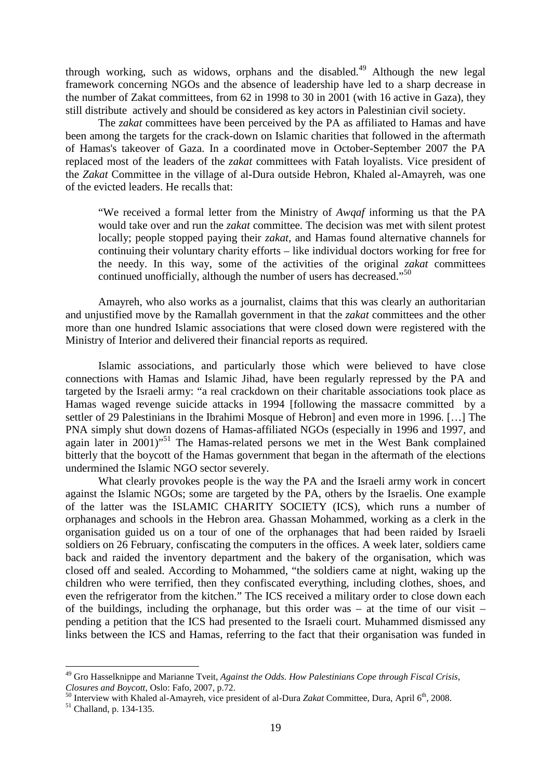through working, such as widows, orphans and the disabled.<sup>49</sup> Although the new legal framework concerning NGOs and the absence of leadership have led to a sharp decrease in the number of Zakat committees, from 62 in 1998 to 30 in 2001 (with 16 active in Gaza), they still distribute actively and should be considered as key actors in Palestinian civil society.

The *zakat* committees have been perceived by the PA as affiliated to Hamas and have been among the targets for the crack-down on Islamic charities that followed in the aftermath of Hamas's takeover of Gaza. In a coordinated move in October-September 2007 the PA replaced most of the leaders of the *zakat* committees with Fatah loyalists. Vice president of the *Zakat* Committee in the village of al-Dura outside Hebron, Khaled al-Amayreh, was one of the evicted leaders. He recalls that:

"We received a formal letter from the Ministry of *Awqaf* informing us that the PA would take over and run the *zakat* committee. The decision was met with silent protest locally; people stopped paying their *zakat,* and Hamas found alternative channels for continuing their voluntary charity efforts – like individual doctors working for free for the needy. In this way, some of the activities of the original *zakat* committees continued unofficially, although the number of users has decreased."<sup>50</sup>

Amayreh, who also works as a journalist, claims that this was clearly an authoritarian and unjustified move by the Ramallah government in that the *zakat* committees and the other more than one hundred Islamic associations that were closed down were registered with the Ministry of Interior and delivered their financial reports as required.

Islamic associations, and particularly those which were believed to have close connections with Hamas and Islamic Jihad, have been regularly repressed by the PA and targeted by the Israeli army: "a real crackdown on their charitable associations took place as Hamas waged revenge suicide attacks in 1994 [following the massacre committed by a settler of 29 Palestinians in the Ibrahimi Mosque of Hebron] and even more in 1996. […] The PNA simply shut down dozens of Hamas-affiliated NGOs (especially in 1996 and 1997, and again later in 2001)"<sup>51</sup> The Hamas-related persons we met in the West Bank complained bitterly that the boycott of the Hamas government that began in the aftermath of the elections undermined the Islamic NGO sector severely.

What clearly provokes people is the way the PA and the Israeli army work in concert against the Islamic NGOs; some are targeted by the PA, others by the Israelis. One example of the latter was the ISLAMIC CHARITY SOCIETY (ICS), which runs a number of orphanages and schools in the Hebron area. Ghassan Mohammed, working as a clerk in the organisation guided us on a tour of one of the orphanages that had been raided by Israeli soldiers on 26 February, confiscating the computers in the offices. A week later, soldiers came back and raided the inventory department and the bakery of the organisation, which was closed off and sealed. According to Mohammed, "the soldiers came at night, waking up the children who were terrified, then they confiscated everything, including clothes, shoes, and even the refrigerator from the kitchen." The ICS received a military order to close down each of the buildings, including the orphanage, but this order was – at the time of our visit – pending a petition that the ICS had presented to the Israeli court. Muhammed dismissed any links between the ICS and Hamas, referring to the fact that their organisation was funded in

<sup>49</sup> Gro Hasselknippe and Marianne Tveit, *Against the Odds. How Palestinians Cope through Fiscal Crisis, Closures and Boycott*, Oslo: Fafo, 2007, p.72.

<sup>&</sup>lt;sup>50</sup> Interview with Khaled al-Amayreh, vice president of al-Dura *Zakat* Committee, Dura, April 6<sup>th</sup>, 2008.

<sup>51</sup> Challand, p. 134-135.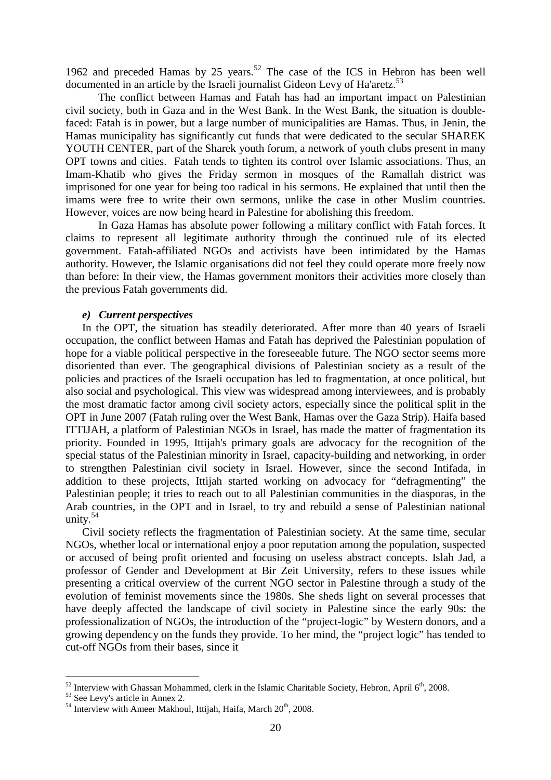1962 and preceded Hamas by  $25$  years.<sup>52</sup> The case of the ICS in Hebron has been well documented in an article by the Israeli journalist Gideon Levy of Ha'aretz.<sup>53</sup>

 The conflict between Hamas and Fatah has had an important impact on Palestinian civil society, both in Gaza and in the West Bank. In the West Bank, the situation is doublefaced: Fatah is in power, but a large number of municipalities are Hamas. Thus, in Jenin, the Hamas municipality has significantly cut funds that were dedicated to the secular SHAREK YOUTH CENTER, part of the Sharek youth forum, a network of youth clubs present in many OPT towns and cities. Fatah tends to tighten its control over Islamic associations. Thus, an Imam-Khatib who gives the Friday sermon in mosques of the Ramallah district was imprisoned for one year for being too radical in his sermons. He explained that until then the imams were free to write their own sermons, unlike the case in other Muslim countries. However, voices are now being heard in Palestine for abolishing this freedom.

 In Gaza Hamas has absolute power following a military conflict with Fatah forces. It claims to represent all legitimate authority through the continued rule of its elected government. Fatah-affiliated NGOs and activists have been intimidated by the Hamas authority. However, the Islamic organisations did not feel they could operate more freely now than before: In their view, the Hamas government monitors their activities more closely than the previous Fatah governments did.

### *e) Current perspectives*

In the OPT, the situation has steadily deteriorated. After more than 40 years of Israeli occupation, the conflict between Hamas and Fatah has deprived the Palestinian population of hope for a viable political perspective in the foreseeable future. The NGO sector seems more disoriented than ever. The geographical divisions of Palestinian society as a result of the policies and practices of the Israeli occupation has led to fragmentation, at once political, but also social and psychological. This view was widespread among interviewees, and is probably the most dramatic factor among civil society actors, especially since the political split in the OPT in June 2007 (Fatah ruling over the West Bank, Hamas over the Gaza Strip). Haifa based ITTIJAH, a platform of Palestinian NGOs in Israel, has made the matter of fragmentation its priority. Founded in 1995, Ittijah's primary goals are advocacy for the recognition of the special status of the Palestinian minority in Israel, capacity-building and networking, in order to strengthen Palestinian civil society in Israel. However, since the second Intifada, in addition to these projects, Ittijah started working on advocacy for "defragmenting" the Palestinian people; it tries to reach out to all Palestinian communities in the diasporas, in the Arab countries, in the OPT and in Israel, to try and rebuild a sense of Palestinian national unity. $54$ 

Civil society reflects the fragmentation of Palestinian society. At the same time, secular NGOs, whether local or international enjoy a poor reputation among the population, suspected or accused of being profit oriented and focusing on useless abstract concepts. Islah Jad, a professor of Gender and Development at Bir Zeit University, refers to these issues while presenting a critical overview of the current NGO sector in Palestine through a study of the evolution of feminist movements since the 1980s. She sheds light on several processes that have deeply affected the landscape of civil society in Palestine since the early 90s: the professionalization of NGOs, the introduction of the "project-logic" by Western donors, and a growing dependency on the funds they provide. To her mind, the "project logic" has tended to cut-off NGOs from their bases, since it

 $52$  Interview with Ghassan Mohammed, clerk in the Islamic Charitable Society, Hebron, April  $6<sup>th</sup>$ , 2008.

<sup>&</sup>lt;sup>53</sup> See Levy's article in Annex 2.

 $54$  Interview with Ameer Makhoul, Ittijah, Haifa, March  $20^{th}$ , 2008.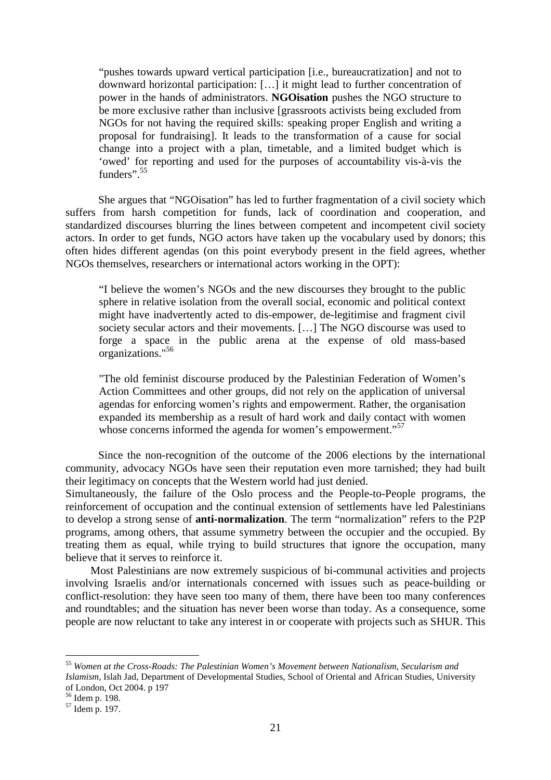"pushes towards upward vertical participation [i.e., bureaucratization] and not to downward horizontal participation: […] it might lead to further concentration of power in the hands of administrators. **NGOisation** pushes the NGO structure to be more exclusive rather than inclusive [grassroots activists being excluded from NGOs for not having the required skills: speaking proper English and writing a proposal for fundraising]. It leads to the transformation of a cause for social change into a project with a plan, timetable, and a limited budget which is 'owed' for reporting and used for the purposes of accountability vis-à-vis the funders".<sup>55</sup>

She argues that "NGOisation" has led to further fragmentation of a civil society which suffers from harsh competition for funds, lack of coordination and cooperation, and standardized discourses blurring the lines between competent and incompetent civil society actors. In order to get funds, NGO actors have taken up the vocabulary used by donors; this often hides different agendas (on this point everybody present in the field agrees, whether NGOs themselves, researchers or international actors working in the OPT):

"I believe the women's NGOs and the new discourses they brought to the public sphere in relative isolation from the overall social, economic and political context might have inadvertently acted to dis-empower, de-legitimise and fragment civil society secular actors and their movements. […] The NGO discourse was used to forge a space in the public arena at the expense of old mass-based organizations."<sup>56</sup>

"The old feminist discourse produced by the Palestinian Federation of Women's Action Committees and other groups, did not rely on the application of universal agendas for enforcing women's rights and empowerment. Rather, the organisation expanded its membership as a result of hard work and daily contact with women whose concerns informed the agenda for women's empowerment."<sup>57</sup>

Since the non-recognition of the outcome of the 2006 elections by the international community, advocacy NGOs have seen their reputation even more tarnished; they had built their legitimacy on concepts that the Western world had just denied.

Simultaneously, the failure of the Oslo process and the People-to-People programs, the reinforcement of occupation and the continual extension of settlements have led Palestinians to develop a strong sense of **anti-normalization**. The term "normalization" refers to the P2P programs, among others, that assume symmetry between the occupier and the occupied. By treating them as equal, while trying to build structures that ignore the occupation, many believe that it serves to reinforce it.

Most Palestinians are now extremely suspicious of bi-communal activities and projects involving Israelis and/or internationals concerned with issues such as peace-building or conflict-resolution: they have seen too many of them, there have been too many conferences and roundtables; and the situation has never been worse than today. As a consequence, some people are now reluctant to take any interest in or cooperate with projects such as SHUR. This

<sup>55</sup> *Women at the Cross-Roads: The Palestinian Women's Movement between Nationalism, Secularism and Islamism,* Islah Jad, Department of Developmental Studies, School of Oriental and African Studies, University of London, Oct 2004. p 197

<sup>56</sup> Idem p. 198.

<sup>57</sup> Idem p. 197.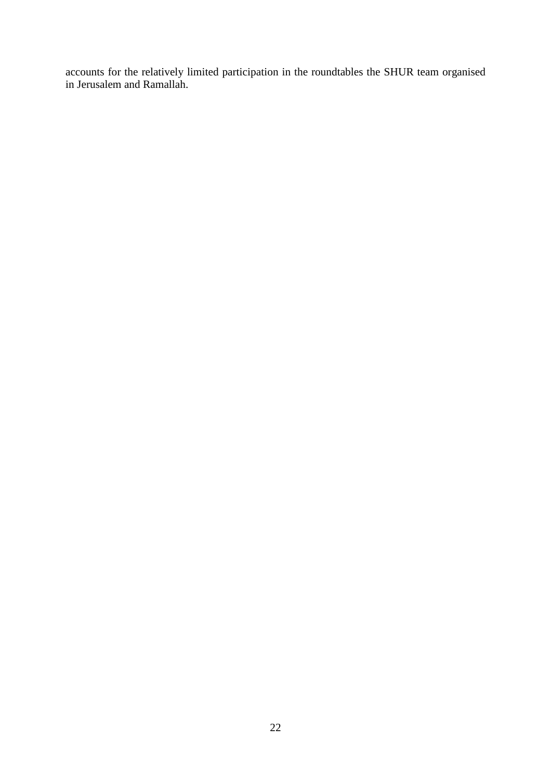accounts for the relatively limited participation in the roundtables the SHUR team organised in Jerusalem and Ramallah.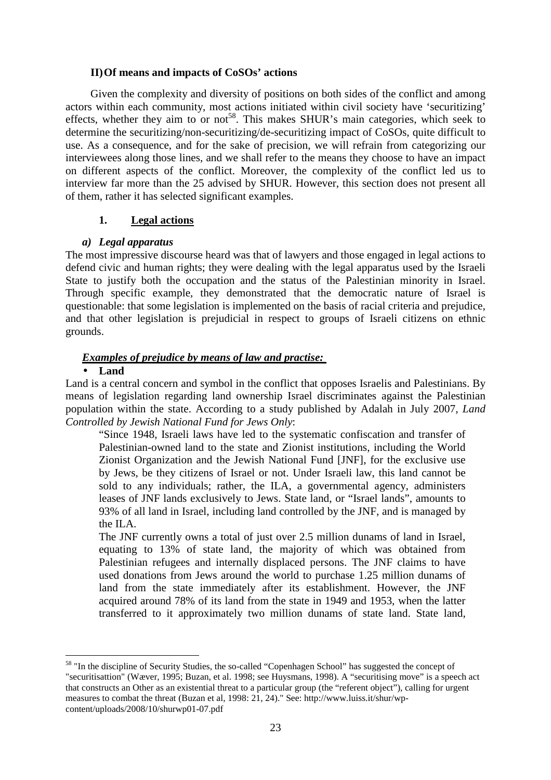## **II)Of means and impacts of CoSOs' actions**

Given the complexity and diversity of positions on both sides of the conflict and among actors within each community, most actions initiated within civil society have 'securitizing' effects, whether they aim to or not<sup>58</sup>. This makes SHUR's main categories, which seek to determine the securitizing/non-securitizing/de-securitizing impact of CoSOs, quite difficult to use. As a consequence, and for the sake of precision, we will refrain from categorizing our interviewees along those lines, and we shall refer to the means they choose to have an impact on different aspects of the conflict. Moreover, the complexity of the conflict led us to interview far more than the 25 advised by SHUR. However, this section does not present all of them, rather it has selected significant examples.

### **1. Legal actions**

### *a) Legal apparatus*

The most impressive discourse heard was that of lawyers and those engaged in legal actions to defend civic and human rights; they were dealing with the legal apparatus used by the Israeli State to justify both the occupation and the status of the Palestinian minority in Israel. Through specific example, they demonstrated that the democratic nature of Israel is questionable: that some legislation is implemented on the basis of racial criteria and prejudice, and that other legislation is prejudicial in respect to groups of Israeli citizens on ethnic grounds.

# *Examples of prejudice by means of law and practise:*

### • **Land**

 $\overline{a}$ 

Land is a central concern and symbol in the conflict that opposes Israelis and Palestinians. By means of legislation regarding land ownership Israel discriminates against the Palestinian population within the state. According to a study published by Adalah in July 2007, *Land Controlled by Jewish National Fund for Jews Only*:

"Since 1948, Israeli laws have led to the systematic confiscation and transfer of Palestinian-owned land to the state and Zionist institutions, including the World Zionist Organization and the Jewish National Fund [JNF], for the exclusive use by Jews, be they citizens of Israel or not. Under Israeli law, this land cannot be sold to any individuals; rather, the ILA, a governmental agency, administers leases of JNF lands exclusively to Jews. State land, or "Israel lands", amounts to 93% of all land in Israel, including land controlled by the JNF, and is managed by the ILA.

The JNF currently owns a total of just over 2.5 million dunams of land in Israel, equating to 13% of state land, the majority of which was obtained from Palestinian refugees and internally displaced persons. The JNF claims to have used donations from Jews around the world to purchase 1.25 million dunams of land from the state immediately after its establishment. However, the JNF acquired around 78% of its land from the state in 1949 and 1953, when the latter transferred to it approximately two million dunams of state land. State land,

<sup>58</sup> "In the discipline of Security Studies, the so-called "Copenhagen School" has suggested the concept of "securitisattion" (Wæver, 1995; Buzan, et al. 1998; see Huysmans, 1998). A "securitising move" is a speech act that constructs an Other as an existential threat to a particular group (the "referent object"), calling for urgent measures to combat the threat (Buzan et al, 1998: 21, 24)." See: http://www.luiss.it/shur/wpcontent/uploads/2008/10/shurwp01-07.pdf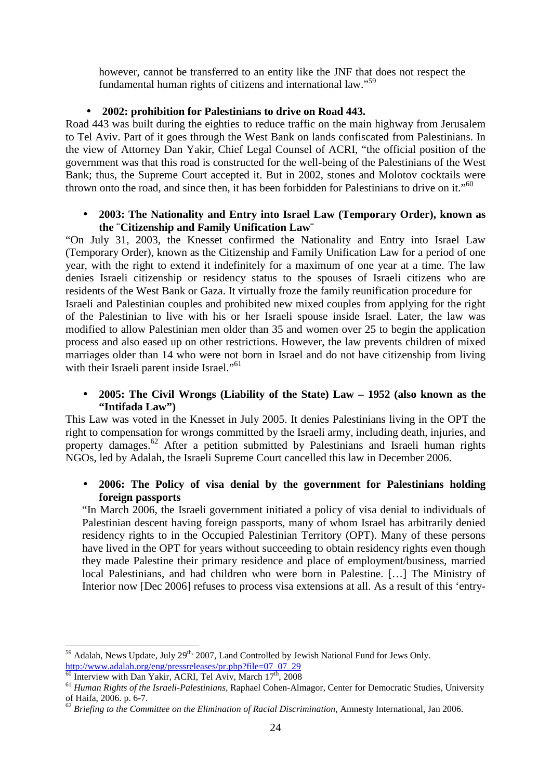however, cannot be transferred to an entity like the JNF that does not respect the fundamental human rights of citizens and international law."<sup>59</sup>

# • **2002: prohibition for Palestinians to drive on Road 443.**

Road 443 was built during the eighties to reduce traffic on the main highway from Jerusalem to Tel Aviv. Part of it goes through the West Bank on lands confiscated from Palestinians. In the view of Attorney Dan Yakir, Chief Legal Counsel of ACRI, "the official position of the government was that this road is constructed for the well-being of the Palestinians of the West Bank; thus, the Supreme Court accepted it. But in 2002, stones and Molotov cocktails were thrown onto the road, and since then, it has been forbidden for Palestinians to drive on it."<sup>60</sup>

# • **2003: The Nationality and Entry into Israel Law (Temporary Order), known as the ¨Citizenship and Family Unification Law¨**

"On July 31, 2003, the Knesset confirmed the Nationality and Entry into Israel Law (Temporary Order), known as the Citizenship and Family Unification Law for a period of one year, with the right to extend it indefinitely for a maximum of one year at a time. The law denies Israeli citizenship or residency status to the spouses of Israeli citizens who are residents of the West Bank or Gaza. It virtually froze the family reunification procedure for Israeli and Palestinian couples and prohibited new mixed couples from applying for the right of the Palestinian to live with his or her Israeli spouse inside Israel. Later, the law was modified to allow Palestinian men older than 35 and women over 25 to begin the application

process and also eased up on other restrictions. However, the law prevents children of mixed marriages older than 14 who were not born in Israel and do not have citizenship from living with their Israeli parent inside Israel."<sup>61</sup>

# • **2005: The Civil Wrongs (Liability of the State) Law – 1952 (also known as the "Intifada Law")**

This Law was voted in the Knesset in July 2005. It denies Palestinians living in the OPT the right to compensation for wrongs committed by the Israeli army, including death, injuries, and property damages.<sup>62</sup> After a petition submitted by Palestinians and Israeli human rights NGOs, led by Adalah, the Israeli Supreme Court cancelled this law in December 2006.

# • **2006: The Policy of visa denial by the government for Palestinians holding foreign passports**

"In March 2006, the Israeli government initiated a policy of visa denial to individuals of Palestinian descent having foreign passports, many of whom Israel has arbitrarily denied residency rights to in the Occupied Palestinian Territory (OPT). Many of these persons have lived in the OPT for years without succeeding to obtain residency rights even though they made Palestine their primary residence and place of employment/business, married local Palestinians, and had children who were born in Palestine. […] The Ministry of Interior now [Dec 2006] refuses to process visa extensions at all. As a result of this 'entry-

 $\overline{a}$  $^{59}$  Adalah, News Update, July 29<sup>th,</sup> 2007, Land Controlled by Jewish National Fund for Jews Only. http://www.adalah.org/eng/pressreleases/pr.php?file=07\_07\_29

Interview with Dan Yakir, ACRI, Tel Aviv, March 17<sup>th</sup>, 2008

<sup>61</sup> *Human Rights of the Israeli-Palestinians*, Raphael Cohen-Almagor, Center for Democratic Studies, University of Haifa, 2006. p. 6-7.

<sup>62</sup> *Briefing to the Committee on the Elimination of Racial Discrimination*, Amnesty International, Jan 2006.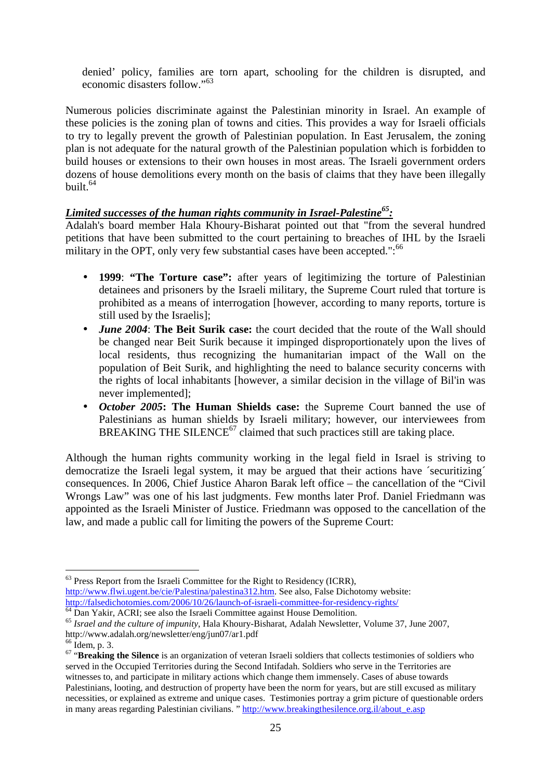denied' policy, families are torn apart, schooling for the children is disrupted, and economic disasters follow."<sup>63</sup>

Numerous policies discriminate against the Palestinian minority in Israel. An example of these policies is the zoning plan of towns and cities. This provides a way for Israeli officials to try to legally prevent the growth of Palestinian population. In East Jerusalem, the zoning plan is not adequate for the natural growth of the Palestinian population which is forbidden to build houses or extensions to their own houses in most areas. The Israeli government orders dozens of house demolitions every month on the basis of claims that they have been illegally built. $64$ 

# *Limited successes of the human rights community in Israel-Palestine<sup>65</sup> :*

Adalah's board member Hala Khoury-Bisharat pointed out that "from the several hundred petitions that have been submitted to the court pertaining to breaches of IHL by the Israeli military in the OPT, only very few substantial cases have been accepted.":<sup>66</sup>

- **1999**: **"The Torture case":** after years of legitimizing the torture of Palestinian detainees and prisoners by the Israeli military, the Supreme Court ruled that torture is prohibited as a means of interrogation [however, according to many reports, torture is still used by the Israelis];
- *June 2004*: **The Beit Surik case:** the court decided that the route of the Wall should be changed near Beit Surik because it impinged disproportionately upon the lives of local residents, thus recognizing the humanitarian impact of the Wall on the population of Beit Surik, and highlighting the need to balance security concerns with the rights of local inhabitants [however, a similar decision in the village of Bil'in was never implemented];
- *October 2005***: The Human Shields case:** the Supreme Court banned the use of Palestinians as human shields by Israeli military; however, our interviewees from BREAKING THE SILENCE $^{67}$  claimed that such practices still are taking place.

Although the human rights community working in the legal field in Israel is striving to democratize the Israeli legal system, it may be argued that their actions have 'securitizing' consequences. In 2006, Chief Justice Aharon Barak left office – the cancellation of the "Civil Wrongs Law" was one of his last judgments. Few months later Prof. Daniel Friedmann was appointed as the Israeli Minister of Justice. Friedmann was opposed to the cancellation of the law, and made a public call for limiting the powers of the Supreme Court:

 $\overline{a}$ <sup>63</sup> Press Report from the Israeli Committee for the Right to Residency (ICRR), http://www.flwi.ugent.be/cie/Palestina/palestina312.htm. See also, False Dichotomy website: http://falsedichotomies.com/2006/10/26/launch-of-israeli-committee-for-residency-rights/

 $\frac{64}{64}$  Dan Yakir, ACRI; see also the Israeli Committee against House Demolition.

<sup>65</sup> *Israel and the culture of impunity*, Hala Khoury-Bisharat, Adalah Newsletter, Volume 37, June 2007, http://www.adalah.org/newsletter/eng/jun07/ar1.pdf

<sup>66</sup> Idem, p. 3.

<sup>&</sup>lt;sup>67</sup> "**Breaking the Silence** is an organization of veteran Israeli soldiers that collects testimonies of soldiers who served in the Occupied Territories during the Second Intifadah. Soldiers who serve in the Territories are witnesses to, and participate in military actions which change them immensely. Cases of abuse towards Palestinians, looting, and destruction of property have been the norm for years, but are still excused as military necessities, or explained as extreme and unique cases. Testimonies portray a grim picture of questionable orders in many areas regarding Palestinian civilians. " http://www.breakingthesilence.org.il/about\_e.asp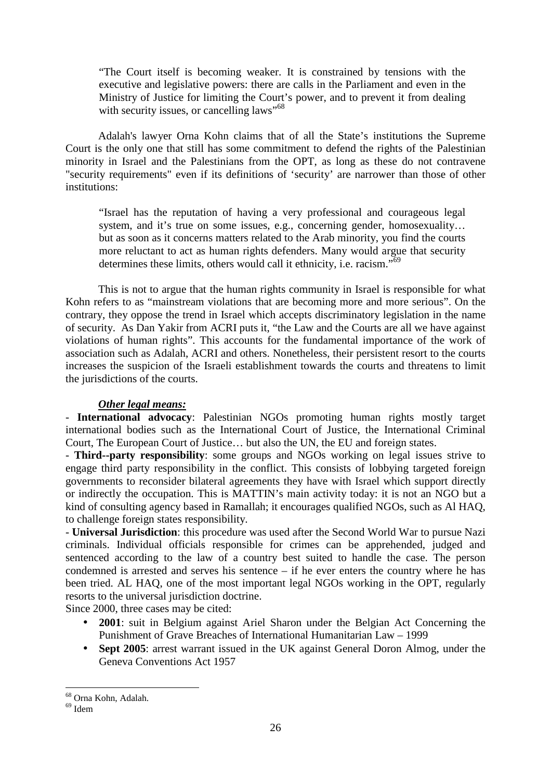"The Court itself is becoming weaker. It is constrained by tensions with the executive and legislative powers: there are calls in the Parliament and even in the Ministry of Justice for limiting the Court's power, and to prevent it from dealing with security issues, or cancelling laws"<sup>68</sup>

Adalah's lawyer Orna Kohn claims that of all the State's institutions the Supreme Court is the only one that still has some commitment to defend the rights of the Palestinian minority in Israel and the Palestinians from the OPT, as long as these do not contravene "security requirements" even if its definitions of 'security' are narrower than those of other institutions:

"Israel has the reputation of having a very professional and courageous legal system, and it's true on some issues, e.g., concerning gender, homosexuality... but as soon as it concerns matters related to the Arab minority, you find the courts more reluctant to act as human rights defenders. Many would argue that security determines these limits, others would call it ethnicity, i.e. racism."<sup>69</sup>

This is not to argue that the human rights community in Israel is responsible for what Kohn refers to as "mainstream violations that are becoming more and more serious". On the contrary, they oppose the trend in Israel which accepts discriminatory legislation in the name of security. As Dan Yakir from ACRI puts it, "the Law and the Courts are all we have against violations of human rights". This accounts for the fundamental importance of the work of association such as Adalah, ACRI and others. Nonetheless, their persistent resort to the courts increases the suspicion of the Israeli establishment towards the courts and threatens to limit the jurisdictions of the courts.

# *Other legal means:*

- **International advocacy**: Palestinian NGOs promoting human rights mostly target international bodies such as the International Court of Justice, the International Criminal Court, The European Court of Justice… but also the UN, the EU and foreign states.

- **Third--party responsibility**: some groups and NGOs working on legal issues strive to engage third party responsibility in the conflict. This consists of lobbying targeted foreign governments to reconsider bilateral agreements they have with Israel which support directly or indirectly the occupation. This is MATTIN's main activity today: it is not an NGO but a kind of consulting agency based in Ramallah; it encourages qualified NGOs, such as Al HAQ, to challenge foreign states responsibility.

- **Universal Jurisdiction**: this procedure was used after the Second World War to pursue Nazi criminals. Individual officials responsible for crimes can be apprehended, judged and sentenced according to the law of a country best suited to handle the case. The person condemned is arrested and serves his sentence – if he ever enters the country where he has been tried. AL HAQ, one of the most important legal NGOs working in the OPT, regularly resorts to the universal jurisdiction doctrine.

Since 2000, three cases may be cited:

- **2001**: suit in Belgium against Ariel Sharon under the Belgian Act Concerning the Punishment of Grave Breaches of International Humanitarian Law – 1999
- **Sept 2005**: arrest warrant issued in the UK against General Doron Almog, under the Geneva Conventions Act 1957

<sup>68</sup> Orna Kohn, Adalah.

<sup>69</sup> Idem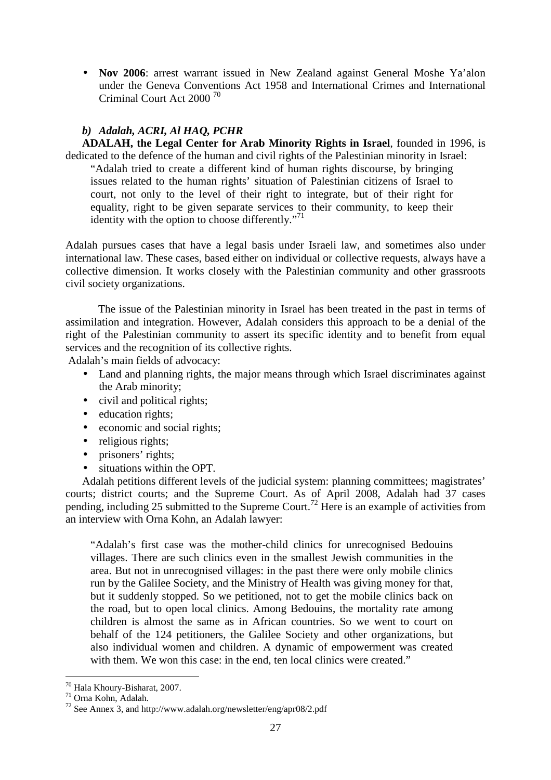• **Nov 2006**: arrest warrant issued in New Zealand against General Moshe Ya'alon under the Geneva Conventions Act 1958 and International Crimes and International Criminal Court Act 2000 <sup>70</sup>

# *b) Adalah, ACRI, Al HAQ, PCHR*

**ADALAH, the Legal Center for Arab Minority Rights in Israel**, founded in 1996, is dedicated to the defence of the human and civil rights of the Palestinian minority in Israel:

"Adalah tried to create a different kind of human rights discourse, by bringing issues related to the human rights' situation of Palestinian citizens of Israel to court, not only to the level of their right to integrate, but of their right for equality, right to be given separate services to their community, to keep their identity with the option to choose differently."<sup>71</sup>

Adalah pursues cases that have a legal basis under Israeli law, and sometimes also under international law. These cases, based either on individual or collective requests, always have a collective dimension. It works closely with the Palestinian community and other grassroots civil society organizations.

The issue of the Palestinian minority in Israel has been treated in the past in terms of assimilation and integration. However, Adalah considers this approach to be a denial of the right of the Palestinian community to assert its specific identity and to benefit from equal services and the recognition of its collective rights.

Adalah's main fields of advocacy:

- Land and planning rights, the major means through which Israel discriminates against the Arab minority;
- civil and political rights;
- education rights:
- economic and social rights;
- religious rights;
- prisoners' rights;
- situations within the OPT.

Adalah petitions different levels of the judicial system: planning committees; magistrates' courts; district courts; and the Supreme Court. As of April 2008, Adalah had 37 cases pending, including 25 submitted to the Supreme Court.<sup>72</sup> Here is an example of activities from an interview with Orna Kohn, an Adalah lawyer:

"Adalah's first case was the mother-child clinics for unrecognised Bedouins villages. There are such clinics even in the smallest Jewish communities in the area. But not in unrecognised villages: in the past there were only mobile clinics run by the Galilee Society, and the Ministry of Health was giving money for that, but it suddenly stopped. So we petitioned, not to get the mobile clinics back on the road, but to open local clinics. Among Bedouins, the mortality rate among children is almost the same as in African countries. So we went to court on behalf of the 124 petitioners, the Galilee Society and other organizations, but also individual women and children. A dynamic of empowerment was created with them. We won this case: in the end, ten local clinics were created."

<sup>70</sup> Hala Khoury-Bisharat, 2007.

<sup>71</sup> Orna Kohn, Adalah.

 $72$  See Annex 3, and http://www.adalah.org/newsletter/eng/apr08/2.pdf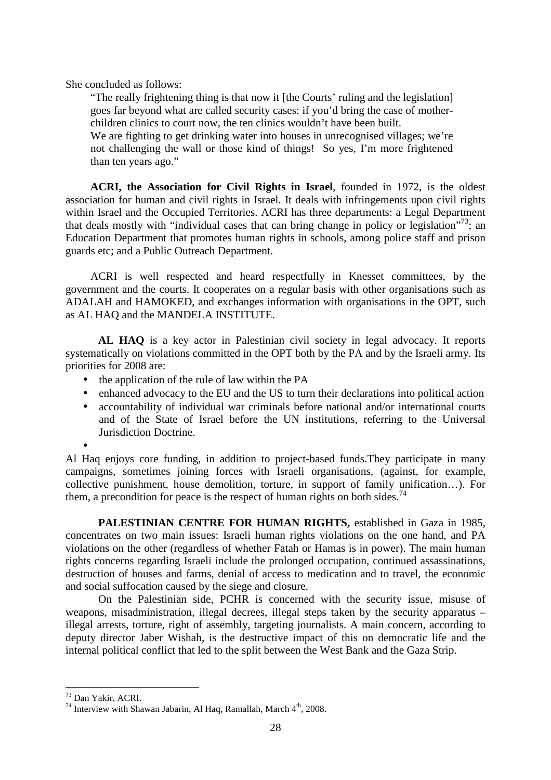She concluded as follows:

"The really frightening thing is that now it [the Courts' ruling and the legislation] goes far beyond what are called security cases: if you'd bring the case of motherchildren clinics to court now, the ten clinics wouldn't have been built.

We are fighting to get drinking water into houses in unrecognised villages; we're not challenging the wall or those kind of things! So yes, I'm more frightened than ten years ago."

**ACRI, the Association for Civil Rights in Israel**, founded in 1972, is the oldest association for human and civil rights in Israel. It deals with infringements upon civil rights within Israel and the Occupied Territories. ACRI has three departments: a Legal Department that deals mostly with "individual cases that can bring change in policy or legislation"<sup>73</sup>; an Education Department that promotes human rights in schools, among police staff and prison guards etc; and a Public Outreach Department.

ACRI is well respected and heard respectfully in Knesset committees, by the government and the courts. It cooperates on a regular basis with other organisations such as ADALAH and HAMOKED, and exchanges information with organisations in the OPT, such as AL HAQ and the MANDELA INSTITUTE.

**AL HAQ** is a key actor in Palestinian civil society in legal advocacy. It reports systematically on violations committed in the OPT both by the PA and by the Israeli army. Its priorities for 2008 are:

- the application of the rule of law within the PA
- enhanced advocacy to the EU and the US to turn their declarations into political action
- accountability of individual war criminals before national and/or international courts and of the State of Israel before the UN institutions, referring to the Universal Jurisdiction Doctrine.

•

Al Haq enjoys core funding, in addition to project-based funds.They participate in many campaigns, sometimes joining forces with Israeli organisations, (against, for example, collective punishment, house demolition, torture, in support of family unification…). For them, a precondition for peace is the respect of human rights on both sides.<sup>74</sup>

**PALESTINIAN CENTRE FOR HUMAN RIGHTS,** established in Gaza in 1985, concentrates on two main issues: Israeli human rights violations on the one hand, and PA violations on the other (regardless of whether Fatah or Hamas is in power). The main human rights concerns regarding Israeli include the prolonged occupation, continued assassinations, destruction of houses and farms, denial of access to medication and to travel, the economic and social suffocation caused by the siege and closure.

On the Palestinian side, PCHR is concerned with the security issue, misuse of weapons, misadministration, illegal decrees, illegal steps taken by the security apparatus – illegal arrests, torture, right of assembly, targeting journalists. A main concern, according to deputy director Jaber Wishah, is the destructive impact of this on democratic life and the internal political conflict that led to the split between the West Bank and the Gaza Strip.

 $\overline{a}$ <sup>73</sup> Dan Yakir, ACRI.

 $74$  Interview with Shawan Jabarin, Al Haq, Ramallah, March  $4<sup>th</sup>$ , 2008.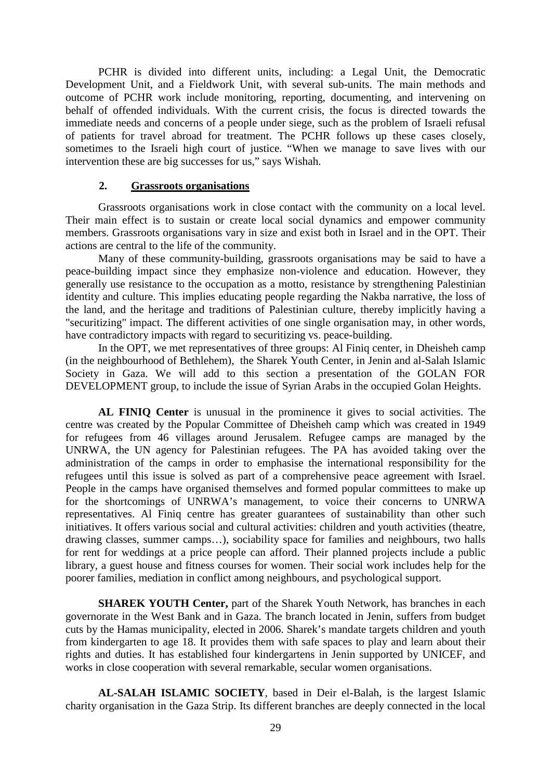PCHR is divided into different units, including: a Legal Unit, the Democratic Development Unit, and a Fieldwork Unit, with several sub-units. The main methods and outcome of PCHR work include monitoring, reporting, documenting, and intervening on behalf of offended individuals. With the current crisis, the focus is directed towards the immediate needs and concerns of a people under siege, such as the problem of Israeli refusal of patients for travel abroad for treatment. The PCHR follows up these cases closely, sometimes to the Israeli high court of justice. "When we manage to save lives with our intervention these are big successes for us," says Wishah.

# **2. Grassroots organisations**

Grassroots organisations work in close contact with the community on a local level. Their main effect is to sustain or create local social dynamics and empower community members. Grassroots organisations vary in size and exist both in Israel and in the OPT. Their actions are central to the life of the community.

Many of these community-building, grassroots organisations may be said to have a peace-building impact since they emphasize non-violence and education. However, they generally use resistance to the occupation as a motto, resistance by strengthening Palestinian identity and culture. This implies educating people regarding the Nakba narrative, the loss of the land, and the heritage and traditions of Palestinian culture, thereby implicitly having a "securitizing" impact. The different activities of one single organisation may, in other words, have contradictory impacts with regard to securitizing vs. peace-building.

In the OPT, we met representatives of three groups: Al Finiq center, in Dheisheh camp (in the neighbourhood of Bethlehem), the Sharek Youth Center, in Jenin and al-Salah Islamic Society in Gaza. We will add to this section a presentation of the GOLAN FOR DEVELOPMENT group, to include the issue of Syrian Arabs in the occupied Golan Heights.

**AL FINIQ Center** is unusual in the prominence it gives to social activities. The centre was created by the Popular Committee of Dheisheh camp which was created in 1949 for refugees from 46 villages around Jerusalem. Refugee camps are managed by the UNRWA, the UN agency for Palestinian refugees. The PA has avoided taking over the administration of the camps in order to emphasise the international responsibility for the refugees until this issue is solved as part of a comprehensive peace agreement with Israel. People in the camps have organised themselves and formed popular committees to make up for the shortcomings of UNRWA's management, to voice their concerns to UNRWA representatives. Al Finiq centre has greater guarantees of sustainability than other such initiatives. It offers various social and cultural activities: children and youth activities (theatre, drawing classes, summer camps…), sociability space for families and neighbours, two halls for rent for weddings at a price people can afford. Their planned projects include a public library, a guest house and fitness courses for women. Their social work includes help for the poorer families, mediation in conflict among neighbours, and psychological support.

**SHAREK YOUTH Center,** part of the Sharek Youth Network, has branches in each governorate in the West Bank and in Gaza. The branch located in Jenin, suffers from budget cuts by the Hamas municipality, elected in 2006. Sharek's mandate targets children and youth from kindergarten to age 18. It provides them with safe spaces to play and learn about their rights and duties. It has established four kindergartens in Jenin supported by UNICEF, and works in close cooperation with several remarkable, secular women organisations.

**AL-SALAH ISLAMIC SOCIETY**, based in Deir el-Balah, is the largest Islamic charity organisation in the Gaza Strip. Its different branches are deeply connected in the local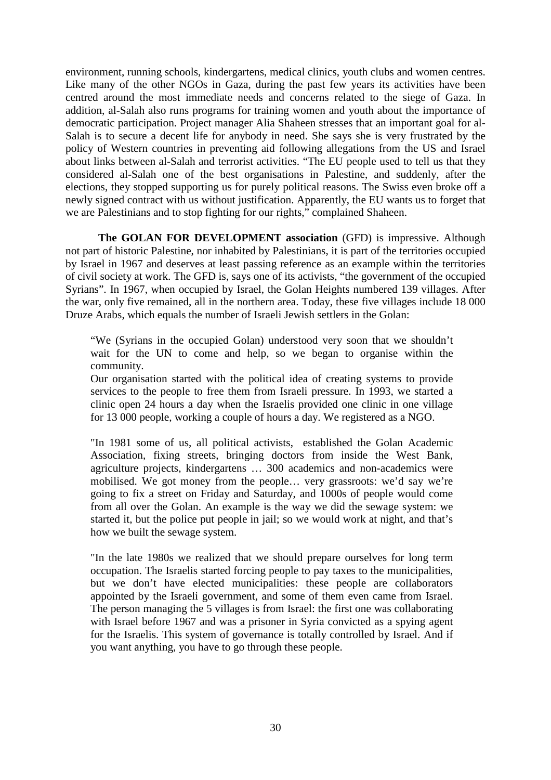environment, running schools, kindergartens, medical clinics, youth clubs and women centres. Like many of the other NGOs in Gaza, during the past few years its activities have been centred around the most immediate needs and concerns related to the siege of Gaza. In addition, al-Salah also runs programs for training women and youth about the importance of democratic participation. Project manager Alia Shaheen stresses that an important goal for al-Salah is to secure a decent life for anybody in need. She says she is very frustrated by the policy of Western countries in preventing aid following allegations from the US and Israel about links between al-Salah and terrorist activities. "The EU people used to tell us that they considered al-Salah one of the best organisations in Palestine, and suddenly, after the elections, they stopped supporting us for purely political reasons. The Swiss even broke off a newly signed contract with us without justification. Apparently, the EU wants us to forget that we are Palestinians and to stop fighting for our rights," complained Shaheen.

**The GOLAN FOR DEVELOPMENT association** (GFD) is impressive. Although not part of historic Palestine, nor inhabited by Palestinians, it is part of the territories occupied by Israel in 1967 and deserves at least passing reference as an example within the territories of civil society at work. The GFD is, says one of its activists, "the government of the occupied Syrians". In 1967, when occupied by Israel, the Golan Heights numbered 139 villages. After the war, only five remained, all in the northern area. Today, these five villages include 18 000 Druze Arabs, which equals the number of Israeli Jewish settlers in the Golan:

"We (Syrians in the occupied Golan) understood very soon that we shouldn't wait for the UN to come and help, so we began to organise within the community.

Our organisation started with the political idea of creating systems to provide services to the people to free them from Israeli pressure. In 1993, we started a clinic open 24 hours a day when the Israelis provided one clinic in one village for 13 000 people, working a couple of hours a day. We registered as a NGO.

"In 1981 some of us, all political activists, established the Golan Academic Association, fixing streets, bringing doctors from inside the West Bank, agriculture projects, kindergartens … 300 academics and non-academics were mobilised. We got money from the people… very grassroots: we'd say we're going to fix a street on Friday and Saturday, and 1000s of people would come from all over the Golan. An example is the way we did the sewage system: we started it, but the police put people in jail; so we would work at night, and that's how we built the sewage system.

"In the late 1980s we realized that we should prepare ourselves for long term occupation. The Israelis started forcing people to pay taxes to the municipalities, but we don't have elected municipalities: these people are collaborators appointed by the Israeli government, and some of them even came from Israel. The person managing the 5 villages is from Israel: the first one was collaborating with Israel before 1967 and was a prisoner in Syria convicted as a spying agent for the Israelis. This system of governance is totally controlled by Israel. And if you want anything, you have to go through these people.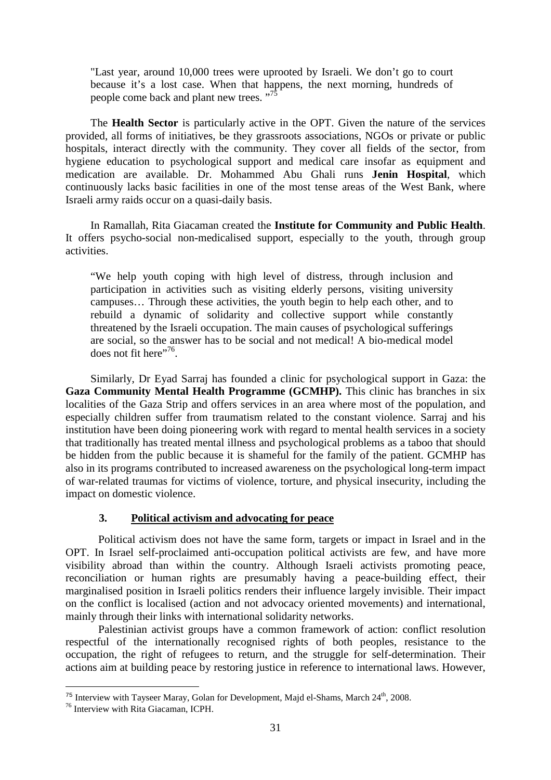"Last year, around 10,000 trees were uprooted by Israeli. We don't go to court because it's a lost case. When that happens, the next morning, hundreds of people come back and plant new trees. "<sup>75</sup>

The **Health Sector** is particularly active in the OPT. Given the nature of the services provided, all forms of initiatives, be they grassroots associations, NGOs or private or public hospitals, interact directly with the community. They cover all fields of the sector, from hygiene education to psychological support and medical care insofar as equipment and medication are available. Dr. Mohammed Abu Ghali runs **Jenin Hospital**, which continuously lacks basic facilities in one of the most tense areas of the West Bank, where Israeli army raids occur on a quasi-daily basis.

In Ramallah, Rita Giacaman created the **Institute for Community and Public Health**. It offers psycho-social non-medicalised support, especially to the youth, through group activities.

"We help youth coping with high level of distress, through inclusion and participation in activities such as visiting elderly persons, visiting university campuses… Through these activities, the youth begin to help each other, and to rebuild a dynamic of solidarity and collective support while constantly threatened by the Israeli occupation. The main causes of psychological sufferings are social, so the answer has to be social and not medical! A bio-medical model does not fit here"<sup>76</sup>.

Similarly, Dr Eyad Sarraj has founded a clinic for psychological support in Gaza: the **Gaza Community Mental Health Programme (GCMHP).** This clinic has branches in six localities of the Gaza Strip and offers services in an area where most of the population, and especially children suffer from traumatism related to the constant violence. Sarraj and his institution have been doing pioneering work with regard to mental health services in a society that traditionally has treated mental illness and psychological problems as a taboo that should be hidden from the public because it is shameful for the family of the patient. GCMHP has also in its programs contributed to increased awareness on the psychological long-term impact of war-related traumas for victims of violence, torture, and physical insecurity, including the impact on domestic violence.

# **3. Political activism and advocating for peace**

Political activism does not have the same form, targets or impact in Israel and in the OPT. In Israel self-proclaimed anti-occupation political activists are few, and have more visibility abroad than within the country. Although Israeli activists promoting peace, reconciliation or human rights are presumably having a peace-building effect, their marginalised position in Israeli politics renders their influence largely invisible. Their impact on the conflict is localised (action and not advocacy oriented movements) and international, mainly through their links with international solidarity networks.

Palestinian activist groups have a common framework of action: conflict resolution respectful of the internationally recognised rights of both peoples, resistance to the occupation, the right of refugees to return, and the struggle for self-determination. Their actions aim at building peace by restoring justice in reference to international laws. However,

<sup>&</sup>lt;sup>75</sup> Interview with Tayseer Maray, Golan for Development, Majd el-Shams, March  $24<sup>th</sup>$ , 2008.

<sup>76</sup> Interview with Rita Giacaman, ICPH.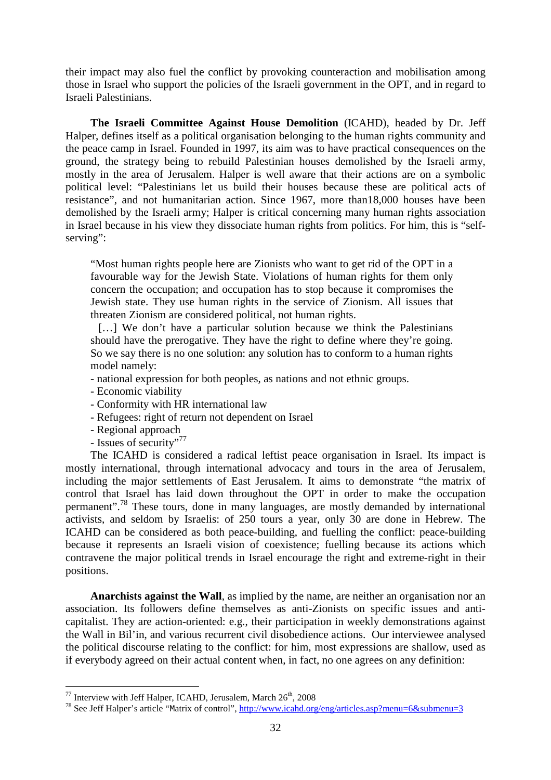their impact may also fuel the conflict by provoking counteraction and mobilisation among those in Israel who support the policies of the Israeli government in the OPT, and in regard to Israeli Palestinians.

**The Israeli Committee Against House Demolition** (ICAHD), headed by Dr. Jeff Halper, defines itself as a political organisation belonging to the human rights community and the peace camp in Israel. Founded in 1997, its aim was to have practical consequences on the ground, the strategy being to rebuild Palestinian houses demolished by the Israeli army, mostly in the area of Jerusalem. Halper is well aware that their actions are on a symbolic political level: "Palestinians let us build their houses because these are political acts of resistance", and not humanitarian action. Since 1967, more than18,000 houses have been demolished by the Israeli army; Halper is critical concerning many human rights association in Israel because in his view they dissociate human rights from politics. For him, this is "selfserving":

"Most human rights people here are Zionists who want to get rid of the OPT in a favourable way for the Jewish State. Violations of human rights for them only concern the occupation; and occupation has to stop because it compromises the Jewish state. They use human rights in the service of Zionism. All issues that threaten Zionism are considered political, not human rights.

[...] We don't have a particular solution because we think the Palestinians should have the prerogative. They have the right to define where they're going. So we say there is no one solution: any solution has to conform to a human rights model namely:

- national expression for both peoples, as nations and not ethnic groups.
- Economic viability
- Conformity with HR international law
- Refugees: right of return not dependent on Israel
- Regional approach
- Issues of security"<sup>77</sup>

The ICAHD is considered a radical leftist peace organisation in Israel. Its impact is mostly international, through international advocacy and tours in the area of Jerusalem, including the major settlements of East Jerusalem. It aims to demonstrate "the matrix of control that Israel has laid down throughout the OPT in order to make the occupation permanent".<sup>78</sup> These tours, done in many languages, are mostly demanded by international activists, and seldom by Israelis: of 250 tours a year, only 30 are done in Hebrew. The ICAHD can be considered as both peace-building, and fuelling the conflict: peace-building because it represents an Israeli vision of coexistence; fuelling because its actions which contravene the major political trends in Israel encourage the right and extreme-right in their positions.

**Anarchists against the Wall**, as implied by the name, are neither an organisation nor an association. Its followers define themselves as anti-Zionists on specific issues and anticapitalist. They are action-oriented: e.g., their participation in weekly demonstrations against the Wall in Bil'in, and various recurrent civil disobedience actions. Our interviewee analysed the political discourse relating to the conflict: for him, most expressions are shallow, used as if everybody agreed on their actual content when, in fact, no one agrees on any definition:

 $\overline{a}$  $^{77}$  Interview with Jeff Halper, ICAHD, Jerusalem, March  $26<sup>th</sup>$ , 2008

<sup>&</sup>lt;sup>78</sup> See Jeff Halper's article "Matrix of control", http://www.icahd.org/eng/articles.asp?menu=6&submenu=3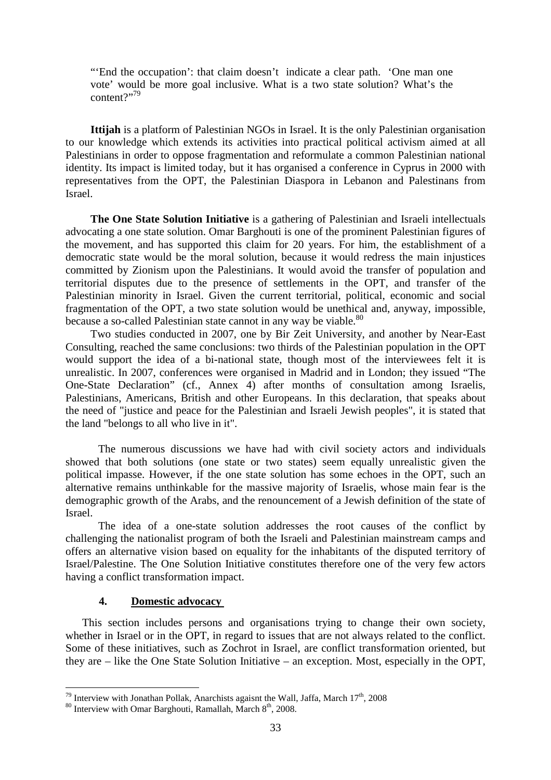"'End the occupation': that claim doesn't indicate a clear path. 'One man one vote' would be more goal inclusive. What is a two state solution? What's the content?" $^{79}$ 

**Ittijah** is a platform of Palestinian NGOs in Israel. It is the only Palestinian organisation to our knowledge which extends its activities into practical political activism aimed at all Palestinians in order to oppose fragmentation and reformulate a common Palestinian national identity. Its impact is limited today, but it has organised a conference in Cyprus in 2000 with representatives from the OPT, the Palestinian Diaspora in Lebanon and Palestinans from Israel.

**The One State Solution Initiative** is a gathering of Palestinian and Israeli intellectuals advocating a one state solution. Omar Barghouti is one of the prominent Palestinian figures of the movement, and has supported this claim for 20 years. For him, the establishment of a democratic state would be the moral solution, because it would redress the main injustices committed by Zionism upon the Palestinians. It would avoid the transfer of population and territorial disputes due to the presence of settlements in the OPT, and transfer of the Palestinian minority in Israel. Given the current territorial, political, economic and social fragmentation of the OPT, a two state solution would be unethical and, anyway, impossible, because a so-called Palestinian state cannot in any way be viable.<sup>80</sup>

Two studies conducted in 2007, one by Bir Zeit University, and another by Near-East Consulting, reached the same conclusions: two thirds of the Palestinian population in the OPT would support the idea of a bi-national state, though most of the interviewees felt it is unrealistic. In 2007, conferences were organised in Madrid and in London; they issued "The One-State Declaration" (cf., Annex 4) after months of consultation among Israelis, Palestinians, Americans, British and other Europeans. In this declaration, that speaks about the need of "justice and peace for the Palestinian and Israeli Jewish peoples", it is stated that the land "belongs to all who live in it".

 The numerous discussions we have had with civil society actors and individuals showed that both solutions (one state or two states) seem equally unrealistic given the political impasse. However, if the one state solution has some echoes in the OPT, such an alternative remains unthinkable for the massive majority of Israelis, whose main fear is the demographic growth of the Arabs, and the renouncement of a Jewish definition of the state of Israel.

 The idea of a one-state solution addresses the root causes of the conflict by challenging the nationalist program of both the Israeli and Palestinian mainstream camps and offers an alternative vision based on equality for the inhabitants of the disputed territory of Israel/Palestine. The One Solution Initiative constitutes therefore one of the very few actors having a conflict transformation impact.

### **4. Domestic advocacy**

 $\overline{a}$ 

This section includes persons and organisations trying to change their own society, whether in Israel or in the OPT, in regard to issues that are not always related to the conflict. Some of these initiatives, such as Zochrot in Israel, are conflict transformation oriented, but they are – like the One State Solution Initiative – an exception. Most, especially in the OPT,

<sup>&</sup>lt;sup>79</sup> Interview with Jonathan Pollak, Anarchists agaisnt the Wall, Jaffa, March  $17<sup>th</sup>$ , 2008

 $80$  Interview with Omar Barghouti, Ramallah, March  $8<sup>th</sup>$ , 2008.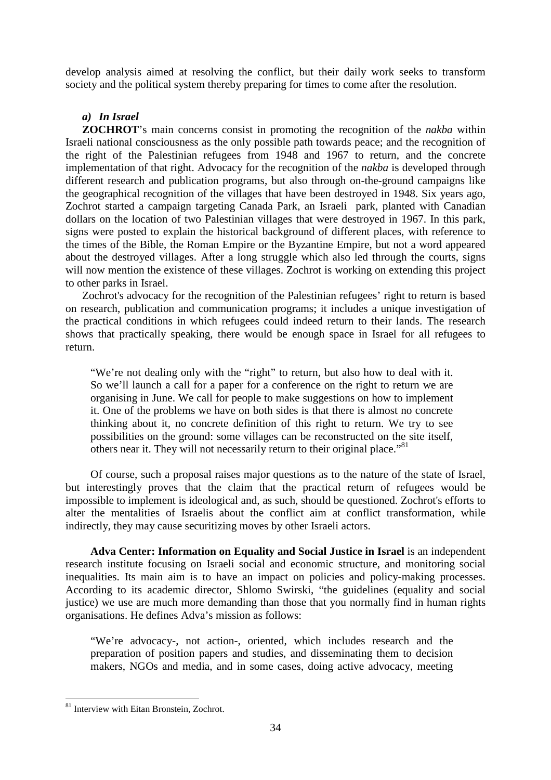develop analysis aimed at resolving the conflict, but their daily work seeks to transform society and the political system thereby preparing for times to come after the resolution.

# *a) In Israel*

**ZOCHROT**'s main concerns consist in promoting the recognition of the *nakba* within Israeli national consciousness as the only possible path towards peace; and the recognition of the right of the Palestinian refugees from 1948 and 1967 to return, and the concrete implementation of that right. Advocacy for the recognition of the *nakba* is developed through different research and publication programs, but also through on-the-ground campaigns like the geographical recognition of the villages that have been destroyed in 1948. Six years ago, Zochrot started a campaign targeting Canada Park, an Israeli park, planted with Canadian dollars on the location of two Palestinian villages that were destroyed in 1967. In this park, signs were posted to explain the historical background of different places, with reference to the times of the Bible, the Roman Empire or the Byzantine Empire, but not a word appeared about the destroyed villages. After a long struggle which also led through the courts, signs will now mention the existence of these villages. Zochrot is working on extending this project to other parks in Israel.

Zochrot's advocacy for the recognition of the Palestinian refugees' right to return is based on research, publication and communication programs; it includes a unique investigation of the practical conditions in which refugees could indeed return to their lands. The research shows that practically speaking, there would be enough space in Israel for all refugees to return.

"We're not dealing only with the "right" to return, but also how to deal with it. So we'll launch a call for a paper for a conference on the right to return we are organising in June. We call for people to make suggestions on how to implement it. One of the problems we have on both sides is that there is almost no concrete thinking about it, no concrete definition of this right to return. We try to see possibilities on the ground: some villages can be reconstructed on the site itself, others near it. They will not necessarily return to their original place."<sup>81</sup>

Of course, such a proposal raises major questions as to the nature of the state of Israel, but interestingly proves that the claim that the practical return of refugees would be impossible to implement is ideological and, as such, should be questioned. Zochrot's efforts to alter the mentalities of Israelis about the conflict aim at conflict transformation, while indirectly, they may cause securitizing moves by other Israeli actors.

**Adva Center: Information on Equality and Social Justice in Israel** is an independent research institute focusing on Israeli social and economic structure, and monitoring social inequalities. Its main aim is to have an impact on policies and policy-making processes. According to its academic director, Shlomo Swirski, "the guidelines (equality and social justice) we use are much more demanding than those that you normally find in human rights organisations. He defines Adva's mission as follows:

"We're advocacy-, not action-, oriented, which includes research and the preparation of position papers and studies, and disseminating them to decision makers, NGOs and media, and in some cases, doing active advocacy, meeting

<sup>&</sup>lt;sup>81</sup> Interview with Eitan Bronstein, Zochrot.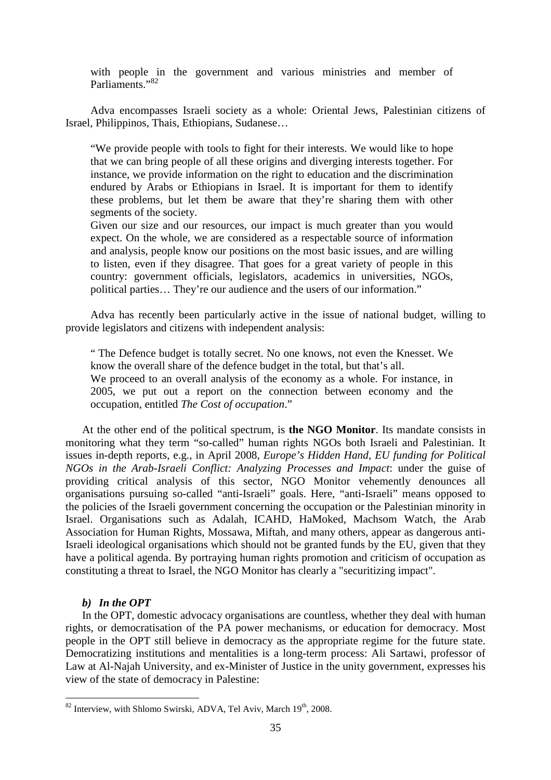with people in the government and various ministries and member of Parliaments."<sup>82</sup>

Adva encompasses Israeli society as a whole: Oriental Jews, Palestinian citizens of Israel, Philippinos, Thais, Ethiopians, Sudanese…

"We provide people with tools to fight for their interests. We would like to hope that we can bring people of all these origins and diverging interests together. For instance, we provide information on the right to education and the discrimination endured by Arabs or Ethiopians in Israel. It is important for them to identify these problems, but let them be aware that they're sharing them with other segments of the society.

Given our size and our resources, our impact is much greater than you would expect. On the whole, we are considered as a respectable source of information and analysis, people know our positions on the most basic issues, and are willing to listen, even if they disagree. That goes for a great variety of people in this country: government officials, legislators, academics in universities, NGOs, political parties… They're our audience and the users of our information."

Adva has recently been particularly active in the issue of national budget, willing to provide legislators and citizens with independent analysis:

" The Defence budget is totally secret. No one knows, not even the Knesset. We know the overall share of the defence budget in the total, but that's all. We proceed to an overall analysis of the economy as a whole. For instance, in 2005, we put out a report on the connection between economy and the occupation, entitled *The Cost of occupation*."

At the other end of the political spectrum, is **the NGO Monitor**. Its mandate consists in monitoring what they term "so-called" human rights NGOs both Israeli and Palestinian. It issues in-depth reports, e.g., in April 2008, *Europe's Hidden Hand, EU funding for Political NGOs in the Arab-Israeli Conflict: Analyzing Processes and Impact*: under the guise of providing critical analysis of this sector, NGO Monitor vehemently denounces all organisations pursuing so-called "anti-Israeli" goals. Here, "anti-Israeli" means opposed to the policies of the Israeli government concerning the occupation or the Palestinian minority in Israel. Organisations such as Adalah, ICAHD, HaMoked, Machsom Watch, the Arab Association for Human Rights, Mossawa, Miftah, and many others, appear as dangerous anti-Israeli ideological organisations which should not be granted funds by the EU, given that they have a political agenda. By portraying human rights promotion and criticism of occupation as constituting a threat to Israel, the NGO Monitor has clearly a "securitizing impact".

# *b) In the OPT*

 $\overline{a}$ 

In the OPT, domestic advocacy organisations are countless, whether they deal with human rights, or democratisation of the PA power mechanisms, or education for democracy. Most people in the OPT still believe in democracy as the appropriate regime for the future state. Democratizing institutions and mentalities is a long-term process: Ali Sartawi, professor of Law at Al-Najah University, and ex-Minister of Justice in the unity government, expresses his view of the state of democracy in Palestine:

 $82$  Interview, with Shlomo Swirski, ADVA, Tel Aviv, March  $19<sup>th</sup>$ , 2008.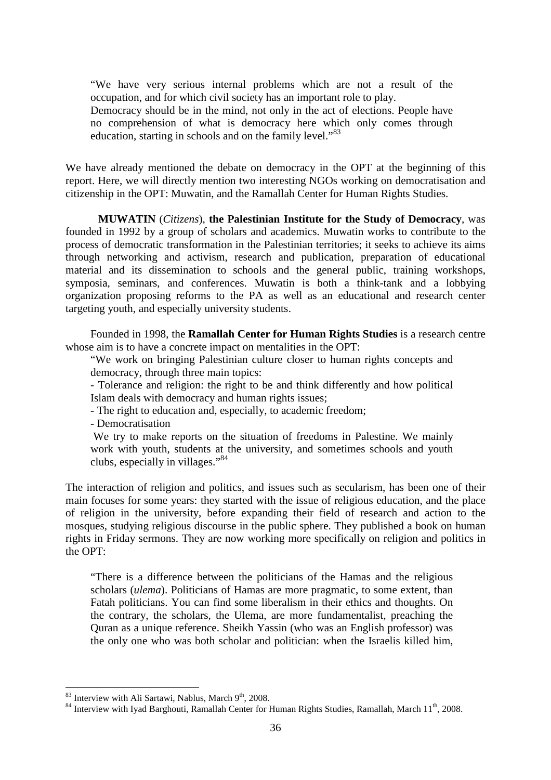"We have very serious internal problems which are not a result of the occupation, and for which civil society has an important role to play. Democracy should be in the mind, not only in the act of elections. People have no comprehension of what is democracy here which only comes through education, starting in schools and on the family level."<sup>83</sup>

We have already mentioned the debate on democracy in the OPT at the beginning of this report. Here, we will directly mention two interesting NGOs working on democratisation and citizenship in the OPT: Muwatin, and the Ramallah Center for Human Rights Studies.

**MUWATIN** (*Citizens*), **the Palestinian Institute for the Study of Democracy**, was founded in 1992 by a group of scholars and academics. Muwatin works to contribute to the process of democratic transformation in the Palestinian territories; it seeks to achieve its aims through networking and activism, research and publication, preparation of educational material and its dissemination to schools and the general public, training workshops, symposia, seminars, and conferences. Muwatin is both a think-tank and a lobbying organization proposing reforms to the PA as well as an educational and research center targeting youth, and especially university students.

Founded in 1998, the **Ramallah Center for Human Rights Studies** is a research centre whose aim is to have a concrete impact on mentalities in the OPT:

"We work on bringing Palestinian culture closer to human rights concepts and democracy, through three main topics:

- Tolerance and religion: the right to be and think differently and how political Islam deals with democracy and human rights issues;

- The right to education and, especially, to academic freedom;

- Democratisation

We try to make reports on the situation of freedoms in Palestine. We mainly work with youth, students at the university, and sometimes schools and youth clubs, especially in villages."<sup>84</sup>

The interaction of religion and politics, and issues such as secularism, has been one of their main focuses for some years: they started with the issue of religious education, and the place of religion in the university, before expanding their field of research and action to the mosques, studying religious discourse in the public sphere. They published a book on human rights in Friday sermons. They are now working more specifically on religion and politics in the OPT:

"There is a difference between the politicians of the Hamas and the religious scholars (*ulema*). Politicians of Hamas are more pragmatic, to some extent, than Fatah politicians. You can find some liberalism in their ethics and thoughts. On the contrary, the scholars, the Ulema, are more fundamentalist, preaching the Quran as a unique reference. Sheikh Yassin (who was an English professor) was the only one who was both scholar and politician: when the Israelis killed him,

 $83$  Interview with Ali Sartawi, Nablus, March  $9<sup>th</sup>$ , 2008.

<sup>&</sup>lt;sup>84</sup> Interview with Iyad Barghouti, Ramallah Center for Human Rights Studies, Ramallah, March 11<sup>th</sup>, 2008.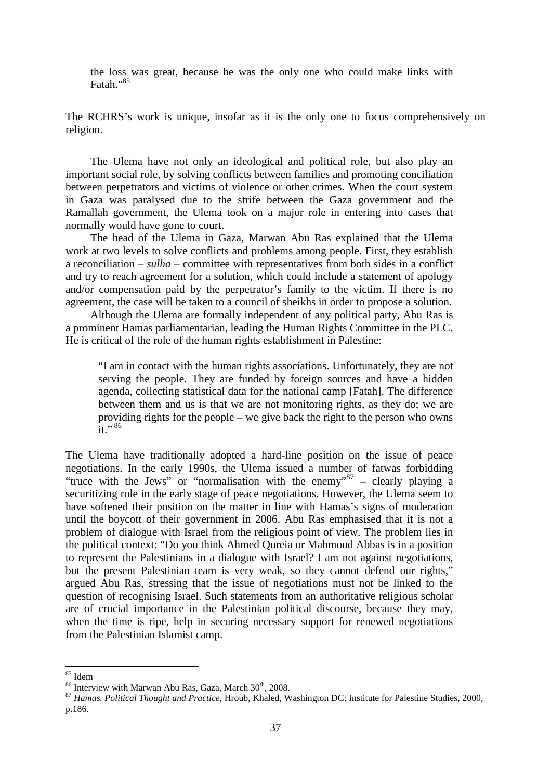the loss was great, because he was the only one who could make links with Fatah."<sup>85</sup>

The RCHRS's work is unique, insofar as it is the only one to focus comprehensively on religion.

The Ulema have not only an ideological and political role, but also play an important social role, by solving conflicts between families and promoting conciliation between perpetrators and victims of violence or other crimes. When the court system in Gaza was paralysed due to the strife between the Gaza government and the Ramallah government, the Ulema took on a major role in entering into cases that normally would have gone to court.

The head of the Ulema in Gaza, Marwan Abu Ras explained that the Ulema work at two levels to solve conflicts and problems among people. First, they establish a reconciliation – *sulha* – committee with representatives from both sides in a conflict and try to reach agreement for a solution, which could include a statement of apology and/or compensation paid by the perpetrator's family to the victim. If there is no agreement, the case will be taken to a council of sheikhs in order to propose a solution.

Although the Ulema are formally independent of any political party, Abu Ras is a prominent Hamas parliamentarian, leading the Human Rights Committee in the PLC. He is critical of the role of the human rights establishment in Palestine:

"I am in contact with the human rights associations. Unfortunately, they are not serving the people. They are funded by foreign sources and have a hidden agenda, collecting statistical data for the national camp [Fatah]. The difference between them and us is that we are not monitoring rights, as they do; we are providing rights for the people – we give back the right to the person who owns  $\overline{\text{it}}$ .  $\overline{\text{}}$  86

The Ulema have traditionally adopted a hard-line position on the issue of peace negotiations. In the early 1990s, the Ulema issued a number of fatwas forbidding "truce with the Jews" or "normalisation with the enemy"<sup>87</sup> – clearly playing a securitizing role in the early stage of peace negotiations. However, the Ulema seem to have softened their position on the matter in line with Hamas's signs of moderation until the boycott of their government in 2006. Abu Ras emphasised that it is not a problem of dialogue with Israel from the religious point of view. The problem lies in the political context: "Do you think Ahmed Qureia or Mahmoud Abbas is in a position to represent the Palestinians in a dialogue with Israel? I am not against negotiations, but the present Palestinian team is very weak, so they cannot defend our rights," argued Abu Ras, stressing that the issue of negotiations must not be linked to the question of recognising Israel. Such statements from an authoritative religious scholar are of crucial importance in the Palestinian political discourse, because they may, when the time is ripe, help in securing necessary support for renewed negotiations from the Palestinian Islamist camp.

<sup>85</sup> Idem

 $86$  Interview with Marwan Abu Ras, Gaza, March  $30<sup>th</sup>$ , 2008.

<sup>87</sup> *Hamas. Political Thought and Practice*, Hroub, Khaled, Washington DC: Institute for Palestine Studies, 2000, p.186.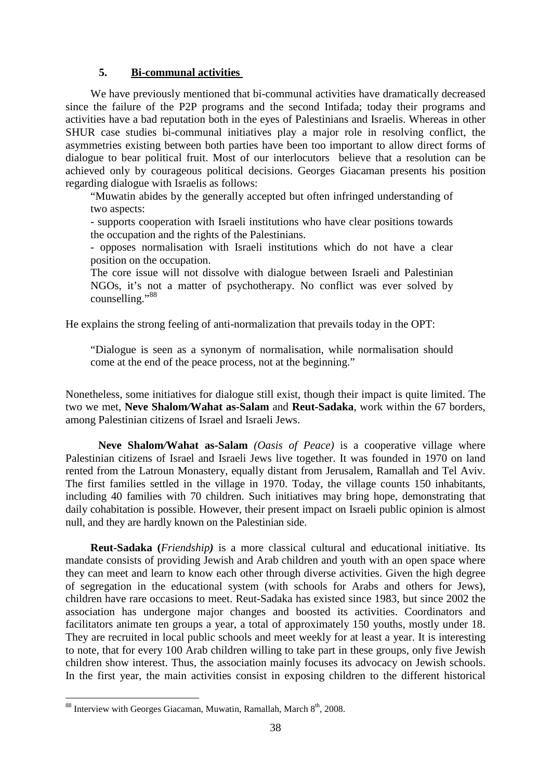# **5. Bi-communal activities**

We have previously mentioned that bi-communal activities have dramatically decreased since the failure of the P2P programs and the second Intifada; today their programs and activities have a bad reputation both in the eyes of Palestinians and Israelis. Whereas in other SHUR case studies bi-communal initiatives play a major role in resolving conflict, the asymmetries existing between both parties have been too important to allow direct forms of dialogue to bear political fruit. Most of our interlocutors believe that a resolution can be achieved only by courageous political decisions. Georges Giacaman presents his position regarding dialogue with Israelis as follows:

"Muwatin abides by the generally accepted but often infringed understanding of two aspects:

- supports cooperation with Israeli institutions who have clear positions towards the occupation and the rights of the Palestinians.

- opposes normalisation with Israeli institutions which do not have a clear position on the occupation.

The core issue will not dissolve with dialogue between Israeli and Palestinian NGOs, it's not a matter of psychotherapy. No conflict was ever solved by counselling."<sup>88</sup>

He explains the strong feeling of anti-normalization that prevails today in the OPT:

"Dialogue is seen as a synonym of normalisation, while normalisation should come at the end of the peace process, not at the beginning."

Nonetheless, some initiatives for dialogue still exist, though their impact is quite limited. The two we met, **Neve Shalom***/***Wahat as-Salam** and **Reut-Sadaka**, work within the 67 borders, among Palestinian citizens of Israel and Israeli Jews.

**Neve Shalom***/***Wahat as-Salam** *(Oasis of Peace)* is a cooperative village where Palestinian citizens of Israel and Israeli Jews live together. It was founded in 1970 on land rented from the Latroun Monastery, equally distant from Jerusalem, Ramallah and Tel Aviv. The first families settled in the village in 1970. Today, the village counts 150 inhabitants, including 40 families with 70 children. Such initiatives may bring hope, demonstrating that daily cohabitation is possible. However, their present impact on Israeli public opinion is almost null, and they are hardly known on the Palestinian side.

**Reut-Sadaka (***Friendship)* is a more classical cultural and educational initiative. Its mandate consists of providing Jewish and Arab children and youth with an open space where they can meet and learn to know each other through diverse activities. Given the high degree of segregation in the educational system (with schools for Arabs and others for Jews), children have rare occasions to meet. Reut-Sadaka has existed since 1983, but since 2002 the association has undergone major changes and boosted its activities. Coordinators and facilitators animate ten groups a year, a total of approximately 150 youths, mostly under 18. They are recruited in local public schools and meet weekly for at least a year. It is interesting to note, that for every 100 Arab children willing to take part in these groups, only five Jewish children show interest. Thus, the association mainly focuses its advocacy on Jewish schools. In the first year, the main activities consist in exposing children to the different historical

 $88$  Interview with Georges Giacaman, Muwatin, Ramallah, March  $8<sup>th</sup>$ , 2008.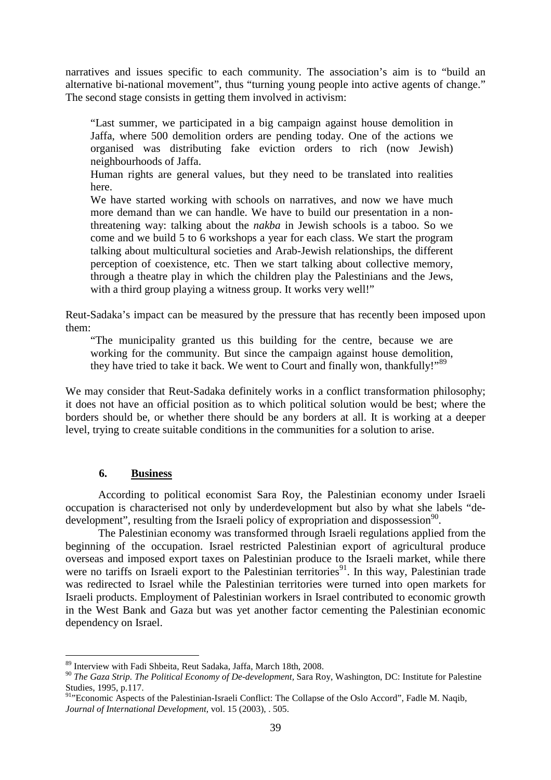narratives and issues specific to each community. The association's aim is to "build an alternative bi-national movement", thus "turning young people into active agents of change." The second stage consists in getting them involved in activism:

"Last summer, we participated in a big campaign against house demolition in Jaffa, where 500 demolition orders are pending today. One of the actions we organised was distributing fake eviction orders to rich (now Jewish) neighbourhoods of Jaffa.

Human rights are general values, but they need to be translated into realities here.

We have started working with schools on narratives, and now we have much more demand than we can handle. We have to build our presentation in a nonthreatening way: talking about the *nakba* in Jewish schools is a taboo. So we come and we build 5 to 6 workshops a year for each class. We start the program talking about multicultural societies and Arab-Jewish relationships, the different perception of coexistence, etc. Then we start talking about collective memory, through a theatre play in which the children play the Palestinians and the Jews, with a third group playing a witness group. It works very well!"

Reut-Sadaka's impact can be measured by the pressure that has recently been imposed upon them:

"The municipality granted us this building for the centre, because we are working for the community. But since the campaign against house demolition, they have tried to take it back. We went to Court and finally won, thankfully!"<sup>89</sup>

We may consider that Reut-Sadaka definitely works in a conflict transformation philosophy; it does not have an official position as to which political solution would be best; where the borders should be, or whether there should be any borders at all. It is working at a deeper level, trying to create suitable conditions in the communities for a solution to arise.

# **6. Business**

 $\overline{a}$ 

According to political economist Sara Roy, the Palestinian economy under Israeli occupation is characterised not only by underdevelopment but also by what she labels "dedevelopment", resulting from the Israeli policy of expropriation and dispossession<sup>90</sup>.

The Palestinian economy was transformed through Israeli regulations applied from the beginning of the occupation. Israel restricted Palestinian export of agricultural produce overseas and imposed export taxes on Palestinian produce to the Israeli market, while there were no tariffs on Israeli export to the Palestinian territories<sup>91</sup>. In this way, Palestinian trade was redirected to Israel while the Palestinian territories were turned into open markets for Israeli products. Employment of Palestinian workers in Israel contributed to economic growth in the West Bank and Gaza but was yet another factor cementing the Palestinian economic dependency on Israel.

<sup>89</sup> Interview with Fadi Shbeita, Reut Sadaka, Jaffa, March 18th, 2008.

<sup>90</sup> *The Gaza Strip. The Political Economy of De-development,* Sara Roy, Washington, DC: Institute for Palestine Studies, 1995, p.117.

<sup>91&</sup>lt;sup>,</sup> Economic Aspects of the Palestinian-Israeli Conflict: The Collapse of the Oslo Accord", Fadle M. Naqib, *Journal of International Development,* vol. 15 (2003), . 505.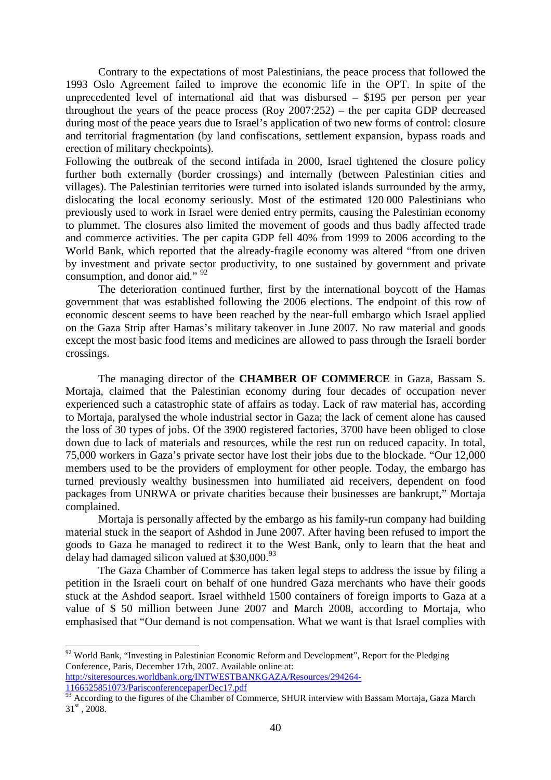Contrary to the expectations of most Palestinians, the peace process that followed the 1993 Oslo Agreement failed to improve the economic life in the OPT. In spite of the unprecedented level of international aid that was disbursed – \$195 per person per year throughout the years of the peace process (Roy 2007:252) – the per capita GDP decreased during most of the peace years due to Israel's application of two new forms of control: closure and territorial fragmentation (by land confiscations, settlement expansion, bypass roads and erection of military checkpoints).

Following the outbreak of the second intifada in 2000, Israel tightened the closure policy further both externally (border crossings) and internally (between Palestinian cities and villages). The Palestinian territories were turned into isolated islands surrounded by the army, dislocating the local economy seriously. Most of the estimated 120 000 Palestinians who previously used to work in Israel were denied entry permits, causing the Palestinian economy to plummet. The closures also limited the movement of goods and thus badly affected trade and commerce activities. The per capita GDP fell 40% from 1999 to 2006 according to the World Bank, which reported that the already-fragile economy was altered "from one driven by investment and private sector productivity, to one sustained by government and private consumption, and donor aid." <sup>92</sup>

The deterioration continued further, first by the international boycott of the Hamas government that was established following the 2006 elections. The endpoint of this row of economic descent seems to have been reached by the near-full embargo which Israel applied on the Gaza Strip after Hamas's military takeover in June 2007. No raw material and goods except the most basic food items and medicines are allowed to pass through the Israeli border crossings.

The managing director of the **CHAMBER OF COMMERCE** in Gaza, Bassam S. Mortaja, claimed that the Palestinian economy during four decades of occupation never experienced such a catastrophic state of affairs as today. Lack of raw material has, according to Mortaja, paralysed the whole industrial sector in Gaza; the lack of cement alone has caused the loss of 30 types of jobs. Of the 3900 registered factories, 3700 have been obliged to close down due to lack of materials and resources, while the rest run on reduced capacity. In total, 75,000 workers in Gaza's private sector have lost their jobs due to the blockade. "Our 12,000 members used to be the providers of employment for other people. Today, the embargo has turned previously wealthy businessmen into humiliated aid receivers, dependent on food packages from UNRWA or private charities because their businesses are bankrupt," Mortaja complained.

Mortaja is personally affected by the embargo as his family-run company had building material stuck in the seaport of Ashdod in June 2007. After having been refused to import the goods to Gaza he managed to redirect it to the West Bank, only to learn that the heat and delay had damaged silicon valued at  $$30,000.<sup>93</sup>$ 

The Gaza Chamber of Commerce has taken legal steps to address the issue by filing a petition in the Israeli court on behalf of one hundred Gaza merchants who have their goods stuck at the Ashdod seaport. Israel withheld 1500 containers of foreign imports to Gaza at a value of \$ 50 million between June 2007 and March 2008, according to Mortaja, who emphasised that "Our demand is not compensation. What we want is that Israel complies with

1166525851073/ParisconferencepaperDec17.pdf

 $92$  World Bank, "Investing in Palestinian Economic Reform and Development", Report for the Pledging Conference, Paris, December 17th, 2007. Available online at: http://siteresources.worldbank.org/INTWESTBANKGAZA/Resources/294264-

 $93$  According to the figures of the Chamber of Commerce, SHUR interview with Bassam Mortaja, Gaza March 31st, 2008.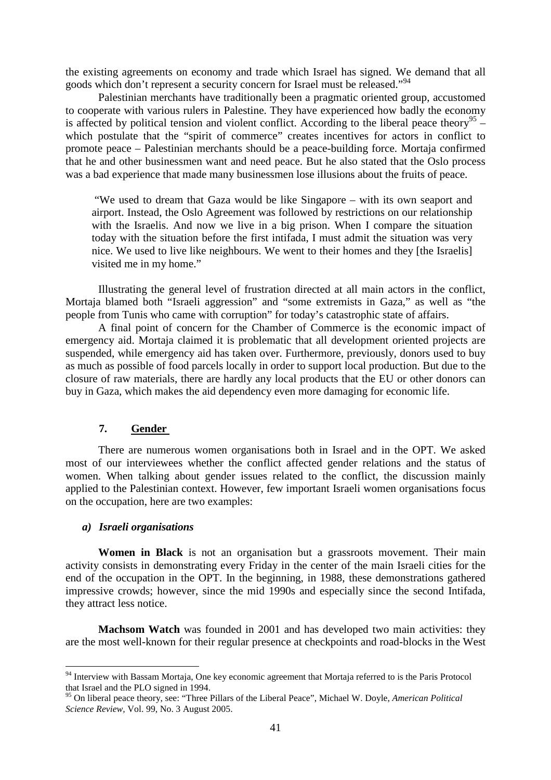the existing agreements on economy and trade which Israel has signed. We demand that all goods which don't represent a security concern for Israel must be released."<sup>94</sup>

Palestinian merchants have traditionally been a pragmatic oriented group, accustomed to cooperate with various rulers in Palestine. They have experienced how badly the economy is affected by political tension and violent conflict. According to the liberal peace theory<sup>95</sup> – which postulate that the "spirit of commerce" creates incentives for actors in conflict to promote peace – Palestinian merchants should be a peace-building force. Mortaja confirmed that he and other businessmen want and need peace. But he also stated that the Oslo process was a bad experience that made many businessmen lose illusions about the fruits of peace.

 "We used to dream that Gaza would be like Singapore – with its own seaport and airport. Instead, the Oslo Agreement was followed by restrictions on our relationship with the Israelis. And now we live in a big prison. When I compare the situation today with the situation before the first intifada, I must admit the situation was very nice. We used to live like neighbours. We went to their homes and they [the Israelis] visited me in my home."

Illustrating the general level of frustration directed at all main actors in the conflict, Mortaja blamed both "Israeli aggression" and "some extremists in Gaza," as well as "the people from Tunis who came with corruption" for today's catastrophic state of affairs.

A final point of concern for the Chamber of Commerce is the economic impact of emergency aid. Mortaja claimed it is problematic that all development oriented projects are suspended, while emergency aid has taken over. Furthermore, previously, donors used to buy as much as possible of food parcels locally in order to support local production. But due to the closure of raw materials, there are hardly any local products that the EU or other donors can buy in Gaza, which makes the aid dependency even more damaging for economic life.

# **7. Gender**

There are numerous women organisations both in Israel and in the OPT. We asked most of our interviewees whether the conflict affected gender relations and the status of women. When talking about gender issues related to the conflict, the discussion mainly applied to the Palestinian context. However, few important Israeli women organisations focus on the occupation, here are two examples:

### *a) Israeli organisations*

 $\overline{a}$ 

**Women in Black** is not an organisation but a grassroots movement. Their main activity consists in demonstrating every Friday in the center of the main Israeli cities for the end of the occupation in the OPT. In the beginning, in 1988, these demonstrations gathered impressive crowds; however, since the mid 1990s and especially since the second Intifada, they attract less notice.

**Machsom Watch** was founded in 2001 and has developed two main activities: they are the most well-known for their regular presence at checkpoints and road-blocks in the West

<sup>&</sup>lt;sup>94</sup> Interview with Bassam Mortaja, One key economic agreement that Mortaja referred to is the Paris Protocol that Israel and the PLO signed in 1994.

<sup>95</sup> On liberal peace theory, see: "Three Pillars of the Liberal Peace", Michael W. Doyle, *American Political Science Review,* Vol. 99, No. 3 August 2005.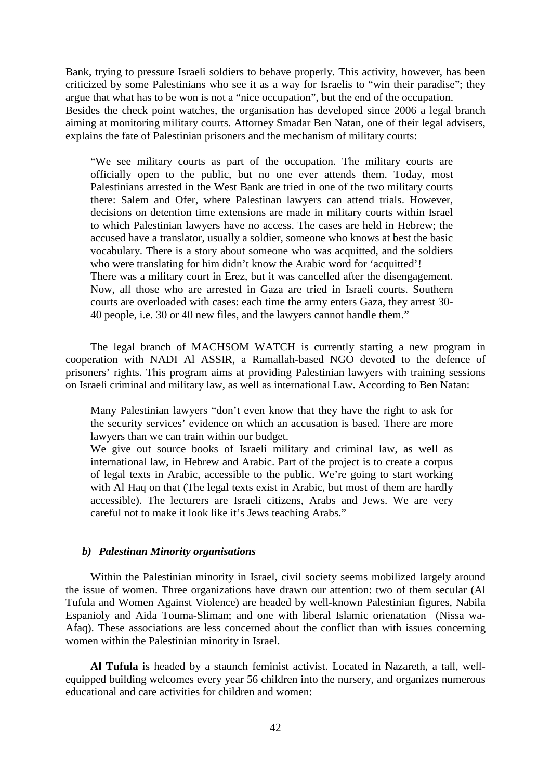Bank, trying to pressure Israeli soldiers to behave properly. This activity, however, has been criticized by some Palestinians who see it as a way for Israelis to "win their paradise"; they argue that what has to be won is not a "nice occupation", but the end of the occupation. Besides the check point watches, the organisation has developed since 2006 a legal branch aiming at monitoring military courts. Attorney Smadar Ben Natan, one of their legal advisers, explains the fate of Palestinian prisoners and the mechanism of military courts:

"We see military courts as part of the occupation. The military courts are officially open to the public, but no one ever attends them. Today, most Palestinians arrested in the West Bank are tried in one of the two military courts there: Salem and Ofer, where Palestinan lawyers can attend trials. However, decisions on detention time extensions are made in military courts within Israel to which Palestinian lawyers have no access. The cases are held in Hebrew; the accused have a translator, usually a soldier, someone who knows at best the basic vocabulary. There is a story about someone who was acquitted, and the soldiers who were translating for him didn't know the Arabic word for 'acquitted'! There was a military court in Erez, but it was cancelled after the disengagement. Now, all those who are arrested in Gaza are tried in Israeli courts. Southern courts are overloaded with cases: each time the army enters Gaza, they arrest 30- 40 people, i.e. 30 or 40 new files, and the lawyers cannot handle them."

The legal branch of MACHSOM WATCH is currently starting a new program in cooperation with NADI Al ASSIR, a Ramallah-based NGO devoted to the defence of prisoners' rights. This program aims at providing Palestinian lawyers with training sessions on Israeli criminal and military law, as well as international Law. According to Ben Natan:

Many Palestinian lawyers "don't even know that they have the right to ask for the security services' evidence on which an accusation is based. There are more lawyers than we can train within our budget.

We give out source books of Israeli military and criminal law, as well as international law, in Hebrew and Arabic. Part of the project is to create a corpus of legal texts in Arabic, accessible to the public. We're going to start working with Al Haq on that (The legal texts exist in Arabic, but most of them are hardly accessible). The lecturers are Israeli citizens, Arabs and Jews. We are very careful not to make it look like it's Jews teaching Arabs."

### *b) Palestinan Minority organisations*

Within the Palestinian minority in Israel, civil society seems mobilized largely around the issue of women. Three organizations have drawn our attention: two of them secular (Al Tufula and Women Against Violence) are headed by well-known Palestinian figures, Nabila Espanioly and Aida Touma-Sliman; and one with liberal Islamic orienatation (Nissa wa-Afaq). These associations are less concerned about the conflict than with issues concerning women within the Palestinian minority in Israel.

**Al Tufula** is headed by a staunch feminist activist. Located in Nazareth, a tall, wellequipped building welcomes every year 56 children into the nursery, and organizes numerous educational and care activities for children and women: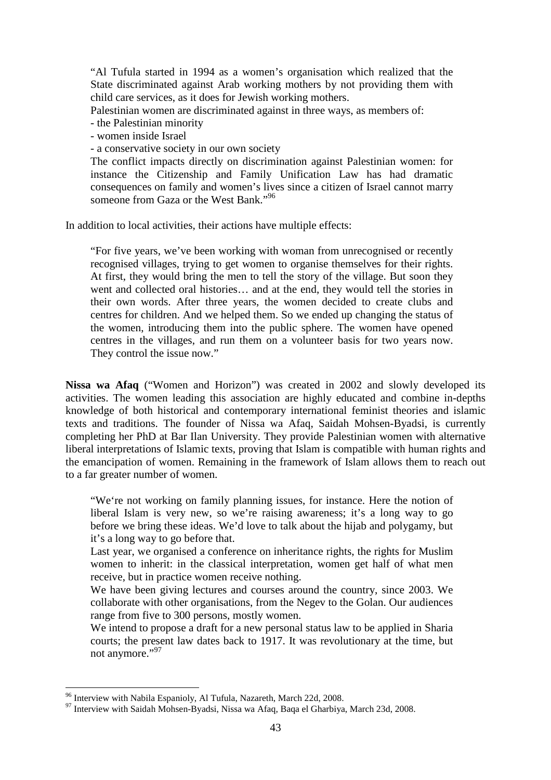"Al Tufula started in 1994 as a women's organisation which realized that the State discriminated against Arab working mothers by not providing them with child care services, as it does for Jewish working mothers.

Palestinian women are discriminated against in three ways, as members of:

- the Palestinian minority

- women inside Israel

- a conservative society in our own society

The conflict impacts directly on discrimination against Palestinian women: for instance the Citizenship and Family Unification Law has had dramatic consequences on family and women's lives since a citizen of Israel cannot marry someone from Gaza or the West Bank."<sup>96</sup>

In addition to local activities, their actions have multiple effects:

"For five years, we've been working with woman from unrecognised or recently recognised villages, trying to get women to organise themselves for their rights. At first, they would bring the men to tell the story of the village. But soon they went and collected oral histories… and at the end, they would tell the stories in their own words. After three years, the women decided to create clubs and centres for children. And we helped them. So we ended up changing the status of the women, introducing them into the public sphere. The women have opened centres in the villages, and run them on a volunteer basis for two years now. They control the issue now."

**Nissa wa Afaq** ("Women and Horizon") was created in 2002 and slowly developed its activities. The women leading this association are highly educated and combine in-depths knowledge of both historical and contemporary international feminist theories and islamic texts and traditions. The founder of Nissa wa Afaq, Saidah Mohsen-Byadsi, is currently completing her PhD at Bar Ilan University. They provide Palestinian women with alternative liberal interpretations of Islamic texts, proving that Islam is compatible with human rights and the emancipation of women. Remaining in the framework of Islam allows them to reach out to a far greater number of women.

"We're not working on family planning issues, for instance. Here the notion of liberal Islam is very new, so we're raising awareness; it's a long way to go before we bring these ideas. We'd love to talk about the hijab and polygamy, but it's a long way to go before that.

Last year, we organised a conference on inheritance rights, the rights for Muslim women to inherit: in the classical interpretation, women get half of what men receive, but in practice women receive nothing.

We have been giving lectures and courses around the country, since 2003. We collaborate with other organisations, from the Negev to the Golan. Our audiences range from five to 300 persons, mostly women.

We intend to propose a draft for a new personal status law to be applied in Sharia courts; the present law dates back to 1917. It was revolutionary at the time, but not anymore."<sup>97</sup>

<sup>&</sup>lt;sup>96</sup> Interview with Nabila Espanioly, Al Tufula, Nazareth, March 22d, 2008.

<sup>97</sup> Interview with Saidah Mohsen-Byadsi, Nissa wa Afaq, Baqa el Gharbiya, March 23d, 2008.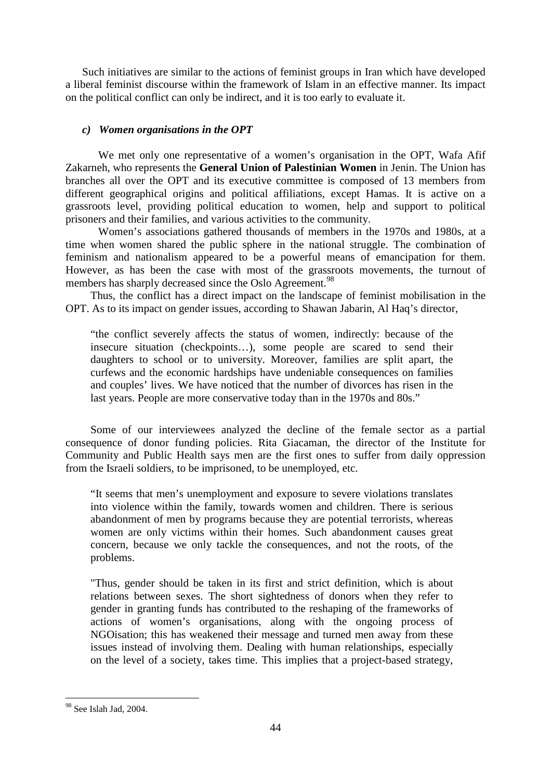Such initiatives are similar to the actions of feminist groups in Iran which have developed a liberal feminist discourse within the framework of Islam in an effective manner. Its impact on the political conflict can only be indirect, and it is too early to evaluate it.

# *c) Women organisations in the OPT*

 We met only one representative of a women's organisation in the OPT, Wafa Afif Zakarneh, who represents the **General Union of Palestinian Women** in Jenin. The Union has branches all over the OPT and its executive committee is composed of 13 members from different geographical origins and political affiliations, except Hamas. It is active on a grassroots level, providing political education to women, help and support to political prisoners and their families, and various activities to the community.

Women's associations gathered thousands of members in the 1970s and 1980s, at a time when women shared the public sphere in the national struggle. The combination of feminism and nationalism appeared to be a powerful means of emancipation for them. However, as has been the case with most of the grassroots movements, the turnout of members has sharply decreased since the Oslo Agreement.<sup>98</sup>

Thus, the conflict has a direct impact on the landscape of feminist mobilisation in the OPT. As to its impact on gender issues, according to Shawan Jabarin, Al Haq's director,

"the conflict severely affects the status of women, indirectly: because of the insecure situation (checkpoints…), some people are scared to send their daughters to school or to university. Moreover, families are split apart, the curfews and the economic hardships have undeniable consequences on families and couples' lives. We have noticed that the number of divorces has risen in the last years. People are more conservative today than in the 1970s and 80s."

Some of our interviewees analyzed the decline of the female sector as a partial consequence of donor funding policies. Rita Giacaman, the director of the Institute for Community and Public Health says men are the first ones to suffer from daily oppression from the Israeli soldiers, to be imprisoned, to be unemployed, etc.

"It seems that men's unemployment and exposure to severe violations translates into violence within the family, towards women and children. There is serious abandonment of men by programs because they are potential terrorists, whereas women are only victims within their homes. Such abandonment causes great concern, because we only tackle the consequences, and not the roots, of the problems.

"Thus, gender should be taken in its first and strict definition, which is about relations between sexes. The short sightedness of donors when they refer to gender in granting funds has contributed to the reshaping of the frameworks of actions of women's organisations, along with the ongoing process of NGOisation; this has weakened their message and turned men away from these issues instead of involving them. Dealing with human relationships, especially on the level of a society, takes time. This implies that a project-based strategy,

 $\overline{a}$ <sup>98</sup> See Islah Jad, 2004.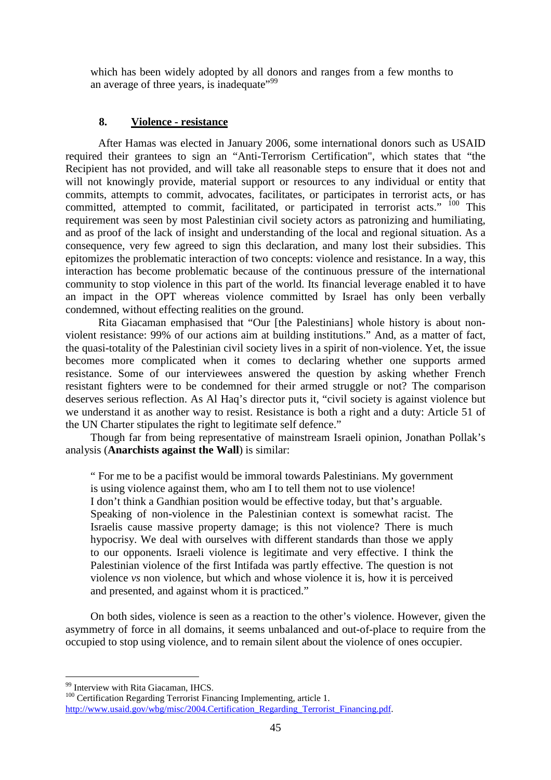which has been widely adopted by all donors and ranges from a few months to an average of three years, is inadequate<sup>"99</sup>

# **8. Violence - resistance**

After Hamas was elected in January 2006, some international donors such as USAID required their grantees to sign an "Anti-Terrorism Certification", which states that "the Recipient has not provided, and will take all reasonable steps to ensure that it does not and will not knowingly provide, material support or resources to any individual or entity that commits, attempts to commit, advocates, facilitates, or participates in terrorist acts, or has committed, attempted to commit, facilitated, or participated in terrorist acts." <sup>100</sup> This requirement was seen by most Palestinian civil society actors as patronizing and humiliating, and as proof of the lack of insight and understanding of the local and regional situation. As a consequence, very few agreed to sign this declaration, and many lost their subsidies. This epitomizes the problematic interaction of two concepts: violence and resistance. In a way, this interaction has become problematic because of the continuous pressure of the international community to stop violence in this part of the world. Its financial leverage enabled it to have an impact in the OPT whereas violence committed by Israel has only been verbally condemned, without effecting realities on the ground.

Rita Giacaman emphasised that "Our [the Palestinians] whole history is about nonviolent resistance: 99% of our actions aim at building institutions." And, as a matter of fact, the quasi-totality of the Palestinian civil society lives in a spirit of non-violence. Yet, the issue becomes more complicated when it comes to declaring whether one supports armed resistance. Some of our interviewees answered the question by asking whether French resistant fighters were to be condemned for their armed struggle or not? The comparison deserves serious reflection. As Al Haq's director puts it, "civil society is against violence but we understand it as another way to resist. Resistance is both a right and a duty: Article 51 of the UN Charter stipulates the right to legitimate self defence."

Though far from being representative of mainstream Israeli opinion, Jonathan Pollak's analysis (**Anarchists against the Wall**) is similar:

" For me to be a pacifist would be immoral towards Palestinians. My government is using violence against them, who am I to tell them not to use violence! I don't think a Gandhian position would be effective today, but that's arguable. Speaking of non-violence in the Palestinian context is somewhat racist. The Israelis cause massive property damage; is this not violence? There is much hypocrisy. We deal with ourselves with different standards than those we apply to our opponents. Israeli violence is legitimate and very effective. I think the Palestinian violence of the first Intifada was partly effective. The question is not violence *vs* non violence, but which and whose violence it is, how it is perceived and presented, and against whom it is practiced."

On both sides, violence is seen as a reaction to the other's violence. However, given the asymmetry of force in all domains, it seems unbalanced and out-of-place to require from the occupied to stop using violence, and to remain silent about the violence of ones occupier.

<sup>&</sup>lt;sup>99</sup> Interview with Rita Giacaman, IHCS.

<sup>100</sup> Certification Regarding Terrorist Financing Implementing, article 1. http://www.usaid.gov/wbg/misc/2004.Certification\_Regarding\_Terrorist\_Financing.pdf.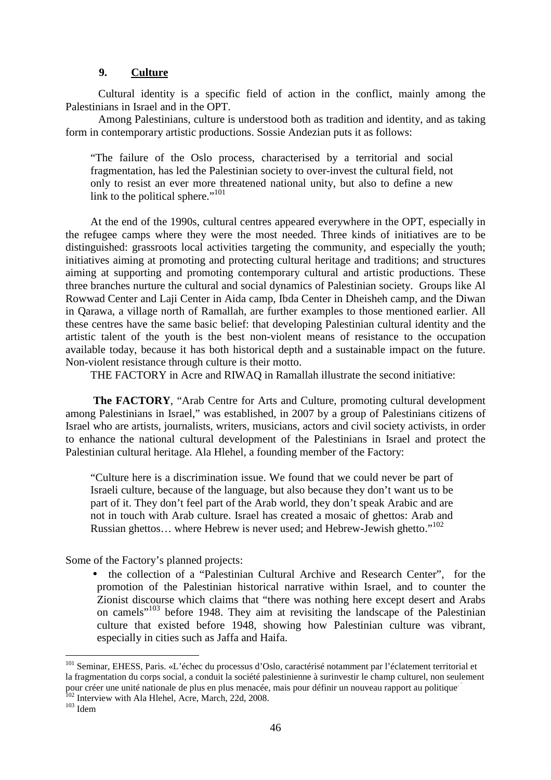# **9. Culture**

Cultural identity is a specific field of action in the conflict, mainly among the Palestinians in Israel and in the OPT.

 Among Palestinians, culture is understood both as tradition and identity, and as taking form in contemporary artistic productions. Sossie Andezian puts it as follows:

"The failure of the Oslo process, characterised by a territorial and social fragmentation, has led the Palestinian society to over-invest the cultural field, not only to resist an ever more threatened national unity, but also to define a new link to the political sphere."<sup>101</sup>

At the end of the 1990s, cultural centres appeared everywhere in the OPT, especially in the refugee camps where they were the most needed. Three kinds of initiatives are to be distinguished: grassroots local activities targeting the community, and especially the youth; initiatives aiming at promoting and protecting cultural heritage and traditions; and structures aiming at supporting and promoting contemporary cultural and artistic productions. These three branches nurture the cultural and social dynamics of Palestinian society. Groups like Al Rowwad Center and Laji Center in Aida camp, Ibda Center in Dheisheh camp, and the Diwan in Qarawa, a village north of Ramallah, are further examples to those mentioned earlier. All these centres have the same basic belief: that developing Palestinian cultural identity and the artistic talent of the youth is the best non-violent means of resistance to the occupation available today, because it has both historical depth and a sustainable impact on the future. Non-violent resistance through culture is their motto.

THE FACTORY in Acre and RIWAQ in Ramallah illustrate the second initiative:

**The FACTORY**, "Arab Centre for Arts and Culture, promoting cultural development among Palestinians in Israel," was established, in 2007 by a group of Palestinians citizens of Israel who are artists, journalists, writers, musicians, actors and civil society activists, in order to enhance the national cultural development of the Palestinians in Israel and protect the Palestinian cultural heritage. Ala Hlehel, a founding member of the Factory:

"Culture here is a discrimination issue. We found that we could never be part of Israeli culture, because of the language, but also because they don't want us to be part of it. They don't feel part of the Arab world, they don't speak Arabic and are not in touch with Arab culture. Israel has created a mosaic of ghettos: Arab and Russian ghettos... where Hebrew is never used; and Hebrew-Jewish ghetto."<sup>102</sup>

Some of the Factory's planned projects:

• the collection of a "Palestinian Cultural Archive and Research Center", for the promotion of the Palestinian historical narrative within Israel, and to counter the Zionist discourse which claims that "there was nothing here except desert and Arabs on camels<sup>"103</sup> before 1948. They aim at revisiting the landscape of the Palestinian culture that existed before 1948, showing how Palestinian culture was vibrant, especially in cities such as Jaffa and Haifa.

<sup>&</sup>lt;sup>101</sup> Seminar, EHESS, Paris. «L'échec du processus d'Oslo, caractérisé notamment par l'éclatement territorial et la fragmentation du corps social, a conduit la société palestinienne à surinvestir le champ culturel, non seulement pour créer une unité nationale de plus en plus menacée, mais pour définir un nouveau rapport au politique<sup>"</sup>

<sup>&</sup>lt;sup>102</sup> Interview with Ala Hlehel, Acre, March, 22d, 2008.

 $103$  Idem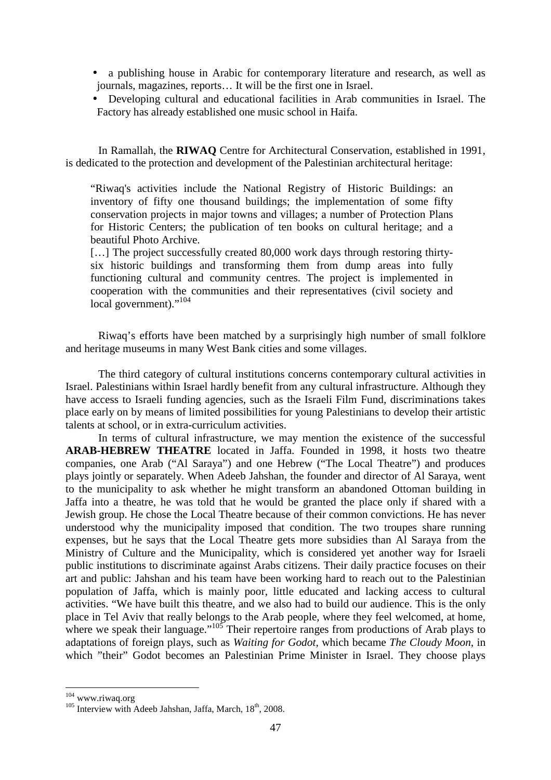- a publishing house in Arabic for contemporary literature and research, as well as journals, magazines, reports… It will be the first one in Israel.
- Developing cultural and educational facilities in Arab communities in Israel. The Factory has already established one music school in Haifa.

 In Ramallah, the **RIWAQ** Centre for Architectural Conservation, established in 1991, is dedicated to the protection and development of the Palestinian architectural heritage:

"Riwaq's activities include the National Registry of Historic Buildings: an inventory of fifty one thousand buildings; the implementation of some fifty conservation projects in major towns and villages; a number of Protection Plans for Historic Centers; the publication of ten books on cultural heritage; and a beautiful Photo Archive.

[...] The project successfully created 80,000 work days through restoring thirtysix historic buildings and transforming them from dump areas into fully functioning cultural and community centres. The project is implemented in cooperation with the communities and their representatives (civil society and local government)."<sup>104</sup>

 Riwaq's efforts have been matched by a surprisingly high number of small folklore and heritage museums in many West Bank cities and some villages.

The third category of cultural institutions concerns contemporary cultural activities in Israel. Palestinians within Israel hardly benefit from any cultural infrastructure. Although they have access to Israeli funding agencies, such as the Israeli Film Fund, discriminations takes place early on by means of limited possibilities for young Palestinians to develop their artistic talents at school, or in extra-curriculum activities.

In terms of cultural infrastructure, we may mention the existence of the successful **ARAB-HEBREW THEATRE** located in Jaffa. Founded in 1998, it hosts two theatre companies, one Arab ("Al Saraya") and one Hebrew ("The Local Theatre") and produces plays jointly or separately. When Adeeb Jahshan, the founder and director of Al Saraya, went to the municipality to ask whether he might transform an abandoned Ottoman building in Jaffa into a theatre, he was told that he would be granted the place only if shared with a Jewish group. He chose the Local Theatre because of their common convictions. He has never understood why the municipality imposed that condition. The two troupes share running expenses, but he says that the Local Theatre gets more subsidies than Al Saraya from the Ministry of Culture and the Municipality, which is considered yet another way for Israeli public institutions to discriminate against Arabs citizens. Their daily practice focuses on their art and public: Jahshan and his team have been working hard to reach out to the Palestinian population of Jaffa, which is mainly poor, little educated and lacking access to cultural activities. "We have built this theatre, and we also had to build our audience. This is the only place in Tel Aviv that really belongs to the Arab people, where they feel welcomed, at home, where we speak their language."<sup>105</sup> Their repertoire ranges from productions of Arab plays to adaptations of foreign plays, such as *Waiting for Godot,* which became *The Cloudy Moon*, in which "their" Godot becomes an Palestinian Prime Minister in Israel. They choose plays

<sup>104</sup> www.riwaq.org

 $105$  Interview with Adeeb Jahshan, Jaffa, March,  $18<sup>th</sup>$ , 2008.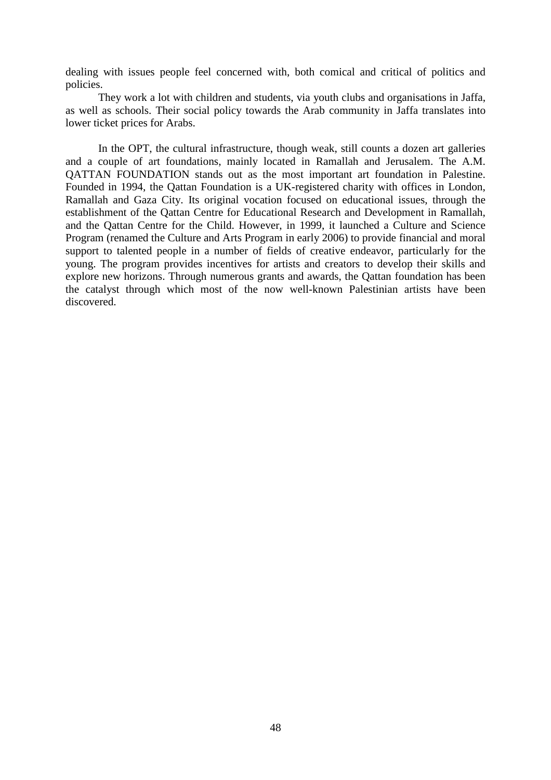dealing with issues people feel concerned with, both comical and critical of politics and policies.

They work a lot with children and students, via youth clubs and organisations in Jaffa, as well as schools. Their social policy towards the Arab community in Jaffa translates into lower ticket prices for Arabs.

In the OPT, the cultural infrastructure, though weak, still counts a dozen art galleries and a couple of art foundations, mainly located in Ramallah and Jerusalem. The A.M. QATTAN FOUNDATION stands out as the most important art foundation in Palestine. Founded in 1994, the Qattan Foundation is a UK-registered charity with offices in London, Ramallah and Gaza City. Its original vocation focused on educational issues, through the establishment of the Qattan Centre for Educational Research and Development in Ramallah, and the Qattan Centre for the Child. However, in 1999, it launched a Culture and Science Program (renamed the Culture and Arts Program in early 2006) to provide financial and moral support to talented people in a number of fields of creative endeavor, particularly for the young. The program provides incentives for artists and creators to develop their skills and explore new horizons. Through numerous grants and awards, the Qattan foundation has been the catalyst through which most of the now well-known Palestinian artists have been discovered.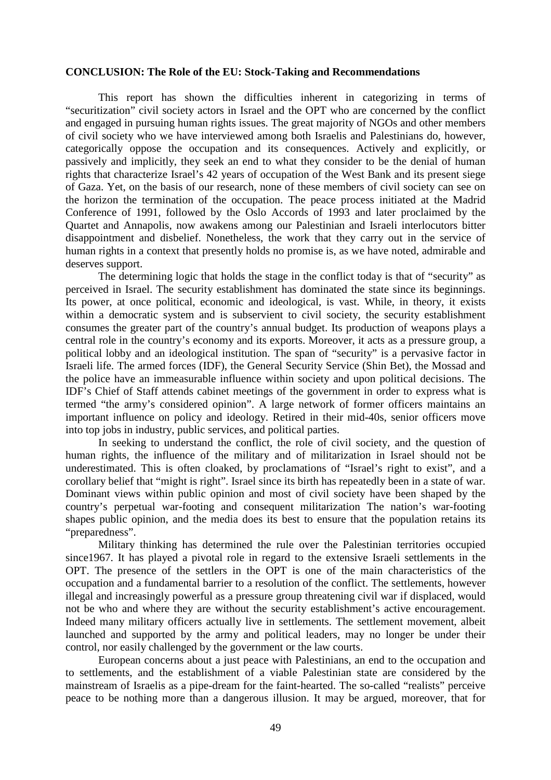#### **CONCLUSION: The Role of the EU: Stock-Taking and Recommendations**

 This report has shown the difficulties inherent in categorizing in terms of "securitization" civil society actors in Israel and the OPT who are concerned by the conflict and engaged in pursuing human rights issues. The great majority of NGOs and other members of civil society who we have interviewed among both Israelis and Palestinians do, however, categorically oppose the occupation and its consequences. Actively and explicitly, or passively and implicitly, they seek an end to what they consider to be the denial of human rights that characterize Israel's 42 years of occupation of the West Bank and its present siege of Gaza. Yet, on the basis of our research, none of these members of civil society can see on the horizon the termination of the occupation. The peace process initiated at the Madrid Conference of 1991, followed by the Oslo Accords of 1993 and later proclaimed by the Quartet and Annapolis, now awakens among our Palestinian and Israeli interlocutors bitter disappointment and disbelief. Nonetheless, the work that they carry out in the service of human rights in a context that presently holds no promise is, as we have noted, admirable and deserves support.

The determining logic that holds the stage in the conflict today is that of "security" as perceived in Israel. The security establishment has dominated the state since its beginnings. Its power, at once political, economic and ideological, is vast. While, in theory, it exists within a democratic system and is subservient to civil society, the security establishment consumes the greater part of the country's annual budget. Its production of weapons plays a central role in the country's economy and its exports. Moreover, it acts as a pressure group, a political lobby and an ideological institution. The span of "security" is a pervasive factor in Israeli life. The armed forces (IDF), the General Security Service (Shin Bet), the Mossad and the police have an immeasurable influence within society and upon political decisions. The IDF's Chief of Staff attends cabinet meetings of the government in order to express what is termed "the army's considered opinion". A large network of former officers maintains an important influence on policy and ideology. Retired in their mid-40s, senior officers move into top jobs in industry, public services, and political parties.

 In seeking to understand the conflict, the role of civil society, and the question of human rights, the influence of the military and of militarization in Israel should not be underestimated. This is often cloaked, by proclamations of "Israel's right to exist", and a corollary belief that "might is right". Israel since its birth has repeatedly been in a state of war. Dominant views within public opinion and most of civil society have been shaped by the country's perpetual war-footing and consequent militarization The nation's war-footing shapes public opinion, and the media does its best to ensure that the population retains its "preparedness".

Military thinking has determined the rule over the Palestinian territories occupied since1967. It has played a pivotal role in regard to the extensive Israeli settlements in the OPT. The presence of the settlers in the OPT is one of the main characteristics of the occupation and a fundamental barrier to a resolution of the conflict. The settlements, however illegal and increasingly powerful as a pressure group threatening civil war if displaced, would not be who and where they are without the security establishment's active encouragement. Indeed many military officers actually live in settlements. The settlement movement, albeit launched and supported by the army and political leaders, may no longer be under their control, nor easily challenged by the government or the law courts.

 European concerns about a just peace with Palestinians, an end to the occupation and to settlements, and the establishment of a viable Palestinian state are considered by the mainstream of Israelis as a pipe-dream for the faint-hearted. The so-called "realists" perceive peace to be nothing more than a dangerous illusion. It may be argued, moreover, that for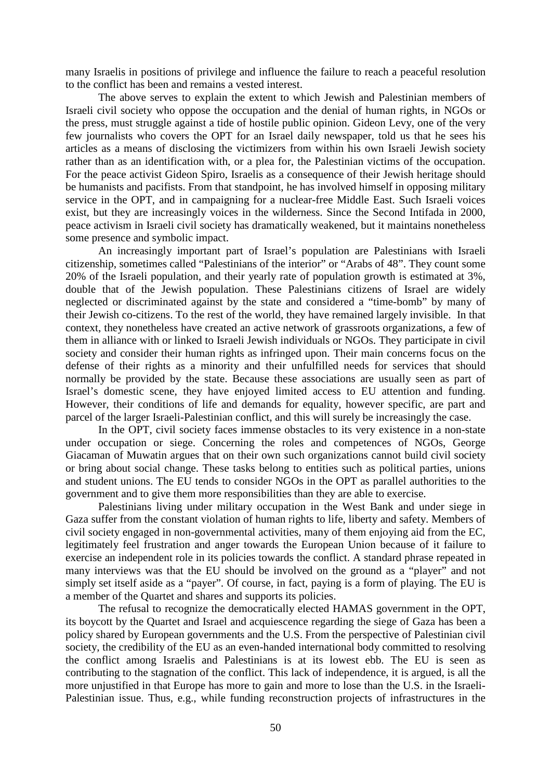many Israelis in positions of privilege and influence the failure to reach a peaceful resolution to the conflict has been and remains a vested interest.

 The above serves to explain the extent to which Jewish and Palestinian members of Israeli civil society who oppose the occupation and the denial of human rights, in NGOs or the press, must struggle against a tide of hostile public opinion. Gideon Levy, one of the very few journalists who covers the OPT for an Israel daily newspaper, told us that he sees his articles as a means of disclosing the victimizers from within his own Israeli Jewish society rather than as an identification with, or a plea for, the Palestinian victims of the occupation. For the peace activist Gideon Spiro, Israelis as a consequence of their Jewish heritage should be humanists and pacifists. From that standpoint, he has involved himself in opposing military service in the OPT, and in campaigning for a nuclear-free Middle East. Such Israeli voices exist, but they are increasingly voices in the wilderness. Since the Second Intifada in 2000, peace activism in Israeli civil society has dramatically weakened, but it maintains nonetheless some presence and symbolic impact.

An increasingly important part of Israel's population are Palestinians with Israeli citizenship, sometimes called "Palestinians of the interior" or "Arabs of 48". They count some 20% of the Israeli population, and their yearly rate of population growth is estimated at 3%, double that of the Jewish population. These Palestinians citizens of Israel are widely neglected or discriminated against by the state and considered a "time-bomb" by many of their Jewish co-citizens. To the rest of the world, they have remained largely invisible. In that context, they nonetheless have created an active network of grassroots organizations, a few of them in alliance with or linked to Israeli Jewish individuals or NGOs. They participate in civil society and consider their human rights as infringed upon. Their main concerns focus on the defense of their rights as a minority and their unfulfilled needs for services that should normally be provided by the state. Because these associations are usually seen as part of Israel's domestic scene, they have enjoyed limited access to EU attention and funding. However, their conditions of life and demands for equality, however specific, are part and parcel of the larger Israeli-Palestinian conflict, and this will surely be increasingly the case.

In the OPT, civil society faces immense obstacles to its very existence in a non-state under occupation or siege. Concerning the roles and competences of NGOs, George Giacaman of Muwatin argues that on their own such organizations cannot build civil society or bring about social change. These tasks belong to entities such as political parties, unions and student unions. The EU tends to consider NGOs in the OPT as parallel authorities to the government and to give them more responsibilities than they are able to exercise.

Palestinians living under military occupation in the West Bank and under siege in Gaza suffer from the constant violation of human rights to life, liberty and safety. Members of civil society engaged in non-governmental activities, many of them enjoying aid from the EC, legitimately feel frustration and anger towards the European Union because of it failure to exercise an independent role in its policies towards the conflict. A standard phrase repeated in many interviews was that the EU should be involved on the ground as a "player" and not simply set itself aside as a "payer". Of course, in fact, paying is a form of playing. The EU is a member of the Quartet and shares and supports its policies.

 The refusal to recognize the democratically elected HAMAS government in the OPT, its boycott by the Quartet and Israel and acquiescence regarding the siege of Gaza has been a policy shared by European governments and the U.S. From the perspective of Palestinian civil society, the credibility of the EU as an even-handed international body committed to resolving the conflict among Israelis and Palestinians is at its lowest ebb. The EU is seen as contributing to the stagnation of the conflict. This lack of independence, it is argued, is all the more unjustified in that Europe has more to gain and more to lose than the U.S. in the Israeli-Palestinian issue. Thus, e.g., while funding reconstruction projects of infrastructures in the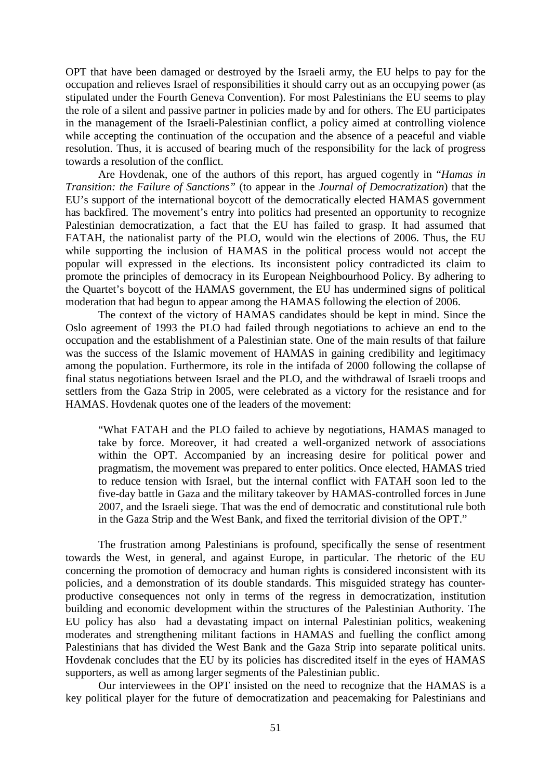OPT that have been damaged or destroyed by the Israeli army, the EU helps to pay for the occupation and relieves Israel of responsibilities it should carry out as an occupying power (as stipulated under the Fourth Geneva Convention). For most Palestinians the EU seems to play the role of a silent and passive partner in policies made by and for others. The EU participates in the management of the Israeli-Palestinian conflict, a policy aimed at controlling violence while accepting the continuation of the occupation and the absence of a peaceful and viable resolution. Thus, it is accused of bearing much of the responsibility for the lack of progress towards a resolution of the conflict.

 Are Hovdenak, one of the authors of this report, has argued cogently in "*Hamas in Transition: the Failure of Sanctions"* (to appear in the *Journal of Democratization*) that the EU's support of the international boycott of the democratically elected HAMAS government has backfired. The movement's entry into politics had presented an opportunity to recognize Palestinian democratization, a fact that the EU has failed to grasp. It had assumed that FATAH, the nationalist party of the PLO, would win the elections of 2006. Thus, the EU while supporting the inclusion of HAMAS in the political process would not accept the popular will expressed in the elections. Its inconsistent policy contradicted its claim to promote the principles of democracy in its European Neighbourhood Policy. By adhering to the Quartet's boycott of the HAMAS government, the EU has undermined signs of political moderation that had begun to appear among the HAMAS following the election of 2006.

 The context of the victory of HAMAS candidates should be kept in mind. Since the Oslo agreement of 1993 the PLO had failed through negotiations to achieve an end to the occupation and the establishment of a Palestinian state. One of the main results of that failure was the success of the Islamic movement of HAMAS in gaining credibility and legitimacy among the population. Furthermore, its role in the intifada of 2000 following the collapse of final status negotiations between Israel and the PLO, and the withdrawal of Israeli troops and settlers from the Gaza Strip in 2005, were celebrated as a victory for the resistance and for HAMAS. Hovdenak quotes one of the leaders of the movement:

"What FATAH and the PLO failed to achieve by negotiations, HAMAS managed to take by force. Moreover, it had created a well-organized network of associations within the OPT. Accompanied by an increasing desire for political power and pragmatism, the movement was prepared to enter politics. Once elected, HAMAS tried to reduce tension with Israel, but the internal conflict with FATAH soon led to the five-day battle in Gaza and the military takeover by HAMAS-controlled forces in June 2007, and the Israeli siege. That was the end of democratic and constitutional rule both in the Gaza Strip and the West Bank, and fixed the territorial division of the OPT."

 The frustration among Palestinians is profound, specifically the sense of resentment towards the West, in general, and against Europe, in particular. The rhetoric of the EU concerning the promotion of democracy and human rights is considered inconsistent with its policies, and a demonstration of its double standards. This misguided strategy has counterproductive consequences not only in terms of the regress in democratization, institution building and economic development within the structures of the Palestinian Authority. The EU policy has also had a devastating impact on internal Palestinian politics, weakening moderates and strengthening militant factions in HAMAS and fuelling the conflict among Palestinians that has divided the West Bank and the Gaza Strip into separate political units. Hovdenak concludes that the EU by its policies has discredited itself in the eyes of HAMAS supporters, as well as among larger segments of the Palestinian public.

 Our interviewees in the OPT insisted on the need to recognize that the HAMAS is a key political player for the future of democratization and peacemaking for Palestinians and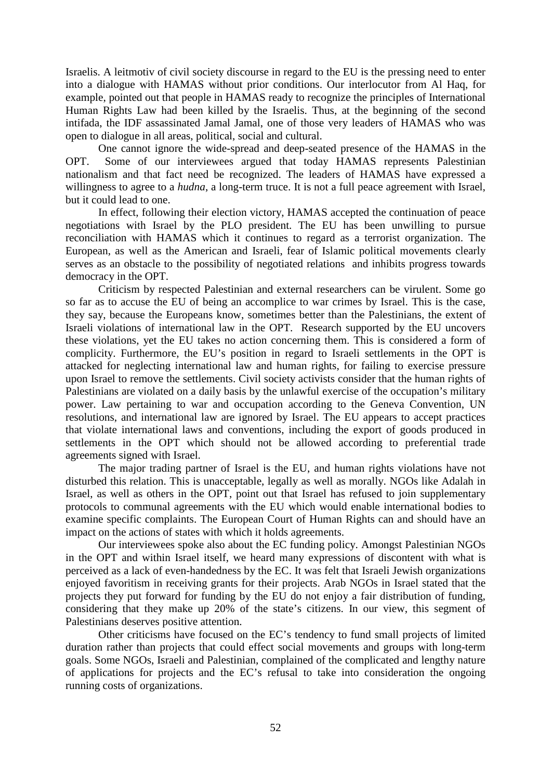Israelis. A leitmotiv of civil society discourse in regard to the EU is the pressing need to enter into a dialogue with HAMAS without prior conditions. Our interlocutor from Al Haq, for example, pointed out that people in HAMAS ready to recognize the principles of International Human Rights Law had been killed by the Israelis. Thus, at the beginning of the second intifada, the IDF assassinated Jamal Jamal, one of those very leaders of HAMAS who was open to dialogue in all areas, political, social and cultural.

One cannot ignore the wide-spread and deep-seated presence of the HAMAS in the OPT. Some of our interviewees argued that today HAMAS represents Palestinian nationalism and that fact need be recognized. The leaders of HAMAS have expressed a willingness to agree to a *hudna*, a long-term truce. It is not a full peace agreement with Israel, but it could lead to one.

 In effect, following their election victory, HAMAS accepted the continuation of peace negotiations with Israel by the PLO president. The EU has been unwilling to pursue reconciliation with HAMAS which it continues to regard as a terrorist organization. The European, as well as the American and Israeli, fear of Islamic political movements clearly serves as an obstacle to the possibility of negotiated relations and inhibits progress towards democracy in the OPT.

 Criticism by respected Palestinian and external researchers can be virulent. Some go so far as to accuse the EU of being an accomplice to war crimes by Israel. This is the case, they say, because the Europeans know, sometimes better than the Palestinians, the extent of Israeli violations of international law in the OPT. Research supported by the EU uncovers these violations, yet the EU takes no action concerning them. This is considered a form of complicity. Furthermore, the EU's position in regard to Israeli settlements in the OPT is attacked for neglecting international law and human rights, for failing to exercise pressure upon Israel to remove the settlements. Civil society activists consider that the human rights of Palestinians are violated on a daily basis by the unlawful exercise of the occupation's military power. Law pertaining to war and occupation according to the Geneva Convention, UN resolutions, and international law are ignored by Israel. The EU appears to accept practices that violate international laws and conventions, including the export of goods produced in settlements in the OPT which should not be allowed according to preferential trade agreements signed with Israel.

 The major trading partner of Israel is the EU, and human rights violations have not disturbed this relation. This is unacceptable, legally as well as morally. NGOs like Adalah in Israel, as well as others in the OPT, point out that Israel has refused to join supplementary protocols to communal agreements with the EU which would enable international bodies to examine specific complaints. The European Court of Human Rights can and should have an impact on the actions of states with which it holds agreements.

Our interviewees spoke also about the EC funding policy. Amongst Palestinian NGOs in the OPT and within Israel itself, we heard many expressions of discontent with what is perceived as a lack of even-handedness by the EC. It was felt that Israeli Jewish organizations enjoyed favoritism in receiving grants for their projects. Arab NGOs in Israel stated that the projects they put forward for funding by the EU do not enjoy a fair distribution of funding, considering that they make up 20% of the state's citizens. In our view, this segment of Palestinians deserves positive attention.

 Other criticisms have focused on the EC's tendency to fund small projects of limited duration rather than projects that could effect social movements and groups with long-term goals. Some NGOs, Israeli and Palestinian, complained of the complicated and lengthy nature of applications for projects and the EC's refusal to take into consideration the ongoing running costs of organizations.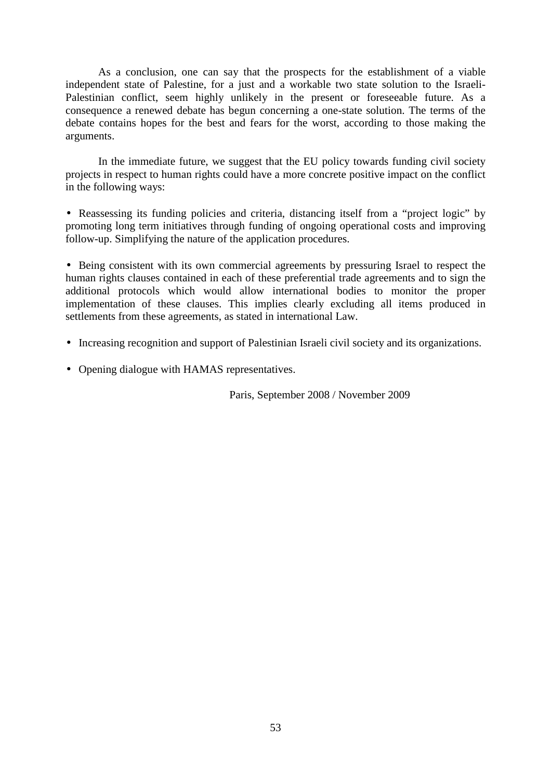As a conclusion, one can say that the prospects for the establishment of a viable independent state of Palestine, for a just and a workable two state solution to the Israeli-Palestinian conflict, seem highly unlikely in the present or foreseeable future. As a consequence a renewed debate has begun concerning a one-state solution. The terms of the debate contains hopes for the best and fears for the worst, according to those making the arguments.

 In the immediate future, we suggest that the EU policy towards funding civil society projects in respect to human rights could have a more concrete positive impact on the conflict in the following ways:

• Reassessing its funding policies and criteria, distancing itself from a "project logic" by promoting long term initiatives through funding of ongoing operational costs and improving follow-up. Simplifying the nature of the application procedures.

• Being consistent with its own commercial agreements by pressuring Israel to respect the human rights clauses contained in each of these preferential trade agreements and to sign the additional protocols which would allow international bodies to monitor the proper implementation of these clauses. This implies clearly excluding all items produced in settlements from these agreements, as stated in international Law.

- Increasing recognition and support of Palestinian Israeli civil society and its organizations.
- Opening dialogue with HAMAS representatives.

Paris, September 2008 / November 2009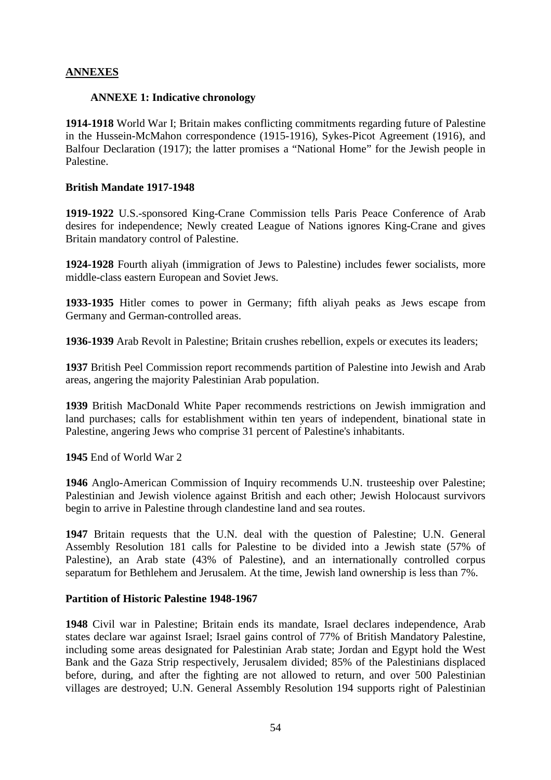# **ANNEXES**

# **ANNEXE 1: Indicative chronology**

**1914-1918** World War I; Britain makes conflicting commitments regarding future of Palestine in the Hussein-McMahon correspondence (1915-1916), Sykes-Picot Agreement (1916), and Balfour Declaration (1917); the latter promises a "National Home" for the Jewish people in Palestine.

# **British Mandate 1917-1948**

**1919-1922** U.S.-sponsored King-Crane Commission tells Paris Peace Conference of Arab desires for independence; Newly created League of Nations ignores King-Crane and gives Britain mandatory control of Palestine.

**1924-1928** Fourth aliyah (immigration of Jews to Palestine) includes fewer socialists, more middle-class eastern European and Soviet Jews.

**1933-1935** Hitler comes to power in Germany; fifth aliyah peaks as Jews escape from Germany and German-controlled areas.

**1936-1939** Arab Revolt in Palestine; Britain crushes rebellion, expels or executes its leaders;

**1937** British Peel Commission report recommends partition of Palestine into Jewish and Arab areas, angering the majority Palestinian Arab population.

**1939** British MacDonald White Paper recommends restrictions on Jewish immigration and land purchases; calls for establishment within ten years of independent, binational state in Palestine, angering Jews who comprise 31 percent of Palestine's inhabitants.

**1945** End of World War 2

**1946** Anglo-American Commission of Inquiry recommends U.N. trusteeship over Palestine; Palestinian and Jewish violence against British and each other; Jewish Holocaust survivors begin to arrive in Palestine through clandestine land and sea routes.

**1947** Britain requests that the U.N. deal with the question of Palestine; U.N. General Assembly Resolution 181 calls for Palestine to be divided into a Jewish state (57% of Palestine), an Arab state (43% of Palestine), and an internationally controlled corpus separatum for Bethlehem and Jerusalem. At the time, Jewish land ownership is less than 7%.

# **Partition of Historic Palestine 1948-1967**

**1948** Civil war in Palestine; Britain ends its mandate, Israel declares independence, Arab states declare war against Israel; Israel gains control of 77% of British Mandatory Palestine, including some areas designated for Palestinian Arab state; Jordan and Egypt hold the West Bank and the Gaza Strip respectively, Jerusalem divided; 85% of the Palestinians displaced before, during, and after the fighting are not allowed to return, and over 500 Palestinian villages are destroyed; U.N. General Assembly Resolution 194 supports right of Palestinian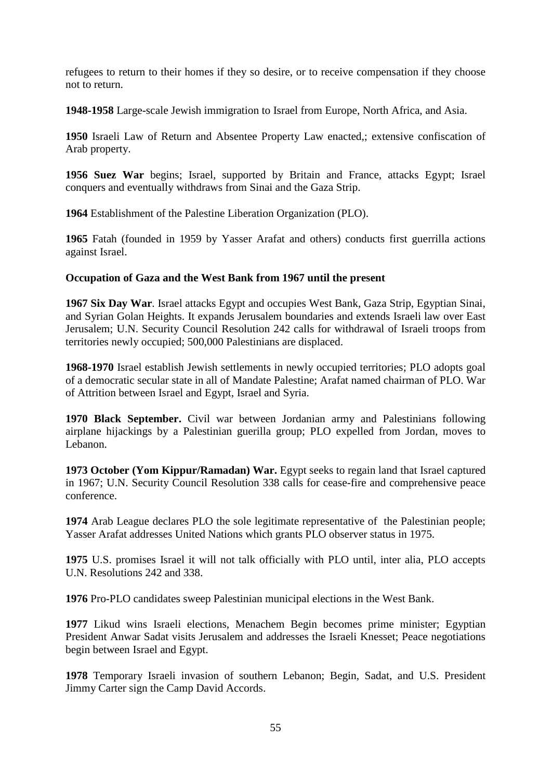refugees to return to their homes if they so desire, or to receive compensation if they choose not to return.

**1948-1958** Large-scale Jewish immigration to Israel from Europe, North Africa, and Asia.

**1950** Israeli Law of Return and Absentee Property Law enacted,; extensive confiscation of Arab property.

**1956 Suez War** begins; Israel, supported by Britain and France, attacks Egypt; Israel conquers and eventually withdraws from Sinai and the Gaza Strip.

**1964** Establishment of the Palestine Liberation Organization (PLO).

**1965** Fatah (founded in 1959 by Yasser Arafat and others) conducts first guerrilla actions against Israel.

# **Occupation of Gaza and the West Bank from 1967 until the present**

**1967 Six Day War**. Israel attacks Egypt and occupies West Bank, Gaza Strip, Egyptian Sinai, and Syrian Golan Heights. It expands Jerusalem boundaries and extends Israeli law over East Jerusalem; U.N. Security Council Resolution 242 calls for withdrawal of Israeli troops from territories newly occupied; 500,000 Palestinians are displaced.

**1968-1970** Israel establish Jewish settlements in newly occupied territories; PLO adopts goal of a democratic secular state in all of Mandate Palestine; Arafat named chairman of PLO. War of Attrition between Israel and Egypt, Israel and Syria.

**1970 Black September.** Civil war between Jordanian army and Palestinians following airplane hijackings by a Palestinian guerilla group; PLO expelled from Jordan, moves to Lebanon.

**1973 October (Yom Kippur/Ramadan) War.** Egypt seeks to regain land that Israel captured in 1967; U.N. Security Council Resolution 338 calls for cease-fire and comprehensive peace conference.

**1974** Arab League declares PLO the sole legitimate representative of the Palestinian people; Yasser Arafat addresses United Nations which grants PLO observer status in 1975.

**1975** U.S. promises Israel it will not talk officially with PLO until, inter alia, PLO accepts U.N. Resolutions 242 and 338.

**1976** Pro-PLO candidates sweep Palestinian municipal elections in the West Bank.

**1977** Likud wins Israeli elections, Menachem Begin becomes prime minister; Egyptian President Anwar Sadat visits Jerusalem and addresses the Israeli Knesset; Peace negotiations begin between Israel and Egypt.

**1978** Temporary Israeli invasion of southern Lebanon; Begin, Sadat, and U.S. President Jimmy Carter sign the Camp David Accords.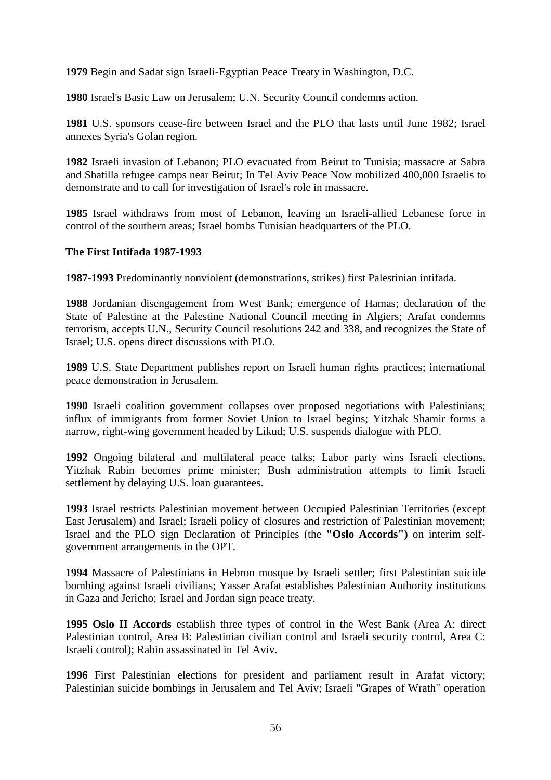**1979** Begin and Sadat sign Israeli-Egyptian Peace Treaty in Washington, D.C.

**1980** Israel's Basic Law on Jerusalem; U.N. Security Council condemns action.

**1981** U.S. sponsors cease-fire between Israel and the PLO that lasts until June 1982; Israel annexes Syria's Golan region.

**1982** Israeli invasion of Lebanon; PLO evacuated from Beirut to Tunisia; massacre at Sabra and Shatilla refugee camps near Beirut; In Tel Aviv Peace Now mobilized 400,000 Israelis to demonstrate and to call for investigation of Israel's role in massacre.

**1985** Israel withdraws from most of Lebanon, leaving an Israeli-allied Lebanese force in control of the southern areas; Israel bombs Tunisian headquarters of the PLO.

# **The First Intifada 1987-1993**

**1987-1993** Predominantly nonviolent (demonstrations, strikes) first Palestinian intifada.

**1988** Jordanian disengagement from West Bank; emergence of Hamas; declaration of the State of Palestine at the Palestine National Council meeting in Algiers; Arafat condemns terrorism, accepts U.N., Security Council resolutions 242 and 338, and recognizes the State of Israel; U.S. opens direct discussions with PLO.

**1989** U.S. State Department publishes report on Israeli human rights practices; international peace demonstration in Jerusalem.

**1990** Israeli coalition government collapses over proposed negotiations with Palestinians; influx of immigrants from former Soviet Union to Israel begins; Yitzhak Shamir forms a narrow, right-wing government headed by Likud; U.S. suspends dialogue with PLO.

**1992** Ongoing bilateral and multilateral peace talks; Labor party wins Israeli elections, Yitzhak Rabin becomes prime minister; Bush administration attempts to limit Israeli settlement by delaying U.S. loan guarantees.

**1993** Israel restricts Palestinian movement between Occupied Palestinian Territories (except East Jerusalem) and Israel; Israeli policy of closures and restriction of Palestinian movement; Israel and the PLO sign Declaration of Principles (the **"Oslo Accords")** on interim selfgovernment arrangements in the OPT.

**1994** Massacre of Palestinians in Hebron mosque by Israeli settler; first Palestinian suicide bombing against Israeli civilians; Yasser Arafat establishes Palestinian Authority institutions in Gaza and Jericho; Israel and Jordan sign peace treaty.

**1995 Oslo II Accords** establish three types of control in the West Bank (Area A: direct Palestinian control, Area B: Palestinian civilian control and Israeli security control, Area C: Israeli control); Rabin assassinated in Tel Aviv.

**1996** First Palestinian elections for president and parliament result in Arafat victory; Palestinian suicide bombings in Jerusalem and Tel Aviv; Israeli "Grapes of Wrath" operation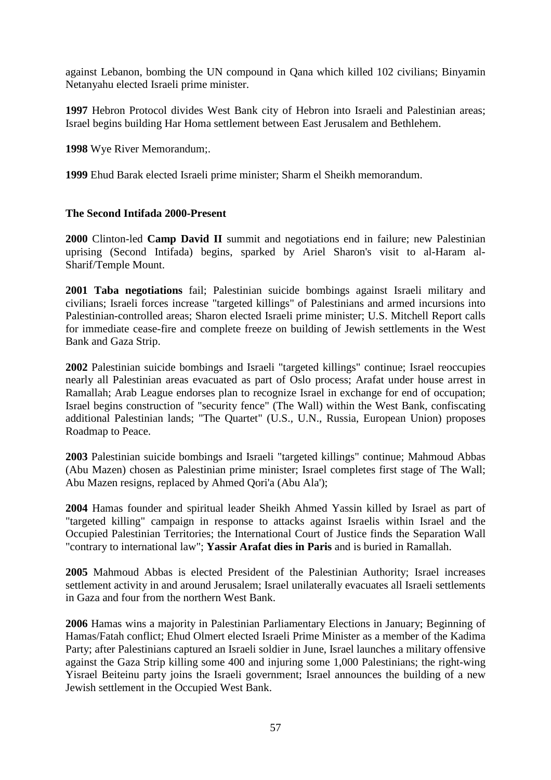against Lebanon, bombing the UN compound in Qana which killed 102 civilians; Binyamin Netanyahu elected Israeli prime minister.

**1997** Hebron Protocol divides West Bank city of Hebron into Israeli and Palestinian areas; Israel begins building Har Homa settlement between East Jerusalem and Bethlehem.

**1998** Wye River Memorandum;.

**1999** Ehud Barak elected Israeli prime minister; Sharm el Sheikh memorandum.

# **The Second Intifada 2000-Present**

**2000** Clinton-led **Camp David II** summit and negotiations end in failure; new Palestinian uprising (Second Intifada) begins, sparked by Ariel Sharon's visit to al-Haram al-Sharif/Temple Mount.

**2001 Taba negotiations** fail; Palestinian suicide bombings against Israeli military and civilians; Israeli forces increase "targeted killings" of Palestinians and armed incursions into Palestinian-controlled areas; Sharon elected Israeli prime minister; U.S. Mitchell Report calls for immediate cease-fire and complete freeze on building of Jewish settlements in the West Bank and Gaza Strip.

**2002** Palestinian suicide bombings and Israeli "targeted killings" continue; Israel reoccupies nearly all Palestinian areas evacuated as part of Oslo process; Arafat under house arrest in Ramallah; Arab League endorses plan to recognize Israel in exchange for end of occupation; Israel begins construction of "security fence" (The Wall) within the West Bank, confiscating additional Palestinian lands; "The Quartet" (U.S., U.N., Russia, European Union) proposes Roadmap to Peace.

**2003** Palestinian suicide bombings and Israeli "targeted killings" continue; Mahmoud Abbas (Abu Mazen) chosen as Palestinian prime minister; Israel completes first stage of The Wall; Abu Mazen resigns, replaced by Ahmed Qori'a (Abu Ala');

**2004** Hamas founder and spiritual leader Sheikh Ahmed Yassin killed by Israel as part of "targeted killing" campaign in response to attacks against Israelis within Israel and the Occupied Palestinian Territories; the International Court of Justice finds the Separation Wall "contrary to international law"; **Yassir Arafat dies in Paris** and is buried in Ramallah.

**2005** Mahmoud Abbas is elected President of the Palestinian Authority; Israel increases settlement activity in and around Jerusalem; Israel unilaterally evacuates all Israeli settlements in Gaza and four from the northern West Bank.

**2006** Hamas wins a majority in Palestinian Parliamentary Elections in January; Beginning of Hamas/Fatah conflict; Ehud Olmert elected Israeli Prime Minister as a member of the Kadima Party; after Palestinians captured an Israeli soldier in June, Israel launches a military offensive against the Gaza Strip killing some 400 and injuring some 1,000 Palestinians; the right-wing Yisrael Beiteinu party joins the Israeli government; Israel announces the building of a new Jewish settlement in the Occupied West Bank.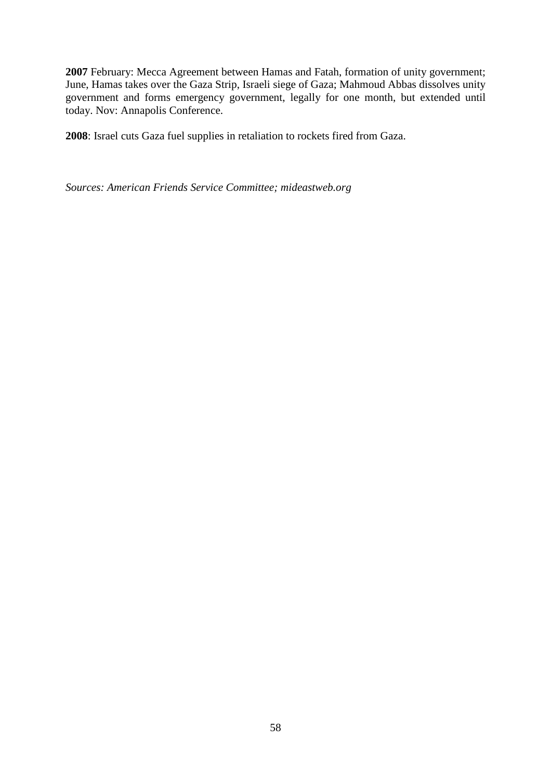**2007** February: Mecca Agreement between Hamas and Fatah, formation of unity government; June, Hamas takes over the Gaza Strip, Israeli siege of Gaza; Mahmoud Abbas dissolves unity government and forms emergency government, legally for one month, but extended until today. Nov: Annapolis Conference.

**2008**: Israel cuts Gaza fuel supplies in retaliation to rockets fired from Gaza.

*Sources: American Friends Service Committee; mideastweb.org*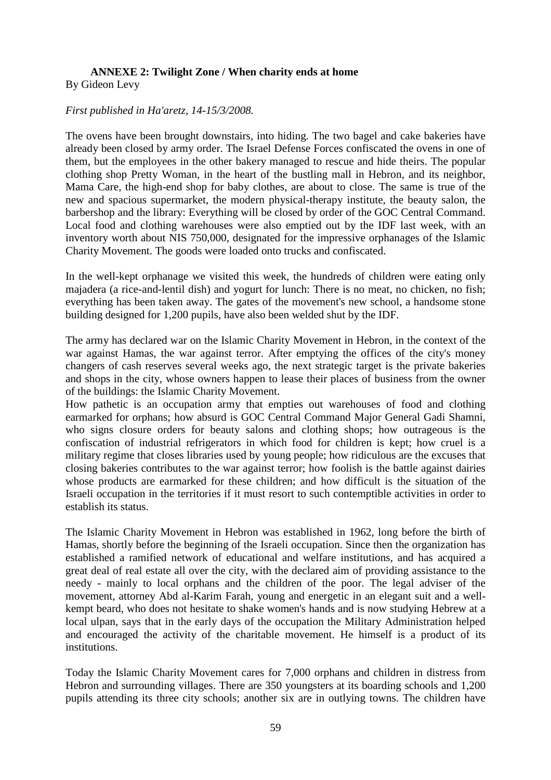# **ANNEXE 2: Twilight Zone / When charity ends at home** By Gideon Levy

# *First published in Ha'aretz, 14-15/3/2008.*

The ovens have been brought downstairs, into hiding. The two bagel and cake bakeries have already been closed by army order. The Israel Defense Forces confiscated the ovens in one of them, but the employees in the other bakery managed to rescue and hide theirs. The popular clothing shop Pretty Woman, in the heart of the bustling mall in Hebron, and its neighbor, Mama Care, the high-end shop for baby clothes, are about to close. The same is true of the new and spacious supermarket, the modern physical-therapy institute, the beauty salon, the barbershop and the library: Everything will be closed by order of the GOC Central Command. Local food and clothing warehouses were also emptied out by the IDF last week, with an inventory worth about NIS 750,000, designated for the impressive orphanages of the Islamic Charity Movement. The goods were loaded onto trucks and confiscated.

In the well-kept orphanage we visited this week, the hundreds of children were eating only majadera (a rice-and-lentil dish) and yogurt for lunch: There is no meat, no chicken, no fish; everything has been taken away. The gates of the movement's new school, a handsome stone building designed for 1,200 pupils, have also been welded shut by the IDF.

The army has declared war on the Islamic Charity Movement in Hebron, in the context of the war against Hamas, the war against terror. After emptying the offices of the city's money changers of cash reserves several weeks ago, the next strategic target is the private bakeries and shops in the city, whose owners happen to lease their places of business from the owner of the buildings: the Islamic Charity Movement.

How pathetic is an occupation army that empties out warehouses of food and clothing earmarked for orphans; how absurd is GOC Central Command Major General Gadi Shamni, who signs closure orders for beauty salons and clothing shops; how outrageous is the confiscation of industrial refrigerators in which food for children is kept; how cruel is a military regime that closes libraries used by young people; how ridiculous are the excuses that closing bakeries contributes to the war against terror; how foolish is the battle against dairies whose products are earmarked for these children; and how difficult is the situation of the Israeli occupation in the territories if it must resort to such contemptible activities in order to establish its status.

The Islamic Charity Movement in Hebron was established in 1962, long before the birth of Hamas, shortly before the beginning of the Israeli occupation. Since then the organization has established a ramified network of educational and welfare institutions, and has acquired a great deal of real estate all over the city, with the declared aim of providing assistance to the needy - mainly to local orphans and the children of the poor. The legal adviser of the movement, attorney Abd al-Karim Farah, young and energetic in an elegant suit and a wellkempt beard, who does not hesitate to shake women's hands and is now studying Hebrew at a local ulpan, says that in the early days of the occupation the Military Administration helped and encouraged the activity of the charitable movement. He himself is a product of its institutions.

Today the Islamic Charity Movement cares for 7,000 orphans and children in distress from Hebron and surrounding villages. There are 350 youngsters at its boarding schools and 1,200 pupils attending its three city schools; another six are in outlying towns. The children have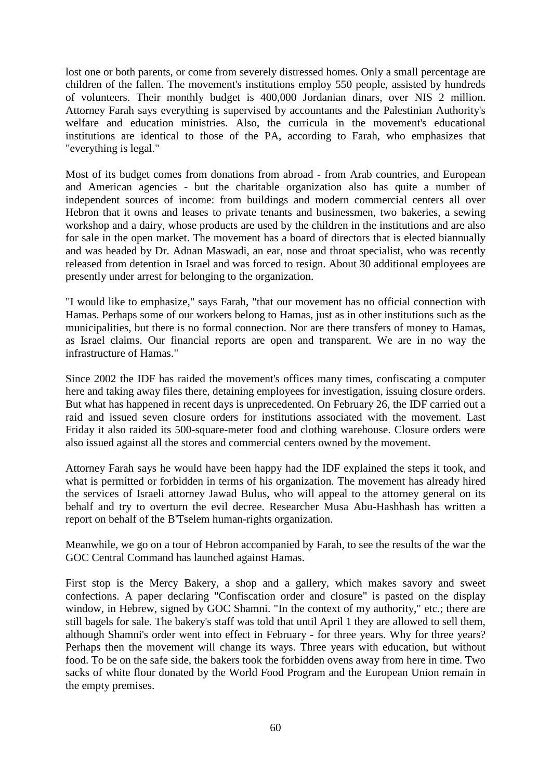lost one or both parents, or come from severely distressed homes. Only a small percentage are children of the fallen. The movement's institutions employ 550 people, assisted by hundreds of volunteers. Their monthly budget is 400,000 Jordanian dinars, over NIS 2 million. Attorney Farah says everything is supervised by accountants and the Palestinian Authority's welfare and education ministries. Also, the curricula in the movement's educational institutions are identical to those of the PA, according to Farah, who emphasizes that "everything is legal."

Most of its budget comes from donations from abroad - from Arab countries, and European and American agencies - but the charitable organization also has quite a number of independent sources of income: from buildings and modern commercial centers all over Hebron that it owns and leases to private tenants and businessmen, two bakeries, a sewing workshop and a dairy, whose products are used by the children in the institutions and are also for sale in the open market. The movement has a board of directors that is elected biannually and was headed by Dr. Adnan Maswadi, an ear, nose and throat specialist, who was recently released from detention in Israel and was forced to resign. About 30 additional employees are presently under arrest for belonging to the organization.

"I would like to emphasize," says Farah, "that our movement has no official connection with Hamas. Perhaps some of our workers belong to Hamas, just as in other institutions such as the municipalities, but there is no formal connection. Nor are there transfers of money to Hamas, as Israel claims. Our financial reports are open and transparent. We are in no way the infrastructure of Hamas."

Since 2002 the IDF has raided the movement's offices many times, confiscating a computer here and taking away files there, detaining employees for investigation, issuing closure orders. But what has happened in recent days is unprecedented. On February 26, the IDF carried out a raid and issued seven closure orders for institutions associated with the movement. Last Friday it also raided its 500-square-meter food and clothing warehouse. Closure orders were also issued against all the stores and commercial centers owned by the movement.

Attorney Farah says he would have been happy had the IDF explained the steps it took, and what is permitted or forbidden in terms of his organization. The movement has already hired the services of Israeli attorney Jawad Bulus, who will appeal to the attorney general on its behalf and try to overturn the evil decree. Researcher Musa Abu-Hashhash has written a report on behalf of the B'Tselem human-rights organization.

Meanwhile, we go on a tour of Hebron accompanied by Farah, to see the results of the war the GOC Central Command has launched against Hamas.

First stop is the Mercy Bakery, a shop and a gallery, which makes savory and sweet confections. A paper declaring "Confiscation order and closure" is pasted on the display window, in Hebrew, signed by GOC Shamni. "In the context of my authority," etc.; there are still bagels for sale. The bakery's staff was told that until April 1 they are allowed to sell them, although Shamni's order went into effect in February - for three years. Why for three years? Perhaps then the movement will change its ways. Three years with education, but without food. To be on the safe side, the bakers took the forbidden ovens away from here in time. Two sacks of white flour donated by the World Food Program and the European Union remain in the empty premises.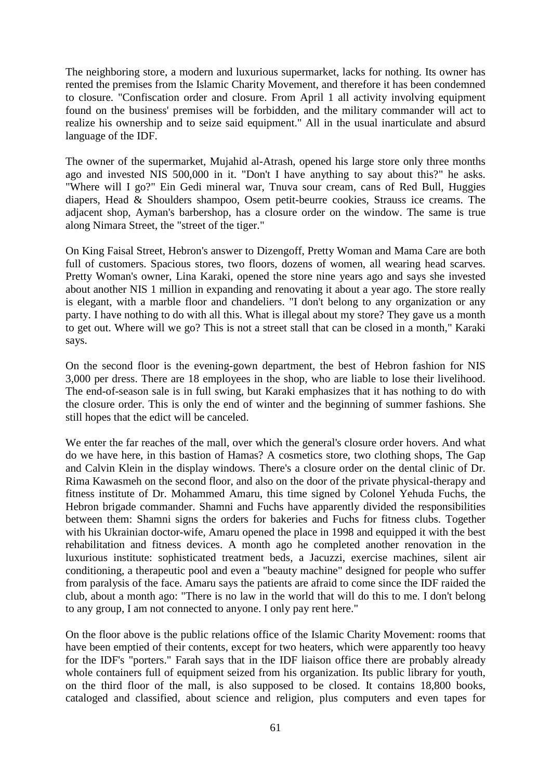The neighboring store, a modern and luxurious supermarket, lacks for nothing. Its owner has rented the premises from the Islamic Charity Movement, and therefore it has been condemned to closure. "Confiscation order and closure. From April 1 all activity involving equipment found on the business' premises will be forbidden, and the military commander will act to realize his ownership and to seize said equipment." All in the usual inarticulate and absurd language of the IDF.

The owner of the supermarket, Mujahid al-Atrash, opened his large store only three months ago and invested NIS 500,000 in it. "Don't I have anything to say about this?" he asks. "Where will I go?" Ein Gedi mineral war, Tnuva sour cream, cans of Red Bull, Huggies diapers, Head & Shoulders shampoo, Osem petit-beurre cookies, Strauss ice creams. The adjacent shop, Ayman's barbershop, has a closure order on the window. The same is true along Nimara Street, the "street of the tiger."

On King Faisal Street, Hebron's answer to Dizengoff, Pretty Woman and Mama Care are both full of customers. Spacious stores, two floors, dozens of women, all wearing head scarves. Pretty Woman's owner, Lina Karaki, opened the store nine years ago and says she invested about another NIS 1 million in expanding and renovating it about a year ago. The store really is elegant, with a marble floor and chandeliers. "I don't belong to any organization or any party. I have nothing to do with all this. What is illegal about my store? They gave us a month to get out. Where will we go? This is not a street stall that can be closed in a month," Karaki says.

On the second floor is the evening-gown department, the best of Hebron fashion for NIS 3,000 per dress. There are 18 employees in the shop, who are liable to lose their livelihood. The end-of-season sale is in full swing, but Karaki emphasizes that it has nothing to do with the closure order. This is only the end of winter and the beginning of summer fashions. She still hopes that the edict will be canceled.

We enter the far reaches of the mall, over which the general's closure order hovers. And what do we have here, in this bastion of Hamas? A cosmetics store, two clothing shops, The Gap and Calvin Klein in the display windows. There's a closure order on the dental clinic of Dr. Rima Kawasmeh on the second floor, and also on the door of the private physical-therapy and fitness institute of Dr. Mohammed Amaru, this time signed by Colonel Yehuda Fuchs, the Hebron brigade commander. Shamni and Fuchs have apparently divided the responsibilities between them: Shamni signs the orders for bakeries and Fuchs for fitness clubs. Together with his Ukrainian doctor-wife, Amaru opened the place in 1998 and equipped it with the best rehabilitation and fitness devices. A month ago he completed another renovation in the luxurious institute: sophisticated treatment beds, a Jacuzzi, exercise machines, silent air conditioning, a therapeutic pool and even a "beauty machine" designed for people who suffer from paralysis of the face. Amaru says the patients are afraid to come since the IDF raided the club, about a month ago: "There is no law in the world that will do this to me. I don't belong to any group, I am not connected to anyone. I only pay rent here."

On the floor above is the public relations office of the Islamic Charity Movement: rooms that have been emptied of their contents, except for two heaters, which were apparently too heavy for the IDF's "porters." Farah says that in the IDF liaison office there are probably already whole containers full of equipment seized from his organization. Its public library for youth, on the third floor of the mall, is also supposed to be closed. It contains 18,800 books, cataloged and classified, about science and religion, plus computers and even tapes for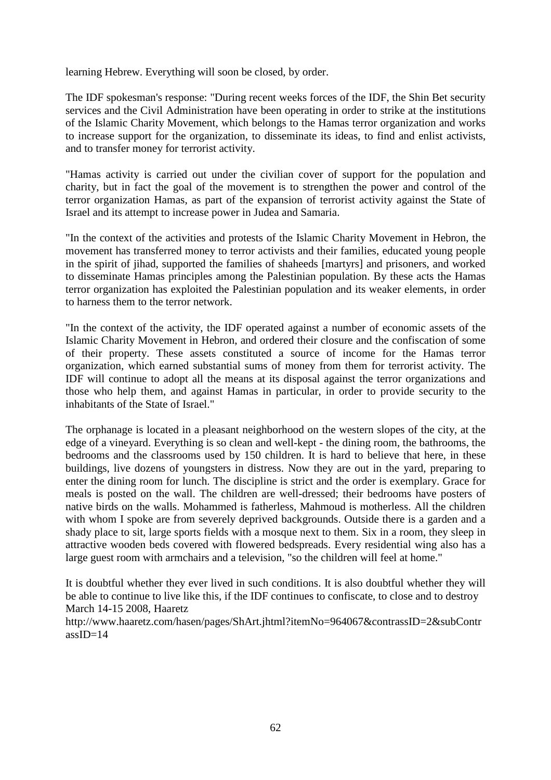learning Hebrew. Everything will soon be closed, by order.

The IDF spokesman's response: "During recent weeks forces of the IDF, the Shin Bet security services and the Civil Administration have been operating in order to strike at the institutions of the Islamic Charity Movement, which belongs to the Hamas terror organization and works to increase support for the organization, to disseminate its ideas, to find and enlist activists, and to transfer money for terrorist activity.

"Hamas activity is carried out under the civilian cover of support for the population and charity, but in fact the goal of the movement is to strengthen the power and control of the terror organization Hamas, as part of the expansion of terrorist activity against the State of Israel and its attempt to increase power in Judea and Samaria.

"In the context of the activities and protests of the Islamic Charity Movement in Hebron, the movement has transferred money to terror activists and their families, educated young people in the spirit of jihad, supported the families of shaheeds [martyrs] and prisoners, and worked to disseminate Hamas principles among the Palestinian population. By these acts the Hamas terror organization has exploited the Palestinian population and its weaker elements, in order to harness them to the terror network.

"In the context of the activity, the IDF operated against a number of economic assets of the Islamic Charity Movement in Hebron, and ordered their closure and the confiscation of some of their property. These assets constituted a source of income for the Hamas terror organization, which earned substantial sums of money from them for terrorist activity. The IDF will continue to adopt all the means at its disposal against the terror organizations and those who help them, and against Hamas in particular, in order to provide security to the inhabitants of the State of Israel."

The orphanage is located in a pleasant neighborhood on the western slopes of the city, at the edge of a vineyard. Everything is so clean and well-kept - the dining room, the bathrooms, the bedrooms and the classrooms used by 150 children. It is hard to believe that here, in these buildings, live dozens of youngsters in distress. Now they are out in the yard, preparing to enter the dining room for lunch. The discipline is strict and the order is exemplary. Grace for meals is posted on the wall. The children are well-dressed; their bedrooms have posters of native birds on the walls. Mohammed is fatherless, Mahmoud is motherless. All the children with whom I spoke are from severely deprived backgrounds. Outside there is a garden and a shady place to sit, large sports fields with a mosque next to them. Six in a room, they sleep in attractive wooden beds covered with flowered bedspreads. Every residential wing also has a large guest room with armchairs and a television, "so the children will feel at home."

It is doubtful whether they ever lived in such conditions. It is also doubtful whether they will be able to continue to live like this, if the IDF continues to confiscate, to close and to destroy March 14-15 2008, Haaretz

http://www.haaretz.com/hasen/pages/ShArt.jhtml?itemNo=964067&contrassID=2&subContr  $assID=14$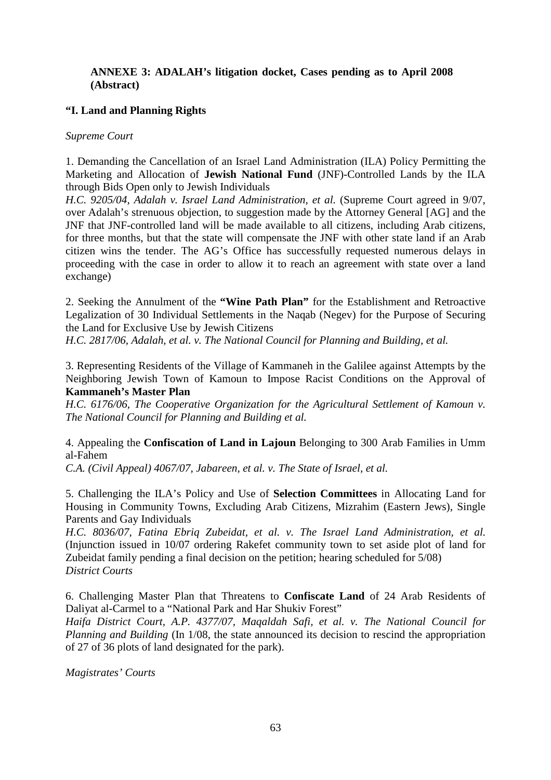# **ANNEXE 3: ADALAH's litigation docket, Cases pending as to April 2008 (Abstract)**

# **"I. Land and Planning Rights**

# *Supreme Court*

1. Demanding the Cancellation of an Israel Land Administration (ILA) Policy Permitting the Marketing and Allocation of **Jewish National Fund** (JNF)-Controlled Lands by the ILA through Bids Open only to Jewish Individuals

*H.C. 9205/04, Adalah v. Israel Land Administration, et al.* (Supreme Court agreed in 9/07, over Adalah's strenuous objection, to suggestion made by the Attorney General [AG] and the JNF that JNF-controlled land will be made available to all citizens, including Arab citizens, for three months, but that the state will compensate the JNF with other state land if an Arab citizen wins the tender. The AG's Office has successfully requested numerous delays in proceeding with the case in order to allow it to reach an agreement with state over a land exchange)

2. Seeking the Annulment of the **"Wine Path Plan"** for the Establishment and Retroactive Legalization of 30 Individual Settlements in the Naqab (Negev) for the Purpose of Securing the Land for Exclusive Use by Jewish Citizens

*H.C. 2817/06, Adalah, et al. v. The National Council for Planning and Building, et al.* 

3. Representing Residents of the Village of Kammaneh in the Galilee against Attempts by the Neighboring Jewish Town of Kamoun to Impose Racist Conditions on the Approval of **Kammaneh's Master Plan**

*H.C. 6176/06, The Cooperative Organization for the Agricultural Settlement of Kamoun v. The National Council for Planning and Building et al.* 

4. Appealing the **Confiscation of Land in Lajoun** Belonging to 300 Arab Families in Umm al-Fahem

*C.A. (Civil Appeal) 4067/07, Jabareen, et al. v. The State of Israel, et al.* 

5. Challenging the ILA's Policy and Use of **Selection Committees** in Allocating Land for Housing in Community Towns, Excluding Arab Citizens, Mizrahim (Eastern Jews), Single Parents and Gay Individuals

*H.C. 8036/07, Fatina Ebriq Zubeidat, et al. v. The Israel Land Administration, et al.*  (Injunction issued in 10/07 ordering Rakefet community town to set aside plot of land for Zubeidat family pending a final decision on the petition; hearing scheduled for 5/08) *District Courts* 

6. Challenging Master Plan that Threatens to **Confiscate Land** of 24 Arab Residents of Daliyat al-Carmel to a "National Park and Har Shukiv Forest"

*Haifa District Court, A.P. 4377/07, Maqaldah Safi, et al. v. The National Council for Planning and Building* (In 1/08, the state announced its decision to rescind the appropriation of 27 of 36 plots of land designated for the park).

*Magistrates' Courts*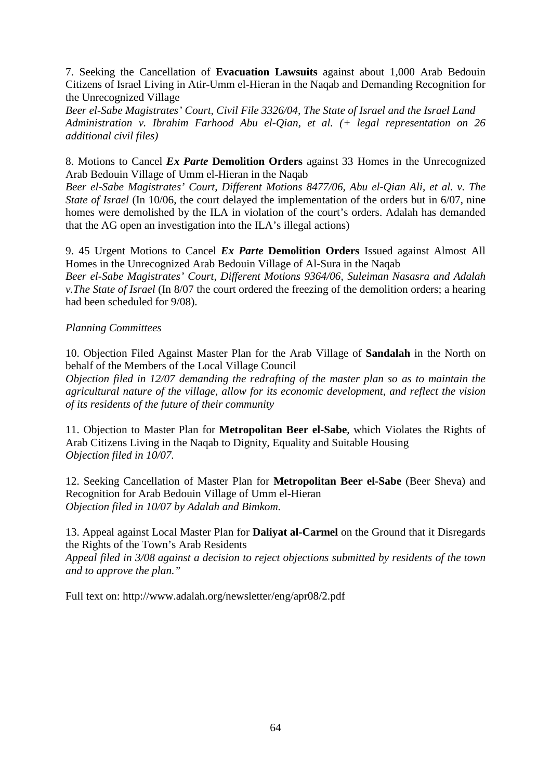7. Seeking the Cancellation of **Evacuation Lawsuits** against about 1,000 Arab Bedouin Citizens of Israel Living in Atir-Umm el-Hieran in the Naqab and Demanding Recognition for the Unrecognized Village

*Beer el-Sabe Magistrates' Court, Civil File 3326/04, The State of Israel and the Israel Land Administration v. Ibrahim Farhood Abu el-Qian, et al. (+ legal representation on 26 additional civil files)* 

8. Motions to Cancel *Ex Parte* **Demolition Orders** against 33 Homes in the Unrecognized Arab Bedouin Village of Umm el-Hieran in the Naqab

*Beer el-Sabe Magistrates' Court, Different Motions 8477/06, Abu el-Qian Ali, et al. v. The State of Israel* (In 10/06, the court delayed the implementation of the orders but in 6/07, nine homes were demolished by the ILA in violation of the court's orders. Adalah has demanded that the AG open an investigation into the ILA's illegal actions)

9. 45 Urgent Motions to Cancel *Ex Parte* **Demolition Orders** Issued against Almost All Homes in the Unrecognized Arab Bedouin Village of Al-Sura in the Naqab

*Beer el-Sabe Magistrates' Court, Different Motions 9364/06, Suleiman Nasasra and Adalah v.The State of Israel* (In 8/07 the court ordered the freezing of the demolition orders; a hearing had been scheduled for 9/08).

*Planning Committees* 

10. Objection Filed Against Master Plan for the Arab Village of **Sandalah** in the North on behalf of the Members of the Local Village Council

*Objection filed in 12/07 demanding the redrafting of the master plan so as to maintain the agricultural nature of the village, allow for its economic development, and reflect the vision of its residents of the future of their community* 

11. Objection to Master Plan for **Metropolitan Beer el-Sabe**, which Violates the Rights of Arab Citizens Living in the Naqab to Dignity, Equality and Suitable Housing *Objection filed in 10/07.* 

12. Seeking Cancellation of Master Plan for **Metropolitan Beer el-Sabe** (Beer Sheva) and Recognition for Arab Bedouin Village of Umm el-Hieran *Objection filed in 10/07 by Adalah and Bimkom.* 

13. Appeal against Local Master Plan for **Daliyat al-Carmel** on the Ground that it Disregards the Rights of the Town's Arab Residents

*Appeal filed in 3/08 against a decision to reject objections submitted by residents of the town and to approve the plan."* 

Full text on: http://www.adalah.org/newsletter/eng/apr08/2.pdf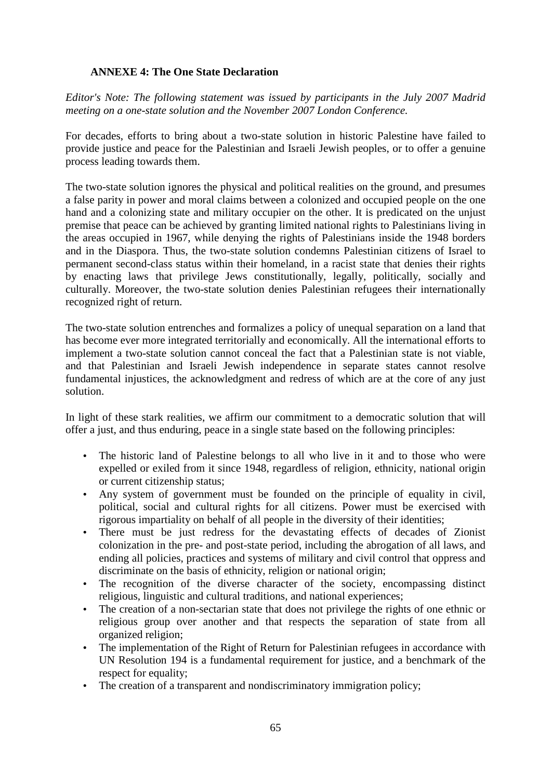# **ANNEXE 4: The One State Declaration**

*Editor's Note: The following statement was issued by participants in the July 2007 Madrid meeting on a one-state solution and the November 2007 London Conference.*

For decades, efforts to bring about a two-state solution in historic Palestine have failed to provide justice and peace for the Palestinian and Israeli Jewish peoples, or to offer a genuine process leading towards them.

The two-state solution ignores the physical and political realities on the ground, and presumes a false parity in power and moral claims between a colonized and occupied people on the one hand and a colonizing state and military occupier on the other. It is predicated on the unjust premise that peace can be achieved by granting limited national rights to Palestinians living in the areas occupied in 1967, while denying the rights of Palestinians inside the 1948 borders and in the Diaspora. Thus, the two-state solution condemns Palestinian citizens of Israel to permanent second-class status within their homeland, in a racist state that denies their rights by enacting laws that privilege Jews constitutionally, legally, politically, socially and culturally. Moreover, the two-state solution denies Palestinian refugees their internationally recognized right of return.

The two-state solution entrenches and formalizes a policy of unequal separation on a land that has become ever more integrated territorially and economically. All the international efforts to implement a two-state solution cannot conceal the fact that a Palestinian state is not viable, and that Palestinian and Israeli Jewish independence in separate states cannot resolve fundamental injustices, the acknowledgment and redress of which are at the core of any just solution.

In light of these stark realities, we affirm our commitment to a democratic solution that will offer a just, and thus enduring, peace in a single state based on the following principles:

- The historic land of Palestine belongs to all who live in it and to those who were expelled or exiled from it since 1948, regardless of religion, ethnicity, national origin or current citizenship status;
- Any system of government must be founded on the principle of equality in civil, political, social and cultural rights for all citizens. Power must be exercised with rigorous impartiality on behalf of all people in the diversity of their identities;
- There must be just redress for the devastating effects of decades of Zionist colonization in the pre- and post-state period, including the abrogation of all laws, and ending all policies, practices and systems of military and civil control that oppress and discriminate on the basis of ethnicity, religion or national origin;
- The recognition of the diverse character of the society, encompassing distinct religious, linguistic and cultural traditions, and national experiences;
- The creation of a non-sectarian state that does not privilege the rights of one ethnic or religious group over another and that respects the separation of state from all organized religion;
- The implementation of the Right of Return for Palestinian refugees in accordance with UN Resolution 194 is a fundamental requirement for justice, and a benchmark of the respect for equality;
- The creation of a transparent and nondiscriminatory immigration policy;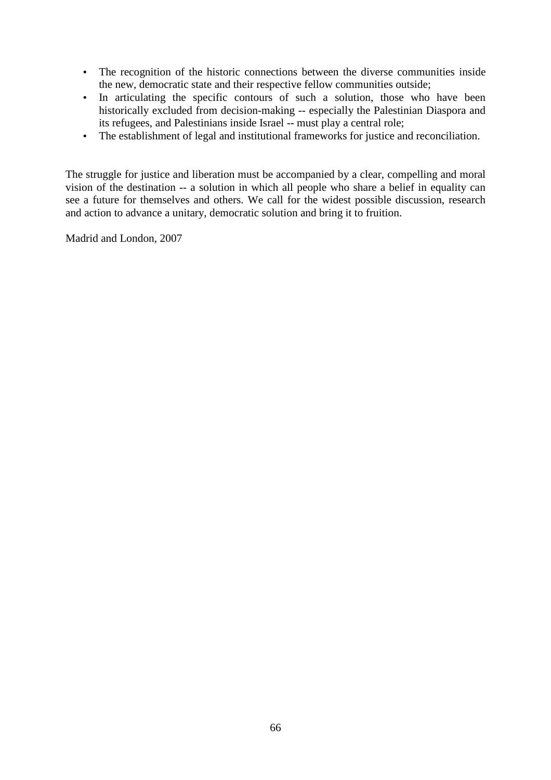- The recognition of the historic connections between the diverse communities inside the new, democratic state and their respective fellow communities outside;
- In articulating the specific contours of such a solution, those who have been historically excluded from decision-making -- especially the Palestinian Diaspora and its refugees, and Palestinians inside Israel -- must play a central role;
- The establishment of legal and institutional frameworks for justice and reconciliation.

The struggle for justice and liberation must be accompanied by a clear, compelling and moral vision of the destination -- a solution in which all people who share a belief in equality can see a future for themselves and others. We call for the widest possible discussion, research and action to advance a unitary, democratic solution and bring it to fruition.

Madrid and London, 2007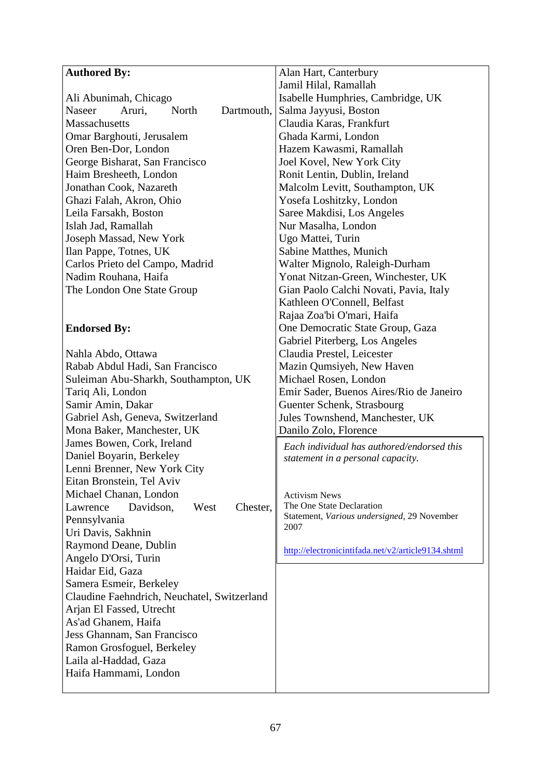| <b>Authored By:</b>                         | Alan Hart, Canterbury                               |
|---------------------------------------------|-----------------------------------------------------|
|                                             | Jamil Hilal, Ramallah                               |
| Ali Abunimah, Chicago                       | Isabelle Humphries, Cambridge, UK                   |
| Naseer<br>Aruri,<br>North<br>Dartmouth,     | Salma Jayyusi, Boston                               |
| Massachusetts                               | Claudia Karas, Frankfurt                            |
| Omar Barghouti, Jerusalem                   | Ghada Karmi, London                                 |
| Oren Ben-Dor, London                        | Hazem Kawasmi, Ramallah                             |
| George Bisharat, San Francisco              | Joel Kovel, New York City                           |
| Haim Bresheeth, London                      | Ronit Lentin, Dublin, Ireland                       |
| Jonathan Cook, Nazareth                     | Malcolm Levitt, Southampton, UK                     |
| Ghazi Falah, Akron, Ohio                    | Yosefa Loshitzky, London                            |
| Leila Farsakh, Boston                       | Saree Makdisi, Los Angeles                          |
| Islah Jad, Ramallah                         | Nur Masalha, London                                 |
| Joseph Massad, New York                     | Ugo Mattei, Turin                                   |
| Ilan Pappe, Totnes, UK                      | Sabine Matthes, Munich                              |
| Carlos Prieto del Campo, Madrid             | Walter Mignolo, Raleigh-Durham                      |
| Nadim Rouhana, Haifa                        | Yonat Nitzan-Green, Winchester, UK                  |
| The London One State Group                  | Gian Paolo Calchi Novati, Pavia, Italy              |
|                                             | Kathleen O'Connell, Belfast                         |
|                                             | Rajaa Zoa'bi O'mari, Haifa                          |
| <b>Endorsed By:</b>                         | One Democratic State Group, Gaza                    |
|                                             | Gabriel Piterberg, Los Angeles                      |
| Nahla Abdo, Ottawa                          | Claudia Prestel, Leicester                          |
| Rabab Abdul Hadi, San Francisco             | Mazin Qumsiyeh, New Haven                           |
| Suleiman Abu-Sharkh, Southampton, UK        | Michael Rosen, London                               |
| Tariq Ali, London                           | Emir Sader, Buenos Aires/Rio de Janeiro             |
| Samir Amin, Dakar                           | Guenter Schenk, Strasbourg                          |
| Gabriel Ash, Geneva, Switzerland            | Jules Townshend, Manchester, UK                     |
| Mona Baker, Manchester, UK                  | Danilo Zolo, Florence                               |
| James Bowen, Cork, Ireland                  | Each individual has authored/endorsed this          |
| Daniel Boyarin, Berkeley                    | statement in a personal capacity.                   |
| Lenni Brenner, New York City                |                                                     |
| Eitan Bronstein, Tel Aviv                   |                                                     |
| Michael Chanan, London                      | <b>Activism News</b>                                |
| Lawrence<br>Davidson,<br>West<br>Chester,   | The One State Declaration                           |
| Pennsylvania                                | Statement, Various undersigned, 29 November<br>2007 |
| Uri Davis, Sakhnin                          |                                                     |
| Raymond Deane, Dublin                       | http://electronicintifada.net/v2/article9134.shtml  |
| Angelo D'Orsi, Turin                        |                                                     |
| Haidar Eid, Gaza                            |                                                     |
| Samera Esmeir, Berkeley                     |                                                     |
| Claudine Faehndrich, Neuchatel, Switzerland |                                                     |
| Arjan El Fassed, Utrecht                    |                                                     |
| As'ad Ghanem, Haifa                         |                                                     |
| Jess Ghannam, San Francisco                 |                                                     |
| Ramon Grosfoguel, Berkeley                  |                                                     |
| Laila al-Haddad, Gaza                       |                                                     |
| Haifa Hammami, London                       |                                                     |
|                                             |                                                     |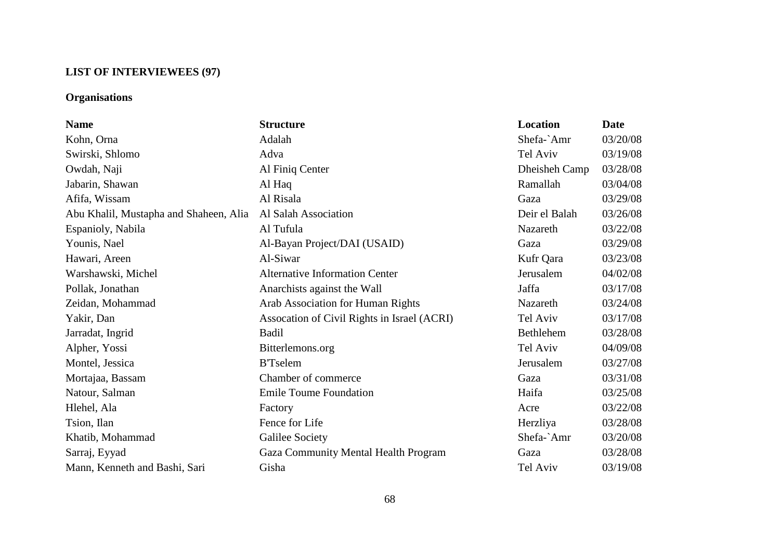# **LIST OF INTERVIEWEES (97)**

### **Organisations**

| <b>Name</b>                            | <b>Structure</b>                            | Location      | <b>Date</b> |
|----------------------------------------|---------------------------------------------|---------------|-------------|
| Kohn, Orna                             | Adalah                                      | Shefa-`Amr    | 03/20/08    |
| Swirski, Shlomo                        | Adva                                        | Tel Aviv      | 03/19/08    |
| Owdah, Naji                            | Al Finiq Center                             | Dheisheh Camp | 03/28/08    |
| Jabarin, Shawan                        | Al Haq                                      | Ramallah      | 03/04/08    |
| Afifa, Wissam                          | Al Risala                                   | Gaza          | 03/29/08    |
| Abu Khalil, Mustapha and Shaheen, Alia | Al Salah Association                        | Deir el Balah | 03/26/08    |
| Espanioly, Nabila                      | Al Tufula                                   | Nazareth      | 03/22/08    |
| Younis, Nael                           | Al-Bayan Project/DAI (USAID)                | Gaza          | 03/29/08    |
| Hawari, Areen                          | Al-Siwar                                    | Kufr Qara     | 03/23/08    |
| Warshawski, Michel                     | <b>Alternative Information Center</b>       | Jerusalem     | 04/02/08    |
| Pollak, Jonathan                       | Anarchists against the Wall                 | Jaffa         | 03/17/08    |
| Zeidan, Mohammad                       | Arab Association for Human Rights           | Nazareth      | 03/24/08    |
| Yakir, Dan                             | Assocation of Civil Rights in Israel (ACRI) | Tel Aviv      | 03/17/08    |
| Jarradat, Ingrid                       | Badil                                       | Bethlehem     | 03/28/08    |
| Alpher, Yossi                          | Bitterlemons.org                            | Tel Aviv      | 04/09/08    |
| Montel, Jessica                        | <b>B</b> Tselem                             | Jerusalem     | 03/27/08    |
| Mortajaa, Bassam                       | Chamber of commerce                         | Gaza          | 03/31/08    |
| Natour, Salman                         | <b>Emile Toume Foundation</b>               | Haifa         | 03/25/08    |
| Hlehel, Ala                            | Factory                                     | Acre          | 03/22/08    |
| Tsion, Ilan                            | Fence for Life                              | Herzliya      | 03/28/08    |
| Khatib, Mohammad                       | Galilee Society                             | Shefa-`Amr    | 03/20/08    |
| Sarraj, Eyyad                          | Gaza Community Mental Health Program        | Gaza          | 03/28/08    |
| Mann, Kenneth and Bashi, Sari          | Gisha                                       | Tel Aviv      | 03/19/08    |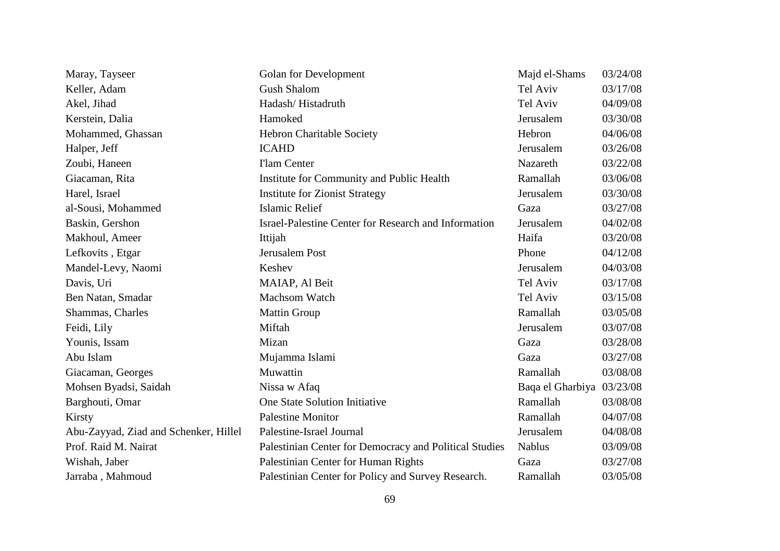| Maray, Tayseer                        | <b>Golan for Development</b>                                | Majd el-Shams             | 03/24/08 |
|---------------------------------------|-------------------------------------------------------------|---------------------------|----------|
| Keller, Adam                          | <b>Gush Shalom</b>                                          | Tel Aviv                  | 03/17/08 |
| Akel, Jihad                           | Hadash/Histadruth                                           | Tel Aviv                  | 04/09/08 |
| Kerstein, Dalia                       | Hamoked                                                     | Jerusalem                 | 03/30/08 |
| Mohammed, Ghassan                     | <b>Hebron Charitable Society</b>                            | Hebron                    | 04/06/08 |
| Halper, Jeff                          | <b>ICAHD</b>                                                | Jerusalem                 | 03/26/08 |
| Zoubi, Haneen                         | <b>I'lam Center</b>                                         | Nazareth                  | 03/22/08 |
| Giacaman, Rita                        | Institute for Community and Public Health                   | Ramallah                  | 03/06/08 |
| Harel, Israel                         | <b>Institute for Zionist Strategy</b>                       | Jerusalem                 | 03/30/08 |
| al-Sousi, Mohammed                    | <b>Islamic Relief</b>                                       | Gaza                      | 03/27/08 |
| Baskin, Gershon                       | <b>Israel-Palestine Center for Research and Information</b> | Jerusalem                 | 04/02/08 |
| Makhoul, Ameer                        | Ittijah                                                     | Haifa                     | 03/20/08 |
| Lefkovits, Etgar                      | Jerusalem Post                                              | Phone                     | 04/12/08 |
| Mandel-Levy, Naomi                    | Keshev                                                      | Jerusalem                 | 04/03/08 |
| Davis, Uri                            | MAIAP, Al Beit                                              | Tel Aviv                  | 03/17/08 |
| Ben Natan, Smadar                     | <b>Machsom Watch</b>                                        | Tel Aviv                  | 03/15/08 |
| Shammas, Charles                      | <b>Mattin Group</b>                                         | Ramallah                  | 03/05/08 |
| Feidi, Lily                           | Miftah                                                      | Jerusalem                 | 03/07/08 |
| Younis, Issam                         | Mizan                                                       | Gaza                      | 03/28/08 |
| Abu Islam                             | Mujamma Islami                                              | Gaza                      | 03/27/08 |
| Giacaman, Georges                     | Muwattin                                                    | Ramallah                  | 03/08/08 |
| Mohsen Byadsi, Saidah                 | Nissa w Afaq                                                | Baqa el Gharbiya 03/23/08 |          |
| Barghouti, Omar                       | One State Solution Initiative                               | Ramallah                  | 03/08/08 |
| Kirsty                                | <b>Palestine Monitor</b>                                    | Ramallah                  | 04/07/08 |
| Abu-Zayyad, Ziad and Schenker, Hillel | Palestine-Israel Journal                                    | Jerusalem                 | 04/08/08 |
| Prof. Raid M. Nairat                  | Palestinian Center for Democracy and Political Studies      | <b>Nablus</b>             | 03/09/08 |
| Wishah, Jaber                         | Palestinian Center for Human Rights                         | Gaza                      | 03/27/08 |
| Jarraba, Mahmoud                      | Palestinian Center for Policy and Survey Research.          | Ramallah                  | 03/05/08 |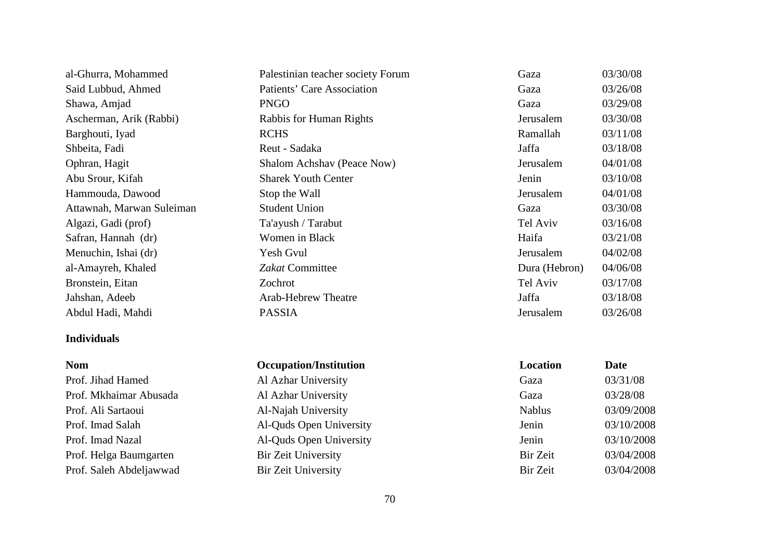| al-Ghurra, Mohammed       | Palestinian teacher society Forum | Gaza            | 03/30/08    |
|---------------------------|-----------------------------------|-----------------|-------------|
| Said Lubbud, Ahmed        | Patients' Care Association        | Gaza            | 03/26/08    |
| Shawa, Amjad              | <b>PNGO</b>                       | Gaza            | 03/29/08    |
| Ascherman, Arik (Rabbi)   | Rabbis for Human Rights           | Jerusalem       | 03/30/08    |
| Barghouti, Iyad           | <b>RCHS</b>                       | Ramallah        | 03/11/08    |
| Shbeita, Fadi             | Reut - Sadaka                     | Jaffa           | 03/18/08    |
| Ophran, Hagit             | Shalom Achshav (Peace Now)        | Jerusalem       | 04/01/08    |
| Abu Srour, Kifah          | <b>Sharek Youth Center</b>        | Jenin           | 03/10/08    |
| Hammouda, Dawood          | Stop the Wall                     | Jerusalem       | 04/01/08    |
| Attawnah, Marwan Suleiman | <b>Student Union</b>              | Gaza            | 03/30/08    |
| Algazi, Gadi (prof)       | Ta'ayush / Tarabut                | Tel Aviv        | 03/16/08    |
| Safran, Hannah (dr)       | Women in Black                    | Haifa           | 03/21/08    |
| Menuchin, Ishai (dr)      | Yesh Gvul                         | Jerusalem       | 04/02/08    |
| al-Amayreh, Khaled        | Zakat Committee                   | Dura (Hebron)   | 04/06/08    |
| Bronstein, Eitan          | Zochrot                           | Tel Aviv        | 03/17/08    |
| Jahshan, Adeeb            | <b>Arab-Hebrew Theatre</b>        | Jaffa           | 03/18/08    |
| Abdul Hadi, Mahdi         | <b>PASSIA</b>                     | Jerusalem       | 03/26/08    |
| <b>Individuals</b>        |                                   |                 |             |
| <b>Nom</b>                | <b>Occupation/Institution</b>     | <b>Location</b> | <b>Date</b> |
|                           |                                   |                 |             |

| Prof. Jihad Hamed       | Al Azhar University     | Gaza          | 03/31/08   |
|-------------------------|-------------------------|---------------|------------|
| Prof. Mkhaimar Abusada  | Al Azhar University     | Gaza          | 03/28/08   |
| Prof. Ali Sartaoui      | Al-Najah University     | <b>Nablus</b> | 03/09/2008 |
| Prof. Imad Salah        | Al-Quds Open University | Jenin         | 03/10/2008 |
| Prof. Imad Nazal        | Al-Quds Open University | Jenin         | 03/10/2008 |
| Prof. Helga Baumgarten  | Bir Zeit University     | Bir Zeit      | 03/04/2008 |
| Prof. Saleh Abdeljawwad | Bir Zeit University     | Bir Zeit      | 03/04/2008 |
|                         |                         |               |            |

| Occupation/Institution     |
|----------------------------|
| Al Azhar University        |
| Al Azhar University        |
| Al-Najah University        |
| Al-Quds Open University    |
| Al-Quds Open University    |
| <b>Bir Zeit University</b> |
| <b>Bir Zeit University</b> |

| ocation | Date       |
|---------|------------|
| aza     | 03/31/08   |
| aza     | 03/28/08   |
| ablus   | 03/09/2008 |
| enin    | 03/10/2008 |
| enin    | 03/10/2008 |
| ir Zeit | 03/04/2008 |
| ir Zeit | 03/04/2008 |